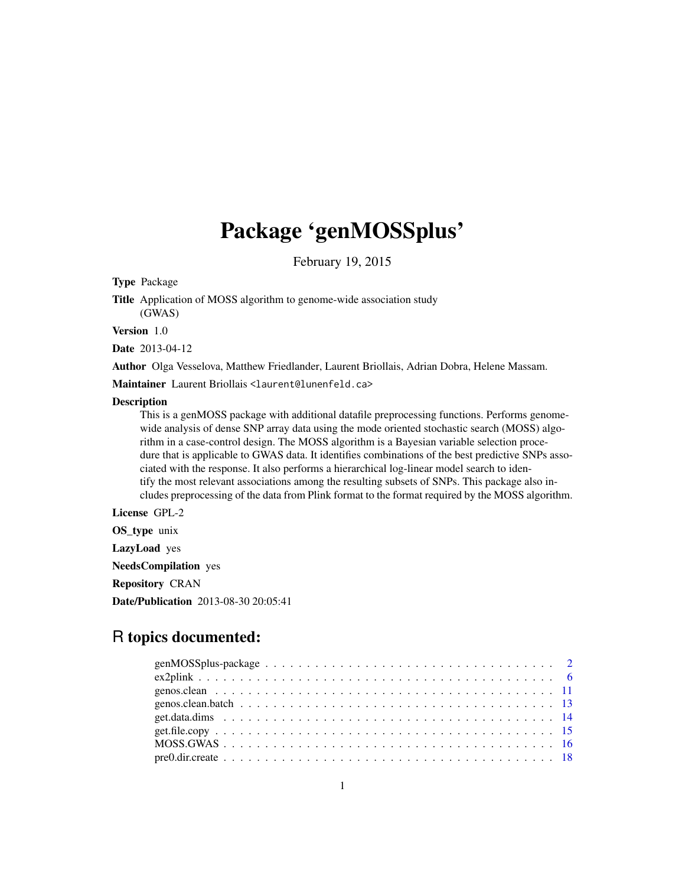## Package 'genMOSSplus'

February 19, 2015

Type Package

Title Application of MOSS algorithm to genome-wide association study (GWAS)

Version 1.0

Date 2013-04-12

Author Olga Vesselova, Matthew Friedlander, Laurent Briollais, Adrian Dobra, Helene Massam.

Maintainer Laurent Briollais <laurent@lunenfeld.ca>

#### **Description**

This is a genMOSS package with additional datafile preprocessing functions. Performs genomewide analysis of dense SNP array data using the mode oriented stochastic search (MOSS) algorithm in a case-control design. The MOSS algorithm is a Bayesian variable selection procedure that is applicable to GWAS data. It identifies combinations of the best predictive SNPs associated with the response. It also performs a hierarchical log-linear model search to identify the most relevant associations among the resulting subsets of SNPs. This package also includes preprocessing of the data from Plink format to the format required by the MOSS algorithm.

License GPL-2

OS type unix LazyLoad yes

NeedsCompilation yes

Repository CRAN

Date/Publication 2013-08-30 20:05:41

## R topics documented:

| $pre0.dir. create             18$ |  |  |  |  |  |  |  |  |  |  |  |  |  |  |  |  |  |
|-----------------------------------|--|--|--|--|--|--|--|--|--|--|--|--|--|--|--|--|--|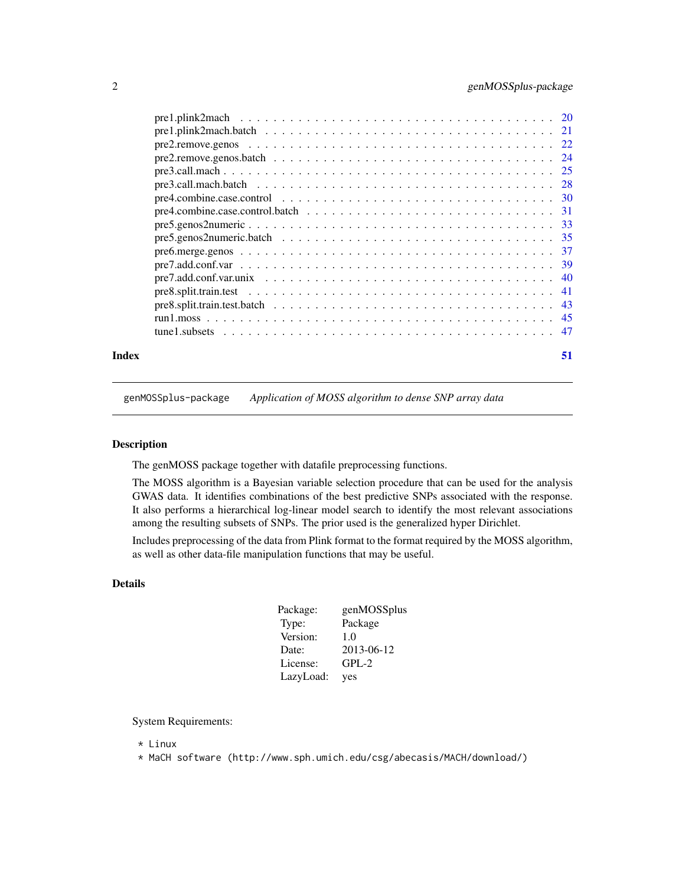<span id="page-1-0"></span>

| 51 |
|----|
|    |
|    |
|    |
|    |
|    |
|    |
|    |
|    |
|    |
|    |
|    |
|    |
|    |
|    |
|    |
|    |
|    |
|    |

genMOSSplus-package *Application of MOSS algorithm to dense SNP array data*

## Description

The genMOSS package together with datafile preprocessing functions.

The MOSS algorithm is a Bayesian variable selection procedure that can be used for the analysis GWAS data. It identifies combinations of the best predictive SNPs associated with the response. It also performs a hierarchical log-linear model search to identify the most relevant associations among the resulting subsets of SNPs. The prior used is the generalized hyper Dirichlet.

Includes preprocessing of the data from Plink format to the format required by the MOSS algorithm, as well as other data-file manipulation functions that may be useful.

## Details

| Package:  | genMOSSplus |
|-----------|-------------|
| Type:     | Package     |
| Version:  | 1.0         |
| Date:     | 2013-06-12  |
| License:  | $GPL-2$     |
| LazyLoad: | yes         |

System Requirements:

- \* Linux
- \* MaCH software (http://www.sph.umich.edu/csg/abecasis/MACH/download/)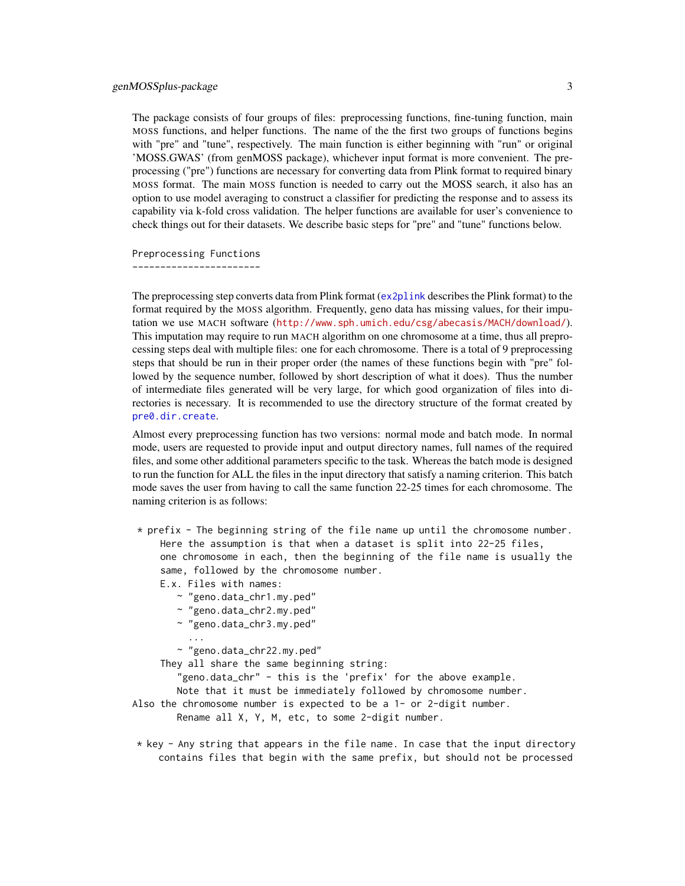<span id="page-2-0"></span>The package consists of four groups of files: preprocessing functions, fine-tuning function, main MOSS functions, and helper functions. The name of the the first two groups of functions begins with "pre" and "tune", respectively. The main function is either beginning with "run" or original 'MOSS.GWAS' (from genMOSS package), whichever input format is more convenient. The preprocessing ("pre") functions are necessary for converting data from Plink format to required binary MOSS format. The main MOSS function is needed to carry out the MOSS search, it also has an option to use model averaging to construct a classifier for predicting the response and to assess its capability via k-fold cross validation. The helper functions are available for user's convenience to check things out for their datasets. We describe basic steps for "pre" and "tune" functions below.

Preprocessing Functions -----------------------

The preprocessing step converts data from Plink format ([ex2plink](#page-5-1) describes the Plink format) to the format required by the MOSS algorithm. Frequently, geno data has missing values, for their imputation we use MACH software (<http://www.sph.umich.edu/csg/abecasis/MACH/download/>). This imputation may require to run MACH algorithm on one chromosome at a time, thus all preprocessing steps deal with multiple files: one for each chromosome. There is a total of 9 preprocessing steps that should be run in their proper order (the names of these functions begin with "pre" followed by the sequence number, followed by short description of what it does). Thus the number of intermediate files generated will be very large, for which good organization of files into directories is necessary. It is recommended to use the directory structure of the format created by [pre0.dir.create](#page-17-1).

Almost every preprocessing function has two versions: normal mode and batch mode. In normal mode, users are requested to provide input and output directory names, full names of the required files, and some other additional parameters specific to the task. Whereas the batch mode is designed to run the function for ALL the files in the input directory that satisfy a naming criterion. This batch mode saves the user from having to call the same function 22-25 times for each chromosome. The naming criterion is as follows:

\* prefix - The beginning string of the file name up until the chromosome number. Here the assumption is that when a dataset is split into 22-25 files, one chromosome in each, then the beginning of the file name is usually the same, followed by the chromosome number.

E.x. Files with names:

- ~ "geno.data\_chr1.my.ped"
- ~ "geno.data\_chr2.my.ped"
- ~ "geno.data\_chr3.my.ped"
- ...

~ "geno.data\_chr22.my.ped"

They all share the same beginning string:

"geno.data\_chr" - this is the 'prefix' for the above example.

Note that it must be immediately followed by chromosome number.

Also the chromosome number is expected to be a 1- or 2-digit number.

Rename all X, Y, M, etc, to some 2-digit number.

 $*$  key - Any string that appears in the file name. In case that the input directory contains files that begin with the same prefix, but should not be processed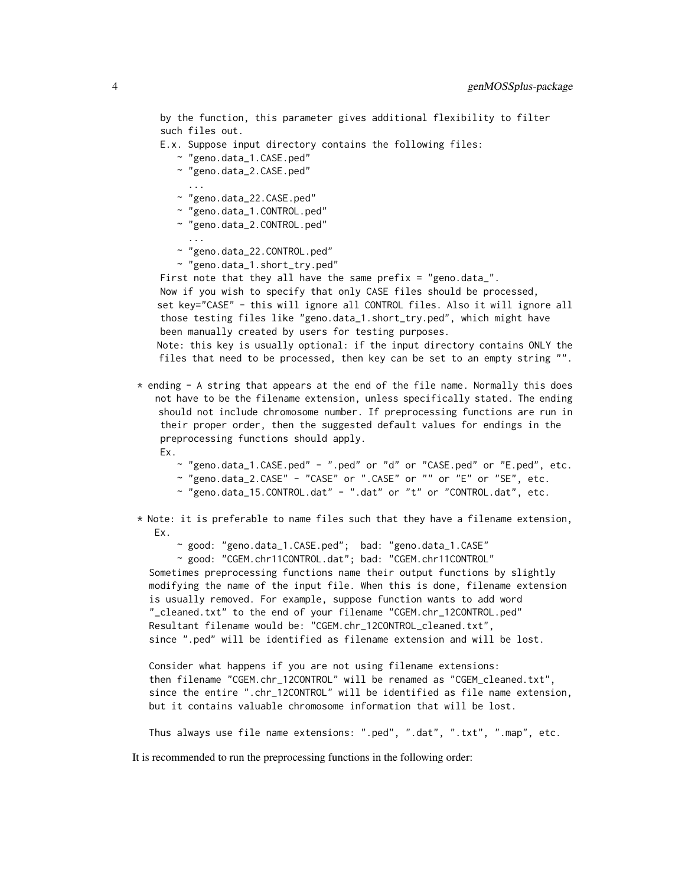by the function, this parameter gives additional flexibility to filter such files out.

E.x. Suppose input directory contains the following files:

- ~ "geno.data\_1.CASE.ped"
- ~ "geno.data\_2.CASE.ped"
- ...

...

- ~ "geno.data\_22.CASE.ped"
- ~ "geno.data\_1.CONTROL.ped"
- ~ "geno.data\_2.CONTROL.ped"
- ~ "geno.data\_22.CONTROL.ped"
- ~ "geno.data\_1.short\_try.ped"

First note that they all have the same prefix = "geno.data\_".

Now if you wish to specify that only CASE files should be processed, set key="CASE" - this will ignore all CONTROL files. Also it will ignore all those testing files like "geno.data\_1.short\_try.ped", which might have been manually created by users for testing purposes.

Note: this key is usually optional: if the input directory contains ONLY the files that need to be processed, then key can be set to an empty string "".

- \* ending A string that appears at the end of the file name. Normally this does not have to be the filename extension, unless specifically stated. The ending should not include chromosome number. If preprocessing functions are run in their proper order, then the suggested default values for endings in the preprocessing functions should apply. Ex.
	- ~ "geno.data\_1.CASE.ped" ".ped" or "d" or "CASE.ped" or "E.ped", etc.
	- ~ "geno.data\_2.CASE" "CASE" or ".CASE" or "" or "E" or "SE", etc.
	- ~ "geno.data\_15.CONTROL.dat" ".dat" or "t" or "CONTROL.dat", etc.

\* Note: it is preferable to name files such that they have a filename extension, Ex.

~ good: "geno.data\_1.CASE.ped"; bad: "geno.data\_1.CASE"

~ good: "CGEM.chr11CONTROL.dat"; bad: "CGEM.chr11CONTROL"

Sometimes preprocessing functions name their output functions by slightly modifying the name of the input file. When this is done, filename extension is usually removed. For example, suppose function wants to add word "\_cleaned.txt" to the end of your filename "CGEM.chr\_12CONTROL.ped" Resultant filename would be: "CGEM.chr\_12CONTROL\_cleaned.txt", since ".ped" will be identified as filename extension and will be lost.

Consider what happens if you are not using filename extensions: then filename "CGEM.chr\_12CONTROL" will be renamed as "CGEM\_cleaned.txt", since the entire ".chr\_12CONTROL" will be identified as file name extension, but it contains valuable chromosome information that will be lost.

Thus always use file name extensions: ".ped", ".dat", ".txt", ".map", etc.

It is recommended to run the preprocessing functions in the following order: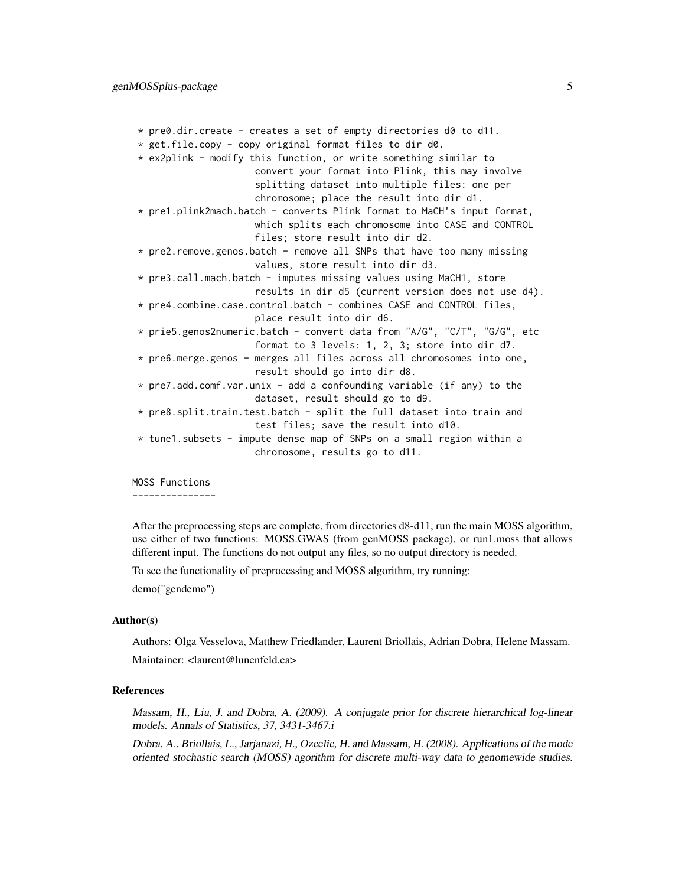```
* pre0.dir.create - creates a set of empty directories d0 to d11.
* get.file.copy - copy original format files to dir d0.
* ex2plink - modify this function, or write something similar to
                     convert your format into Plink, this may involve
                     splitting dataset into multiple files: one per
                     chromosome; place the result into dir d1.
* pre1.plink2mach.batch - converts Plink format to MaCH's input format,
                     which splits each chromosome into CASE and CONTROL
                     files; store result into dir d2.
* pre2.remove.genos.batch - remove all SNPs that have too many missing
                     values, store result into dir d3.
* pre3.call.mach.batch - imputes missing values using MaCH1, store
                     results in dir d5 (current version does not use d4).
* pre4.combine.case.control.batch - combines CASE and CONTROL files,
                     place result into dir d6.
* prie5.genos2numeric.batch - convert data from "A/G", "C/T", "G/G", etc
                     format to 3 levels: 1, 2, 3; store into dir d7.
* pre6.merge.genos - merges all files across all chromosomes into one,
                     result should go into dir d8.
* pre7.add.comf.var.unix - add a confounding variable (if any) to the
                     dataset, result should go to d9.
* pre8.split.train.test.batch - split the full dataset into train and
                     test files; save the result into d10.
* tune1.subsets - impute dense map of SNPs on a small region within a
                     chromosome, results go to d11.
```
MOSS Functions ---------------

After the preprocessing steps are complete, from directories d8-d11, run the main MOSS algorithm, use either of two functions: MOSS.GWAS (from genMOSS package), or run1.moss that allows different input. The functions do not output any files, so no output directory is needed.

To see the functionality of preprocessing and MOSS algorithm, try running:

demo("gendemo")

## Author(s)

Authors: Olga Vesselova, Matthew Friedlander, Laurent Briollais, Adrian Dobra, Helene Massam. Maintainer: <laurent@lunenfeld.ca>

#### References

Massam, H., Liu, J. and Dobra, A. (2009). A conjugate prior for discrete hierarchical log-linear models. Annals of Statistics, 37, 3431-3467.i

Dobra, A., Briollais, L., Jarjanazi, H., Ozcelic, H. and Massam, H. (2008). Applications of the mode oriented stochastic search (MOSS) agorithm for discrete multi-way data to genomewide studies.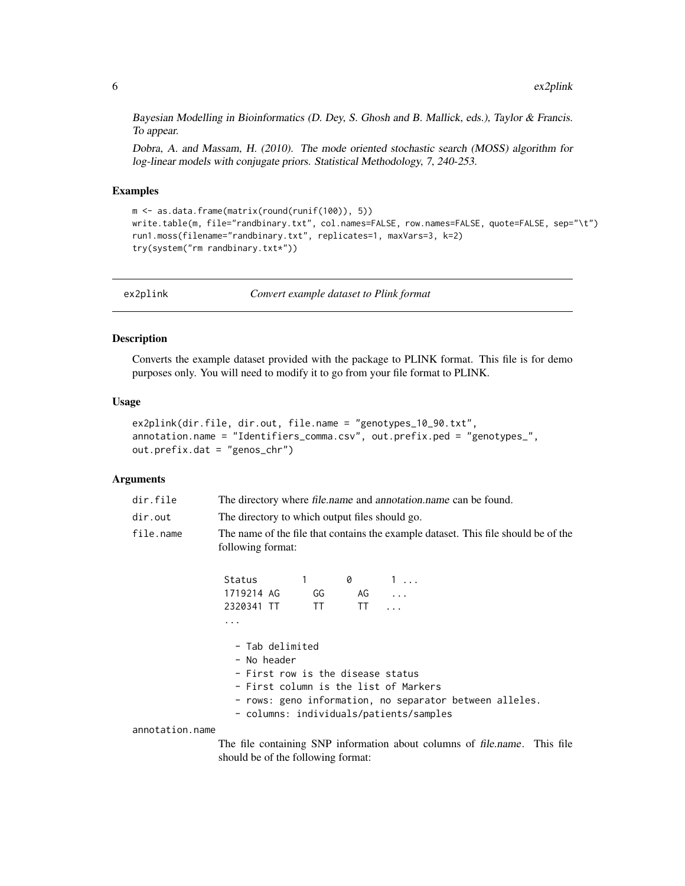<span id="page-5-0"></span>Bayesian Modelling in Bioinformatics (D. Dey, S. Ghosh and B. Mallick, eds.), Taylor & Francis. To appear.

Dobra, A. and Massam, H. (2010). The mode oriented stochastic search (MOSS) algorithm for log-linear models with conjugate priors. Statistical Methodology, 7, 240-253.

#### Examples

```
m <- as.data.frame(matrix(round(runif(100)), 5))
write.table(m, file="randbinary.txt", col.names=FALSE, row.names=FALSE, quote=FALSE, sep="\t")
run1.moss(filename="randbinary.txt", replicates=1, maxVars=3, k=2)
try(system("rm randbinary.txt*"))
```
<span id="page-5-1"></span>

ex2plink *Convert example dataset to Plink format*

## Description

Converts the example dataset provided with the package to PLINK format. This file is for demo purposes only. You will need to modify it to go from your file format to PLINK.

#### Usage

```
ex2plink(dir.file, dir.out, file.name = "genotypes_10_90.txt",
annotation.name = "Identifiers_comma.csv", out.prefix.ped = "genotypes_",
out.prefix.dat = "genos_chr")
```
## Arguments

| dir.file  |            | The directory where file.name and annotation.name can be found.                                         |    |            |  |  |  |  |  |  |
|-----------|------------|---------------------------------------------------------------------------------------------------------|----|------------|--|--|--|--|--|--|
| dir.out   |            | The directory to which output files should go.                                                          |    |            |  |  |  |  |  |  |
| file.name |            | The name of the file that contains the example dataset. This file should be of the<br>following format: |    |            |  |  |  |  |  |  |
|           | Status     |                                                                                                         | 0  | $1 \ldots$ |  |  |  |  |  |  |
|           | 1719214 AG | GG                                                                                                      | AG | $\cdots$   |  |  |  |  |  |  |
|           | 2320341 TT | TT                                                                                                      | TT | .          |  |  |  |  |  |  |
|           | $\cdots$   |                                                                                                         |    |            |  |  |  |  |  |  |

- Tab delimited - No header

| - First row is the disease status                                                                  |  |
|----------------------------------------------------------------------------------------------------|--|
| - First column is the list of Markers                                                              |  |
| - rows: geno information, no separator between alleles.<br>- columns: individuals/patients/samples |  |
|                                                                                                    |  |
| The file containing SNP information about columns of file name. This                               |  |

annotation.name

The file containing SNP information about columns of file.name. This file should be of the following format: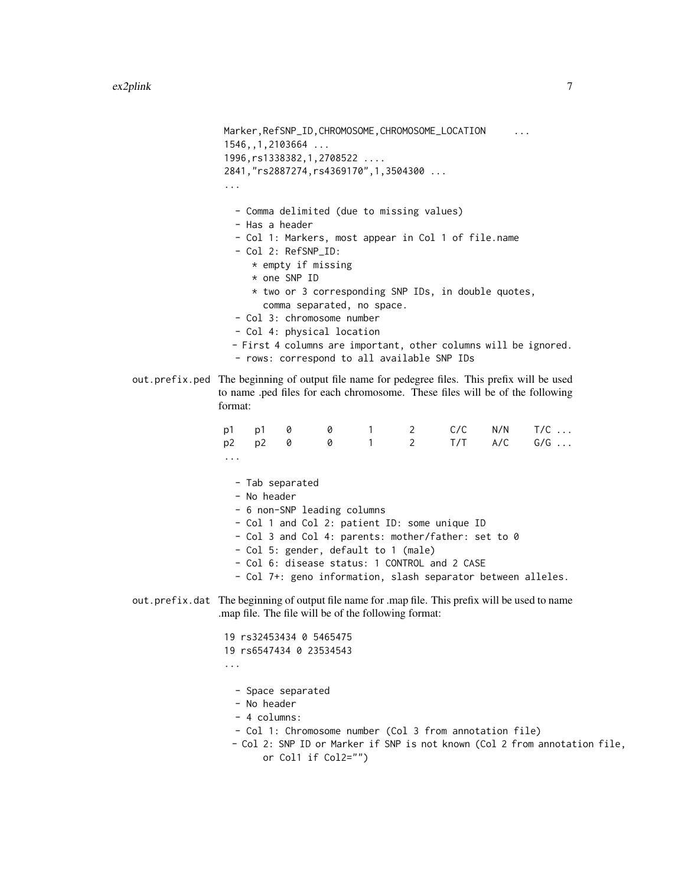Marker, RefSNP\_ID, CHROMOSOME, CHROMOSOME\_LOCATION ... 1546,,1,2103664 ... 1996,rs1338382,1,2708522 .... 2841,"rs2887274,rs4369170",1,3504300 ... ... - Comma delimited (due to missing values) - Has a header - Col 1: Markers, most appear in Col 1 of file.name - Col 2: RefSNP\_ID: \* empty if missing \* one SNP ID \* two or 3 corresponding SNP IDs, in double quotes, comma separated, no space. - Col 3: chromosome number - Col 4: physical location - First 4 columns are important, other columns will be ignored. - rows: correspond to all available SNP IDs out.prefix.ped The beginning of output file name for pedegree files. This prefix will be used to name .ped files for each chromosome. These files will be of the following format: p1 p1 0 0 1 2 C/C N/N T/C ... p2 p2 0 0 1 2 T/T A/C G/G ... ... - Tab separated - No header - 6 non-SNP leading columns - Col 1 and Col 2: patient ID: some unique ID - Col 3 and Col 4: parents: mother/father: set to 0 - Col 5: gender, default to 1 (male) - Col 6: disease status: 1 CONTROL and 2 CASE - Col 7+: geno information, slash separator between alleles. out.prefix.dat The beginning of output file name for .map file. This prefix will be used to name .map file. The file will be of the following format: 19 rs32453434 0 5465475 19 rs6547434 0 23534543 ... - Space separated - No header - 4 columns: - Col 1: Chromosome number (Col 3 from annotation file) - Col 2: SNP ID or Marker if SNP is not known (Col 2 from annotation file, or Col1 if Col2="")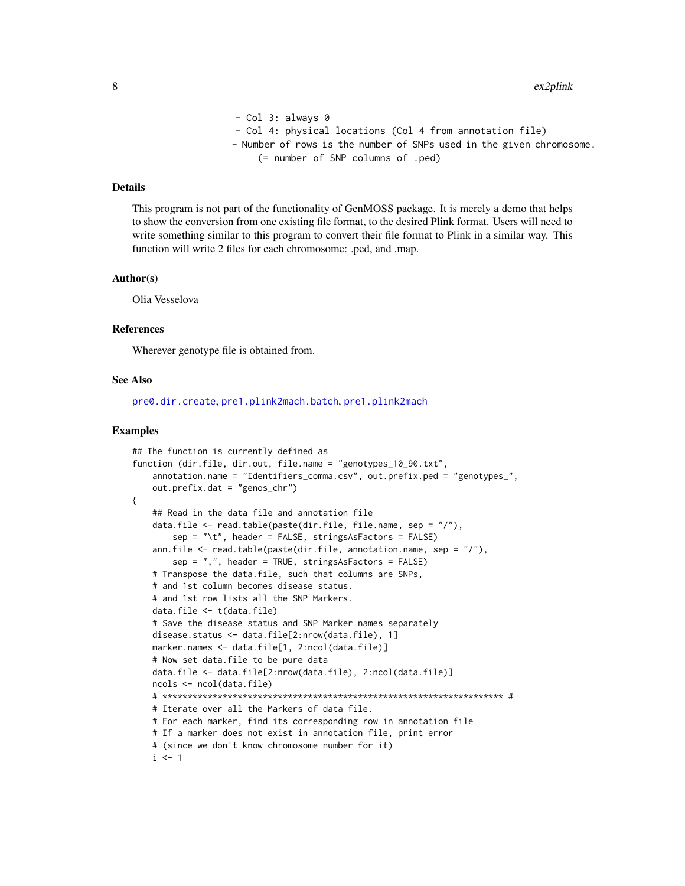```
- Col 3: always 0
- Col 4: physical locations (Col 4 from annotation file)
- Number of rows is the number of SNPs used in the given chromosome.
    (= number of SNP columns of .ped)
```
This program is not part of the functionality of GenMOSS package. It is merely a demo that helps to show the conversion from one existing file format, to the desired Plink format. Users will need to write something similar to this program to convert their file format to Plink in a similar way. This function will write 2 files for each chromosome: .ped, and .map.

#### Author(s)

Olia Vesselova

#### References

Wherever genotype file is obtained from.

#### See Also

[pre0.dir.create](#page-17-1), [pre1.plink2mach.batch](#page-20-1), [pre1.plink2mach](#page-19-1)

#### Examples

```
## The function is currently defined as
function (dir.file, dir.out, file.name = "genotypes_10_90.txt",
    annotation.name = "Identifiers_comma.csv", out.prefix.ped = "genotypes_",
   out.prefix.dat = "genos_chr")
{
    ## Read in the data file and annotation file
   data.file <- read.table(paste(dir.file, file.name, sep = "/"),
        sep = "t", header = FALSE, stringsAsFactors = FALSE)ann.file \leq read.table(paste(dir.file, annotation.name, sep = ''/),
       sep = ",", header = TRUE, stringsAsFactors = FALSE)
    # Transpose the data.file, such that columns are SNPs,
    # and 1st column becomes disease status.
    # and 1st row lists all the SNP Markers.
   data.file <- t(data.file)
    # Save the disease status and SNP Marker names separately
   disease.status <- data.file[2:nrow(data.file), 1]
   marker.names <- data.file[1, 2:ncol(data.file)]
   # Now set data.file to be pure data
   data.file <- data.file[2:nrow(data.file), 2:ncol(data.file)]
   ncols <- ncol(data.file)
    # ******************************************************************** #
    # Iterate over all the Markers of data file.
    # For each marker, find its corresponding row in annotation file
    # If a marker does not exist in annotation file, print error
    # (since we don't know chromosome number for it)
   i \leq -1
```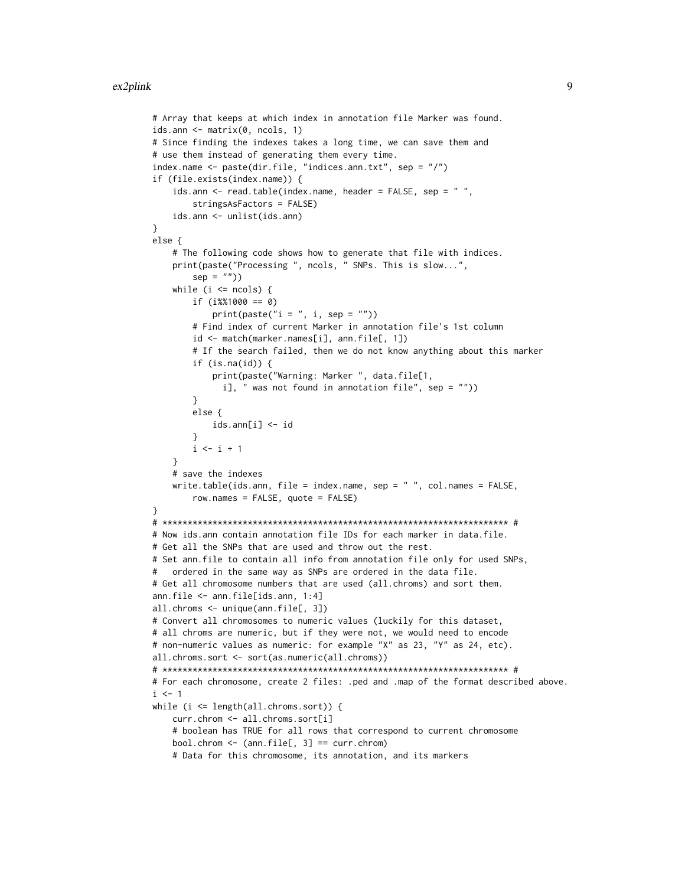```
# Array that keeps at which index in annotation file Marker was found.
ids.ann <- matrix(0, ncols, 1)
# Since finding the indexes takes a long time, we can save them and
# use them instead of generating them every time.
index.name <- paste(dir.file, "indices.ann.txt", sep = "/")
if (file.exists(index.name)) {
    ids.ann <- read.table(index.name, header = FALSE, sep = ",
       stringsAsFactors = FALSE)
   ids.ann <- unlist(ids.ann)
}
else {
    # The following code shows how to generate that file with indices.
   print(paste("Processing ", ncols, " SNPs. This is slow...",
        sep = "")while (i \le ncols) {
       if (i%%1000 == 0)
            print(paste("i = ", i, sep = ""))# Find index of current Marker in annotation file's 1st column
       id <- match(marker.names[i], ann.file[, 1])
       # If the search failed, then we do not know anything about this marker
       if (is.na(id)) {
            print(paste("Warning: Marker ", data.file[1,
              i], " was not found in annotation file", sep = ""))
       }
       else {
            ids.ann[i] <- id
       }
       i \leftarrow i + 1}
   # save the indexes
   write.table(ids.ann, file = index.name, sep = " ", col.names = FALSE,
       row.names = FALSE, quote = FALSE)
}
# ********************************************************************* #
# Now ids.ann contain annotation file IDs for each marker in data.file.
# Get all the SNPs that are used and throw out the rest.
# Set ann.file to contain all info from annotation file only for used SNPs,
# ordered in the same way as SNPs are ordered in the data file.
# Get all chromosome numbers that are used (all.chroms) and sort them.
ann.file <- ann.file[ids.ann, 1:4]
all.chroms <- unique(ann.file[, 3])
# Convert all chromosomes to numeric values (luckily for this dataset,
# all chroms are numeric, but if they were not, we would need to encode
# non-numeric values as numeric: for example "X" as 23, "Y" as 24, etc).
all.chroms.sort <- sort(as.numeric(all.chroms))
# ********************************************************************* #
# For each chromosome, create 2 files: .ped and .map of the format described above.
i \leq -1while (i <= length(all.chroms.sort)) {
   curr.chrom <- all.chroms.sort[i]
   # boolean has TRUE for all rows that correspond to current chromosome
   bool.chrom <- (ann.file[, 3] == curr.chrom)
   # Data for this chromosome, its annotation, and its markers
```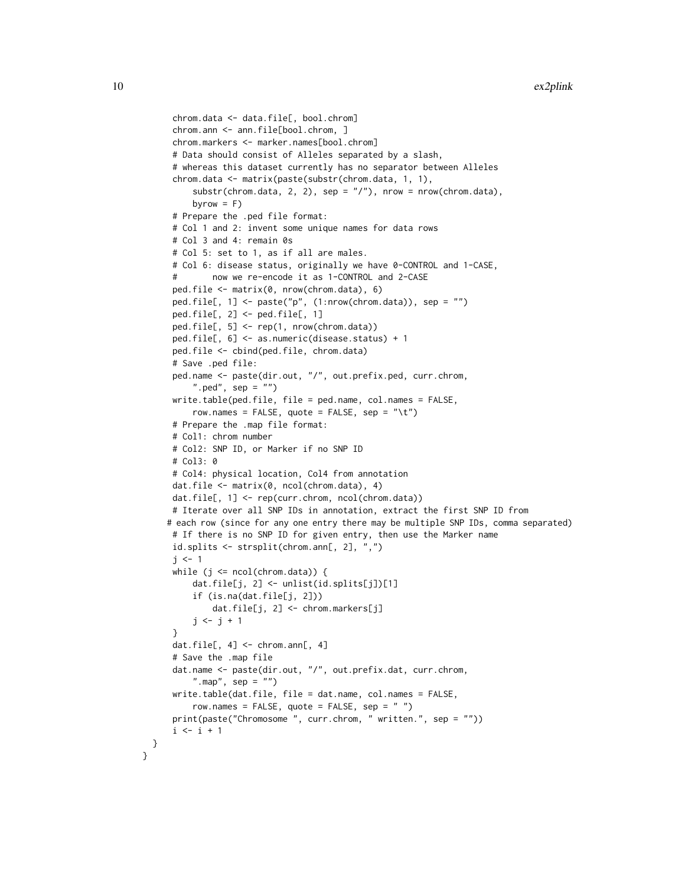```
chrom.data <- data.file[, bool.chrom]
 chrom.ann <- ann.file[bool.chrom, ]
 chrom.markers <- marker.names[bool.chrom]
 # Data should consist of Alleles separated by a slash,
 # whereas this dataset currently has no separator between Alleles
 chrom.data <- matrix(paste(substr(chrom.data, 1, 1),
     substr(chrom.data, 2, 2), sep = "T", more order to be a row (chrom.data),byrow = F)
 # Prepare the .ped file format:
 # Col 1 and 2: invent some unique names for data rows
 # Col 3 and 4: remain 0s
 # Col 5: set to 1, as if all are males.
 # Col 6: disease status, originally we have 0-CONTROL and 1-CASE,
         now we re-encode it as 1-CONTROL and 2-CASE
 ped.file <- matrix(0, nrow(chrom.data), 6)
 ped.file[, 1] <- paste("p", (1:nrow(chrom.data)), sep = "")
 ped.file[, 2] <- ped.file[, 1]
 ped.file[, 5] <- rep(1, nrow(chrom.data))
 ped.file[, 6] <- as.numeric(disease.status) + 1
 ped.file <- cbind(ped.file, chrom.data)
 # Save .ped file:
 ped.name <- paste(dir.out, "/", out.prefix.ped, curr.chrom,
     ".ped", sep = "")write.table(ped.file, file = ped.name, col.names = FALSE,
     row.names = FALSE, quote = FALSE, sep = "\t t")
 # Prepare the .map file format:
 # Col1: chrom number
 # Col2: SNP ID, or Marker if no SNP ID
 # Col3: 0
 # Col4: physical location, Col4 from annotation
 dat.file <- matrix(0, ncol(chrom.data), 4)
 dat.file[, 1] <- rep(curr.chrom, ncol(chrom.data))
 # Iterate over all SNP IDs in annotation, extract the first SNP ID from
# each row (since for any one entry there may be multiple SNP IDs, comma separated)
 # If there is no SNP ID for given entry, then use the Marker name
 id.splits <- strsplit(chrom.ann[, 2], ",")
 j \leq -1while (j \leq ncol(chrom.data)) {
     dat.file[j, 2] <- unlist(id.splits[j])[1]
     if (is.na(dat.file[j, 2]))
         dat.file[j, 2] <- chrom.markers[j]
     j \le j + 1}
 dat.file[, 4] <- chrom.ann[, 4]
 # Save the .map file
 dat.name <- paste(dir.out, "/", out.prefix.dat, curr.chrom,
     ".map", sep = "")
 write.table(dat.file, file = dat.name, col.names = FALSE,
     row.names = FALSE, quote = FALSE, sep = " ")
 print(paste("Chromosome ", curr.chrom, " written.", sep = ""))
 i \le i + 1
```
} }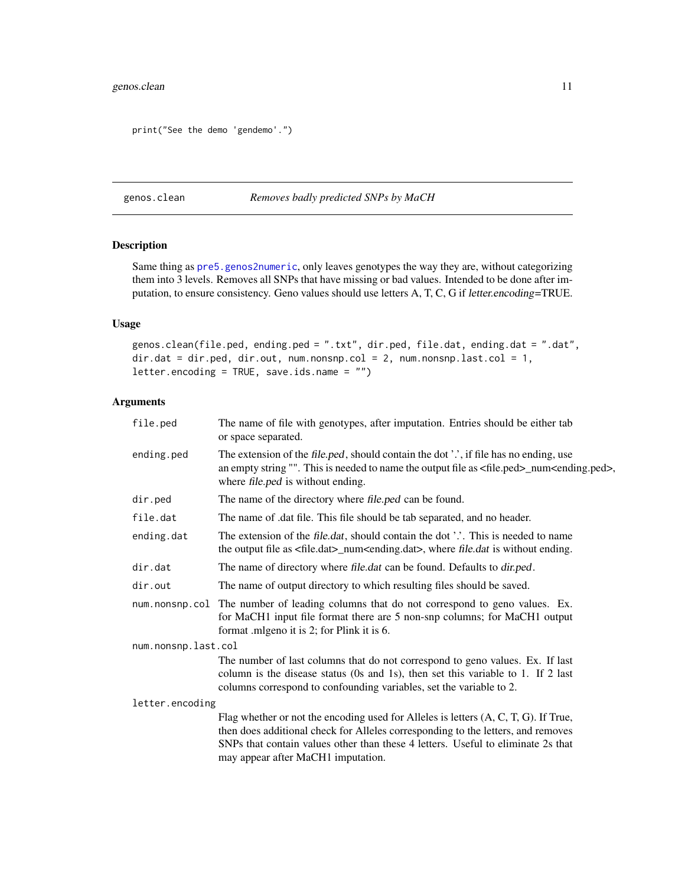## <span id="page-10-0"></span>genos.clean 11

```
print("See the demo 'gendemo'.")
```
<span id="page-10-1"></span>genos.clean *Removes badly predicted SNPs by MaCH*

## Description

Same thing as [pre5.genos2numeric](#page-32-1), only leaves genotypes the way they are, without categorizing them into 3 levels. Removes all SNPs that have missing or bad values. Intended to be done after imputation, to ensure consistency. Geno values should use letters A, T, C, G if letter.encoding=TRUE.

## Usage

genos.clean(file.ped, ending.ped = ".txt", dir.ped, file.dat, ending.dat = ".dat", dir.dat = dir.ped, dir.out, num.nonsnp.col = 2, num.nonsnp.last.col = 1, letter.encoding = TRUE, save.ids.name = "")

| file.ped            | The name of file with genotypes, after imputation. Entries should be either tab<br>or space separated.                                                                                                                                                                                               |
|---------------------|------------------------------------------------------------------------------------------------------------------------------------------------------------------------------------------------------------------------------------------------------------------------------------------------------|
| ending.ped          | The extension of the file.ped, should contain the dot '.', if file has no ending, use<br>an empty string "". This is needed to name the output file as <file.ped>_num<ending.ped>,<br/>where file.ped is without ending.</ending.ped></file.ped>                                                     |
| dir.ped             | The name of the directory where file.ped can be found.                                                                                                                                                                                                                                               |
| file.dat            | The name of .dat file. This file should be tab separated, and no header.                                                                                                                                                                                                                             |
| ending.dat          | The extension of the file.dat, should contain the dot '.'. This is needed to name<br>the output file as <file.dat>_num<ending.dat>, where file.dat is without ending.</ending.dat></file.dat>                                                                                                        |
| dir.dat             | The name of directory where file.dat can be found. Defaults to dir.ped.                                                                                                                                                                                                                              |
| dir.out             | The name of output directory to which resulting files should be saved.                                                                                                                                                                                                                               |
|                     | num.nonsnp.col The number of leading columns that do not correspond to geno values. Ex.<br>for MaCH1 input file format there are 5 non-snp columns; for MaCH1 output<br>format .mlgeno it is 2; for Plink it is 6.                                                                                   |
| num.nonsnp.last.col |                                                                                                                                                                                                                                                                                                      |
|                     | The number of last columns that do not correspond to geno values. Ex. If last<br>column is the disease status (0s and 1s), then set this variable to 1. If 2 last<br>columns correspond to confounding variables, set the variable to 2.                                                             |
| letter.encoding     |                                                                                                                                                                                                                                                                                                      |
|                     | Flag whether or not the encoding used for Alleles is letters $(A, C, T, G)$ . If True,<br>then does additional check for Alleles corresponding to the letters, and removes<br>SNPs that contain values other than these 4 letters. Useful to eliminate 2s that<br>may appear after MaCH1 imputation. |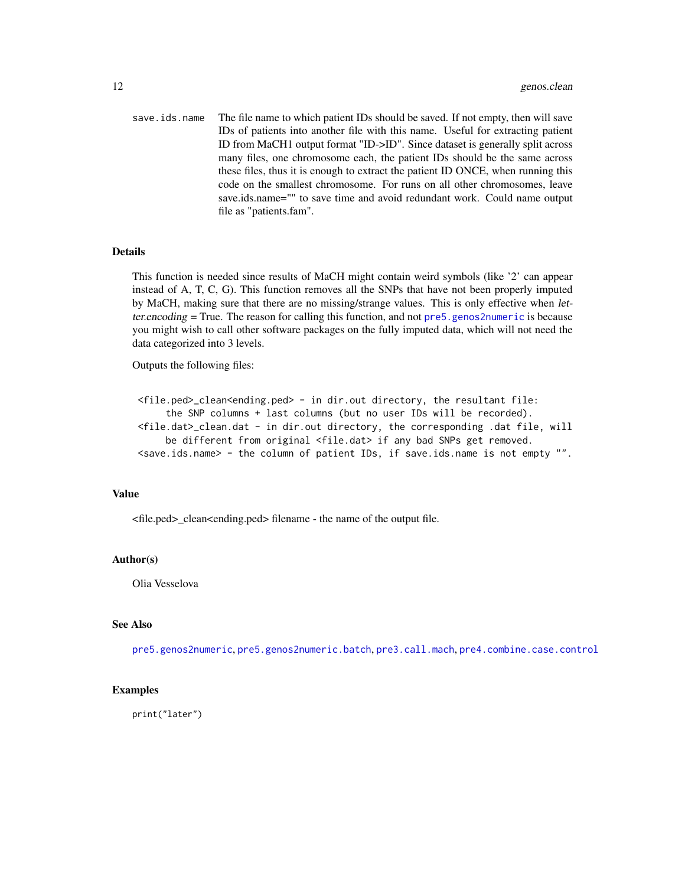<span id="page-11-0"></span>save.ids.name The file name to which patient IDs should be saved. If not empty, then will save IDs of patients into another file with this name. Useful for extracting patient ID from MaCH1 output format "ID->ID". Since dataset is generally split across many files, one chromosome each, the patient IDs should be the same across these files, thus it is enough to extract the patient ID ONCE, when running this code on the smallest chromosome. For runs on all other chromosomes, leave save.ids.name="" to save time and avoid redundant work. Could name output file as "patients.fam".

## Details

This function is needed since results of MaCH might contain weird symbols (like '2' can appear instead of A, T, C, G). This function removes all the SNPs that have not been properly imputed by MaCH, making sure that there are no missing/strange values. This is only effective when letter.encoding = True. The reason for calling this function, and not [pre5.genos2numeric](#page-32-1) is because you might wish to call other software packages on the fully imputed data, which will not need the data categorized into 3 levels.

Outputs the following files:

```
<file.ped>_clean<ending.ped> - in dir.out directory, the resultant file:
     the SNP columns + last columns (but no user IDs will be recorded).
<file.dat>_clean.dat - in dir.out directory, the corresponding .dat file, will
     be different from original <file.dat> if any bad SNPs get removed.
<save.ids.name> - the column of patient IDs, if save.ids.name is not empty "".
```
## Value

<file.ped>\_clean<ending.ped> filename - the name of the output file.

## Author(s)

Olia Vesselova

## See Also

[pre5.genos2numeric](#page-32-1), [pre5.genos2numeric.batch](#page-34-1), [pre3.call.mach](#page-24-1), [pre4.combine.case.control](#page-29-1)

## Examples

print("later")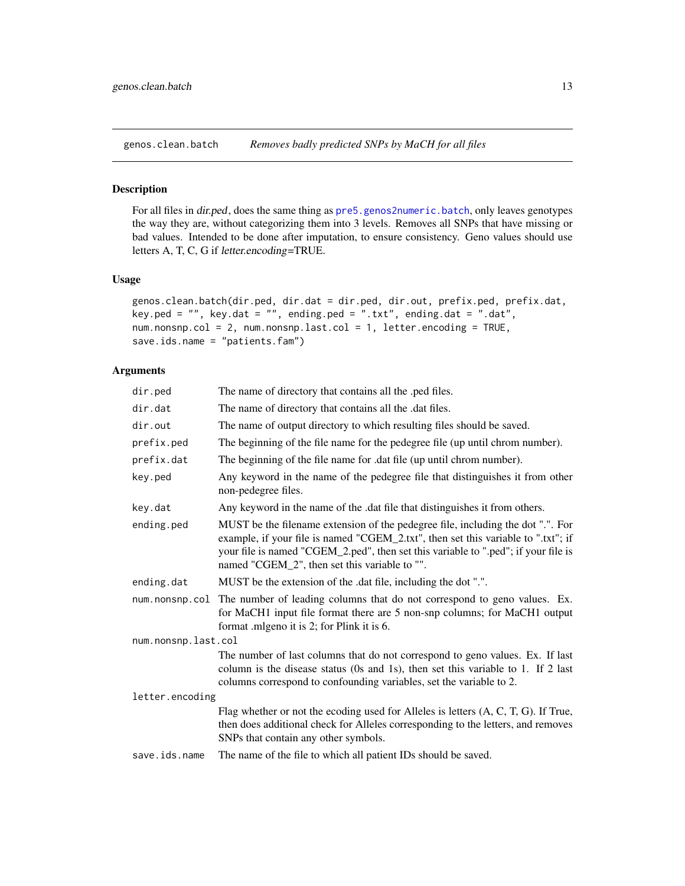<span id="page-12-0"></span>

#### Description

For all files in dir.ped, does the same thing as [pre5.genos2numeric.batch](#page-34-1), only leaves genotypes the way they are, without categorizing them into 3 levels. Removes all SNPs that have missing or bad values. Intended to be done after imputation, to ensure consistency. Geno values should use letters A, T, C, G if letter.encoding=TRUE.

#### Usage

```
genos.clean.batch(dir.ped, dir.dat = dir.ped, dir.out, prefix.ped, prefix.dat,
key.ped = "", key.dat = "", ending.ped = ".txt", ending.dat = ".dat",
num.nonsnp.col = 2, num.nonsnp.last.col = 1, letter.encoding = TRUE,
save.ids.name = "patients.fam")
```

| dir.ped             | The name of directory that contains all the .ped files.                                                                                                                                                                                                                                                     |
|---------------------|-------------------------------------------------------------------------------------------------------------------------------------------------------------------------------------------------------------------------------------------------------------------------------------------------------------|
| dir.dat             | The name of directory that contains all the .dat files.                                                                                                                                                                                                                                                     |
| dir.out             | The name of output directory to which resulting files should be saved.                                                                                                                                                                                                                                      |
| prefix.ped          | The beginning of the file name for the pedegree file (up until chrom number).                                                                                                                                                                                                                               |
| prefix.dat          | The beginning of the file name for .dat file (up until chrom number).                                                                                                                                                                                                                                       |
| key.ped             | Any keyword in the name of the pedegree file that distinguishes it from other<br>non-pedegree files.                                                                                                                                                                                                        |
| key.dat             | Any keyword in the name of the .dat file that distinguishes it from others.                                                                                                                                                                                                                                 |
| ending.ped          | MUST be the filename extension of the pedegree file, including the dot ".". For<br>example, if your file is named "CGEM_2.txt", then set this variable to ".txt"; if<br>your file is named "CGEM_2.ped", then set this variable to ".ped"; if your file is<br>named "CGEM_2", then set this variable to "". |
| ending.dat          | MUST be the extension of the .dat file, including the dot ".".                                                                                                                                                                                                                                              |
| num.nonsnp.col      | The number of leading columns that do not correspond to geno values. Ex.<br>for MaCH1 input file format there are 5 non-snp columns; for MaCH1 output<br>format .mlgeno it is 2; for Plink it is 6.                                                                                                         |
| num.nonsnp.last.col |                                                                                                                                                                                                                                                                                                             |
|                     | The number of last columns that do not correspond to geno values. Ex. If last<br>column is the disease status (0s and 1s), then set this variable to 1. If 2 last<br>columns correspond to confounding variables, set the variable to 2.                                                                    |
| letter.encoding     |                                                                                                                                                                                                                                                                                                             |
|                     | Flag whether or not the ecoding used for Alleles is letters (A, C, T, G). If True,<br>then does additional check for Alleles corresponding to the letters, and removes<br>SNPs that contain any other symbols.                                                                                              |
| save.ids.name       | The name of the file to which all patient IDs should be saved.                                                                                                                                                                                                                                              |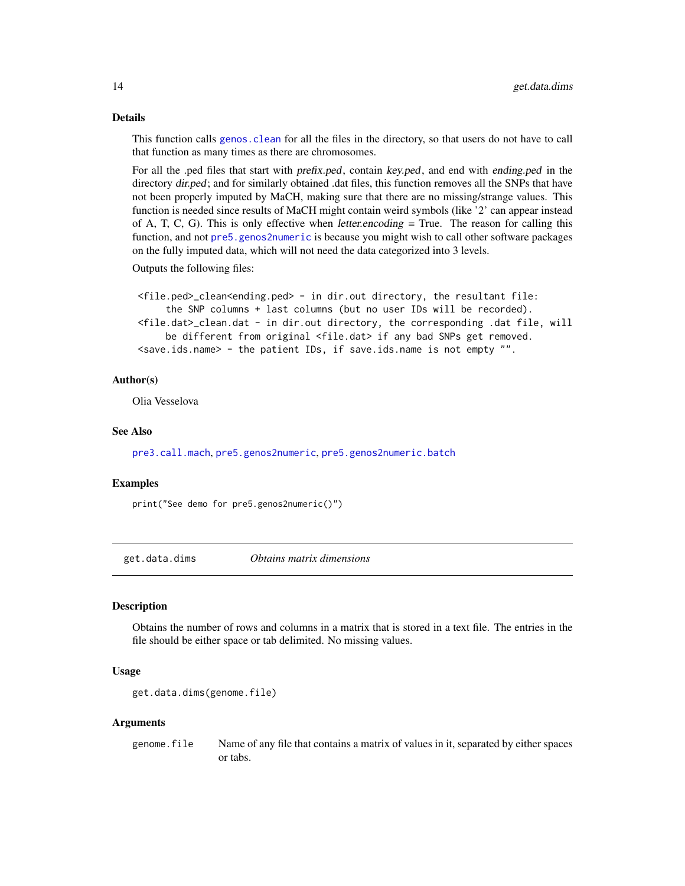This function calls genos. clean for all the files in the directory, so that users do not have to call that function as many times as there are chromosomes.

For all the .ped files that start with prefix.ped, contain key.ped, and end with ending.ped in the directory dir.ped; and for similarly obtained .dat files, this function removes all the SNPs that have not been properly imputed by MaCH, making sure that there are no missing/strange values. This function is needed since results of MaCH might contain weird symbols (like '2' can appear instead of A, T, C, G). This is only effective when *letter.encoding*  $=$  True. The reason for calling this function, and not [pre5.genos2numeric](#page-32-1) is because you might wish to call other software packages on the fully imputed data, which will not need the data categorized into 3 levels.

```
Outputs the following files:
```

```
<file.ped>_clean<ending.ped> - in dir.out directory, the resultant file:
     the SNP columns + last columns (but no user IDs will be recorded).
<file.dat>_clean.dat - in dir.out directory, the corresponding .dat file, will
     be different from original <file.dat> if any bad SNPs get removed.
<save.ids.name> - the patient IDs, if save.ids.name is not empty "".
```
#### Author(s)

Olia Vesselova

## See Also

[pre3.call.mach](#page-24-1), [pre5.genos2numeric](#page-32-1), [pre5.genos2numeric.batch](#page-34-1)

#### Examples

print("See demo for pre5.genos2numeric()")

get.data.dims *Obtains matrix dimensions*

## Description

Obtains the number of rows and columns in a matrix that is stored in a text file. The entries in the file should be either space or tab delimited. No missing values.

## Usage

```
get.data.dims(genome.file)
```
#### Arguments

genome.file Name of any file that contains a matrix of values in it, separated by either spaces or tabs.

<span id="page-13-0"></span>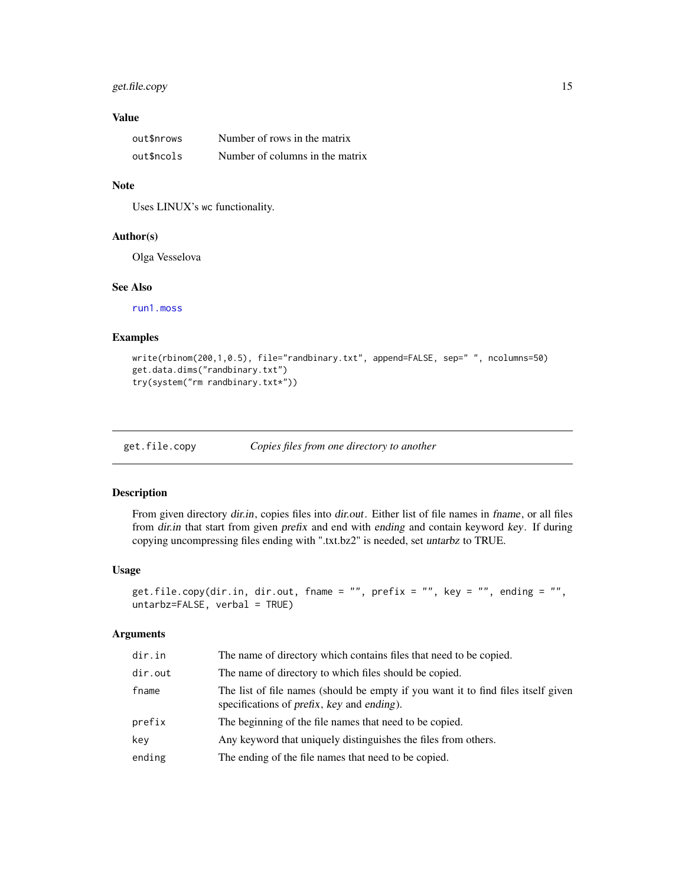## <span id="page-14-0"></span>get.file.copy 15

## Value

| out\$nrows | Number of rows in the matrix    |
|------------|---------------------------------|
| out\$ncols | Number of columns in the matrix |

## Note

Uses LINUX's wc functionality.

#### Author(s)

Olga Vesselova

#### See Also

[run1.moss](#page-44-1)

## Examples

```
write(rbinom(200,1,0.5), file="randbinary.txt", append=FALSE, sep=" ", ncolumns=50)
get.data.dims("randbinary.txt")
try(system("rm randbinary.txt*"))
```
get.file.copy *Copies files from one directory to another*

## Description

From given directory dir.in, copies files into dir.out. Either list of file names in fname, or all files from dir.in that start from given prefix and end with ending and contain keyword key. If during copying uncompressing files ending with ".txt.bz2" is needed, set untarbz to TRUE.

#### Usage

```
get.file.copy(dir.in, dir.out, fname = "", prefix = "", key = "", ending = "",
untarbz=FALSE, verbal = TRUE)
```

| dir.in  | The name of directory which contains files that need to be copied.                                                                                     |
|---------|--------------------------------------------------------------------------------------------------------------------------------------------------------|
| dir.out | The name of directory to which files should be copied.                                                                                                 |
| fname   | The list of file names (should be empty if you want it to find files itself given<br>specifications of <i>prefix</i> , <i>key</i> and <i>ending</i> ). |
| prefix  | The beginning of the file names that need to be copied.                                                                                                |
| key     | Any keyword that uniquely distinguishes the files from others.                                                                                         |
| ending  | The ending of the file names that need to be copied.                                                                                                   |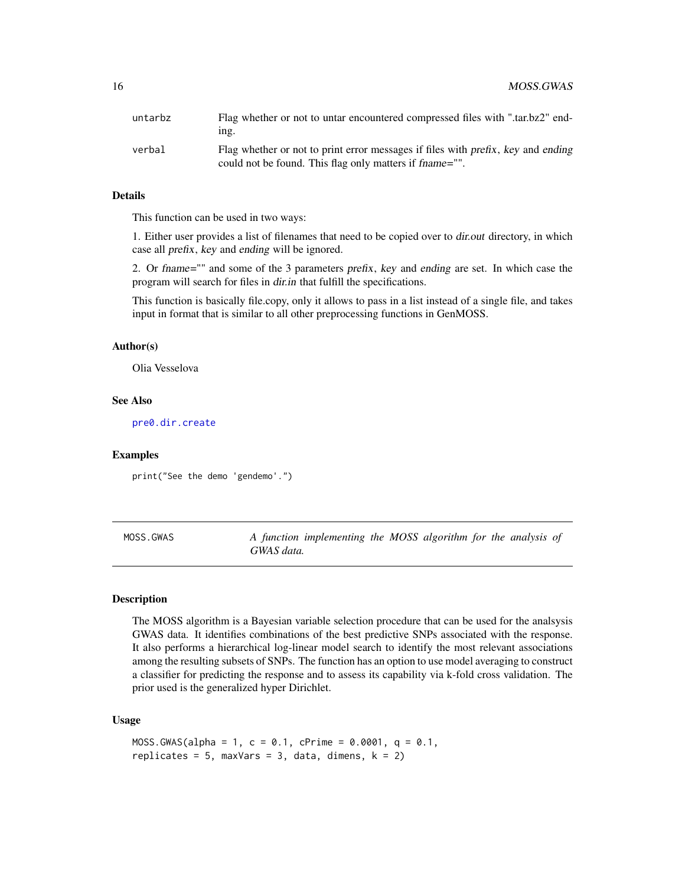<span id="page-15-0"></span>

| untarbz | Flag whether or not to untar encountered compressed files with ".tar.bz2" end-<br>ing.                                                      |
|---------|---------------------------------------------------------------------------------------------------------------------------------------------|
| verbal  | Flag whether or not to print error messages if files with prefix, key and ending<br>could not be found. This flag only matters if frame="". |

This function can be used in two ways:

1. Either user provides a list of filenames that need to be copied over to dir.out directory, in which case all prefix, key and ending will be ignored.

2. Or fname="" and some of the 3 parameters prefix, key and ending are set. In which case the program will search for files in dir.in that fulfill the specifications.

This function is basically file.copy, only it allows to pass in a list instead of a single file, and takes input in format that is similar to all other preprocessing functions in GenMOSS.

## Author(s)

Olia Vesselova

## See Also

[pre0.dir.create](#page-17-1)

## Examples

print("See the demo 'gendemo'.")

| MOSS.GWAS |            | A function implementing the MOSS algorithm for the analysis of |  |  |  |  |
|-----------|------------|----------------------------------------------------------------|--|--|--|--|
|           | GWAS data. |                                                                |  |  |  |  |

## **Description**

The MOSS algorithm is a Bayesian variable selection procedure that can be used for the analsysis GWAS data. It identifies combinations of the best predictive SNPs associated with the response. It also performs a hierarchical log-linear model search to identify the most relevant associations among the resulting subsets of SNPs. The function has an option to use model averaging to construct a classifier for predicting the response and to assess its capability via k-fold cross validation. The prior used is the generalized hyper Dirichlet.

## Usage

```
MOSS.GWAS(alpha = 1, c = 0.1, cPrime = 0.0001, q = 0.1,
replicates = 5, maxVars = 3, data, dimens, k = 2)
```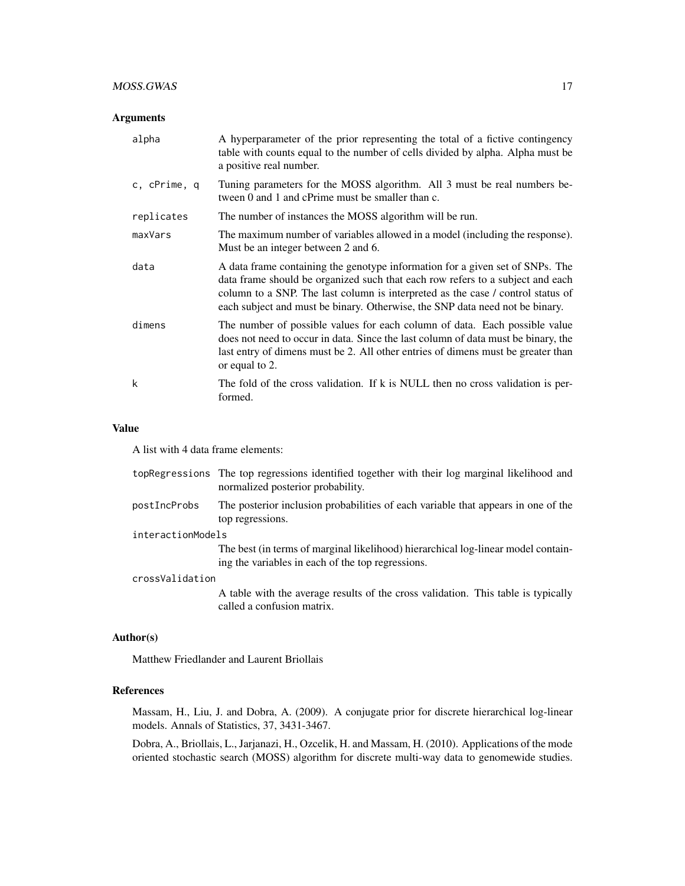## MOSS.GWAS 17

## Arguments

| alpha        | A hyperparameter of the prior representing the total of a fictive contingency<br>table with counts equal to the number of cells divided by alpha. Alpha must be<br>a positive real number.                                                                                                                                         |
|--------------|------------------------------------------------------------------------------------------------------------------------------------------------------------------------------------------------------------------------------------------------------------------------------------------------------------------------------------|
| c, cPrime, q | Tuning parameters for the MOSS algorithm. All 3 must be real numbers be-<br>tween 0 and 1 and cPrime must be smaller than c.                                                                                                                                                                                                       |
| replicates   | The number of instances the MOSS algorithm will be run.                                                                                                                                                                                                                                                                            |
| maxVars      | The maximum number of variables allowed in a model (including the response).<br>Must be an integer between 2 and 6.                                                                                                                                                                                                                |
| data         | A data frame containing the genotype information for a given set of SNPs. The<br>data frame should be organized such that each row refers to a subject and each<br>column to a SNP. The last column is interpreted as the case / control status of<br>each subject and must be binary. Otherwise, the SNP data need not be binary. |
| dimens       | The number of possible values for each column of data. Each possible value<br>does not need to occur in data. Since the last column of data must be binary, the<br>last entry of dimens must be 2. All other entries of dimens must be greater than<br>or equal to 2.                                                              |
| k            | The fold of the cross validation. If k is NULL then no cross validation is per-<br>formed.                                                                                                                                                                                                                                         |

## Value

A list with 4 data frame elements:

|                   | topRegressions The top regressions identified together with their log marginal likelihood and<br>normalized posterior probability.     |
|-------------------|----------------------------------------------------------------------------------------------------------------------------------------|
| postIncProbs      | The posterior inclusion probabilities of each variable that appears in one of the<br>top regressions.                                  |
| interactionModels |                                                                                                                                        |
|                   | The best (in terms of marginal likelihood) hierarchical log-linear model contain-<br>ing the variables in each of the top regressions. |
| crossValidation   |                                                                                                                                        |
|                   | A table with the average results of the cross validation. This table is typically<br>called a confusion matrix.                        |

#### Author(s)

Matthew Friedlander and Laurent Briollais

## References

Massam, H., Liu, J. and Dobra, A. (2009). A conjugate prior for discrete hierarchical log-linear models. Annals of Statistics, 37, 3431-3467.

Dobra, A., Briollais, L., Jarjanazi, H., Ozcelik, H. and Massam, H. (2010). Applications of the mode oriented stochastic search (MOSS) algorithm for discrete multi-way data to genomewide studies.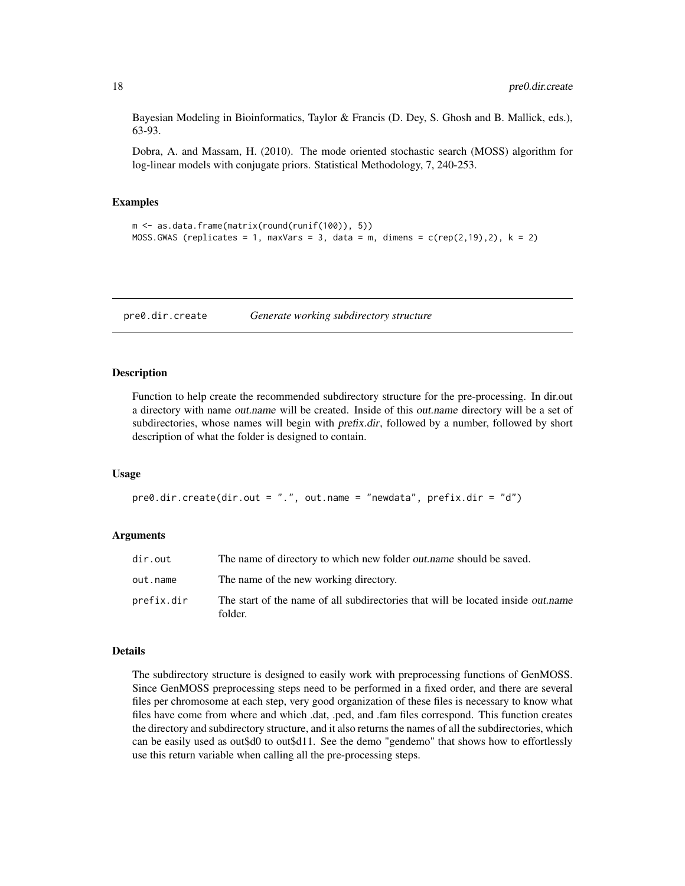<span id="page-17-0"></span>Bayesian Modeling in Bioinformatics, Taylor & Francis (D. Dey, S. Ghosh and B. Mallick, eds.), 63-93.

Dobra, A. and Massam, H. (2010). The mode oriented stochastic search (MOSS) algorithm for log-linear models with conjugate priors. Statistical Methodology, 7, 240-253.

#### Examples

```
m <- as.data.frame(matrix(round(runif(100)), 5))
MOSS.GWAS (replicates = 1, maxVars = 3, data = m, dimens = c(rep(2,19),2), k = 2)
```
<span id="page-17-1"></span>pre0.dir.create *Generate working subdirectory structure*

#### Description

Function to help create the recommended subdirectory structure for the pre-processing. In dir.out a directory with name out.name will be created. Inside of this out.name directory will be a set of subdirectories, whose names will begin with *prefix.dir*, followed by a number, followed by short description of what the folder is designed to contain.

#### Usage

```
pre0.dir.create(dir.out = ".", out.name = "newdata", prefix.dir = "d")
```
#### Arguments

| dir.out    | The name of directory to which new folder <i>out name</i> should be saved.                  |
|------------|---------------------------------------------------------------------------------------------|
| out.name   | The name of the new working directory.                                                      |
| prefix.dir | The start of the name of all subdirectories that will be located inside out name<br>folder. |

#### Details

The subdirectory structure is designed to easily work with preprocessing functions of GenMOSS. Since GenMOSS preprocessing steps need to be performed in a fixed order, and there are several files per chromosome at each step, very good organization of these files is necessary to know what files have come from where and which .dat, .ped, and .fam files correspond. This function creates the directory and subdirectory structure, and it also returns the names of all the subdirectories, which can be easily used as out\$d0 to out\$d11. See the demo "gendemo" that shows how to effortlessly use this return variable when calling all the pre-processing steps.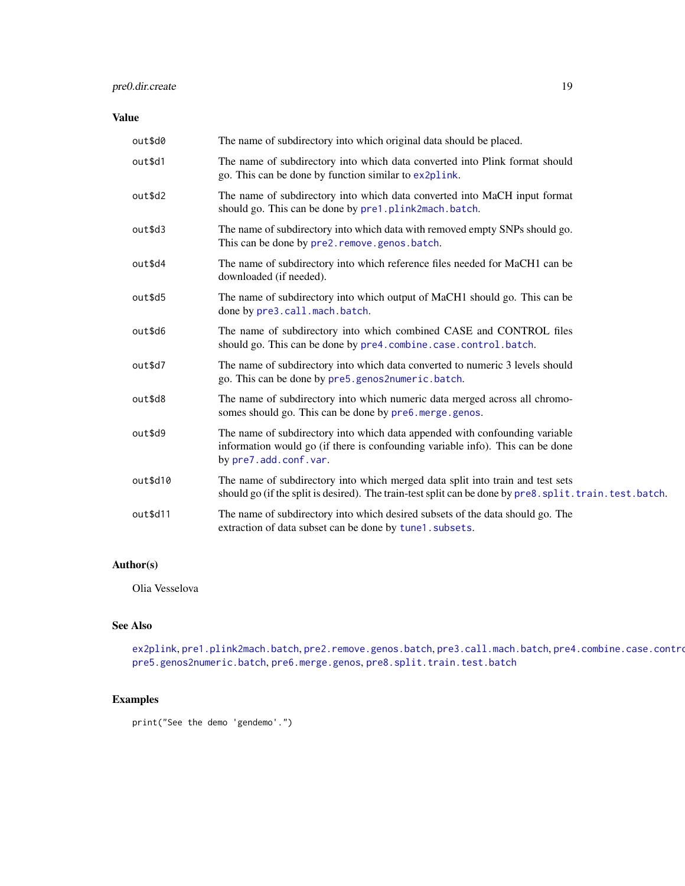## <span id="page-18-0"></span>pre0.dir.create 19

## Value

| out\$d0  | The name of subdirectory into which original data should be placed.                                                                                                                         |
|----------|---------------------------------------------------------------------------------------------------------------------------------------------------------------------------------------------|
| out\$d1  | The name of subdirectory into which data converted into Plink format should<br>go. This can be done by function similar to ex2plink.                                                        |
| out\$d2  | The name of subdirectory into which data converted into MaCH input format<br>should go. This can be done by pre1.plink2mach.batch.                                                          |
| out\$d3  | The name of subdirectory into which data with removed empty SNPs should go.<br>This can be done by pre2. remove. genos. batch.                                                              |
| out\$d4  | The name of subdirectory into which reference files needed for MaCH1 can be<br>downloaded (if needed).                                                                                      |
| out\$d5  | The name of subdirectory into which output of MaCH1 should go. This can be<br>done by pre3.call.mach.batch.                                                                                 |
| out\$d6  | The name of subdirectory into which combined CASE and CONTROL files<br>should go. This can be done by pre4.combine.case.control.batch.                                                      |
| out\$d7  | The name of subdirectory into which data converted to numeric 3 levels should<br>go. This can be done by pre5.genos2numeric.batch.                                                          |
| out\$d8  | The name of subdirectory into which numeric data merged across all chromo-<br>somes should go. This can be done by pre6. merge. genos.                                                      |
| out\$d9  | The name of subdirectory into which data appended with confounding variable<br>information would go (if there is confounding variable info). This can be done<br>by pre7.add.conf.var.      |
| out\$d10 | The name of subdirectory into which merged data split into train and test sets<br>should go (if the split is desired). The train-test split can be done by pre8. split. train. test. batch. |
| out\$d11 | The name of subdirectory into which desired subsets of the data should go. The<br>extraction of data subset can be done by tune1.subsets.                                                   |

## Author(s)

Olia Vesselova

## See Also

[ex2plink](#page-5-1), [pre1.plink2mach.batch](#page-20-1), [pre2.remove.genos.batch](#page-23-1), [pre3.call.mach.batch](#page-27-1), pre4.combine.case.contro [pre5.genos2numeric.batch](#page-34-1), [pre6.merge.genos](#page-36-1), [pre8.split.train.test.batch](#page-42-1)

## Examples

print("See the demo 'gendemo'.")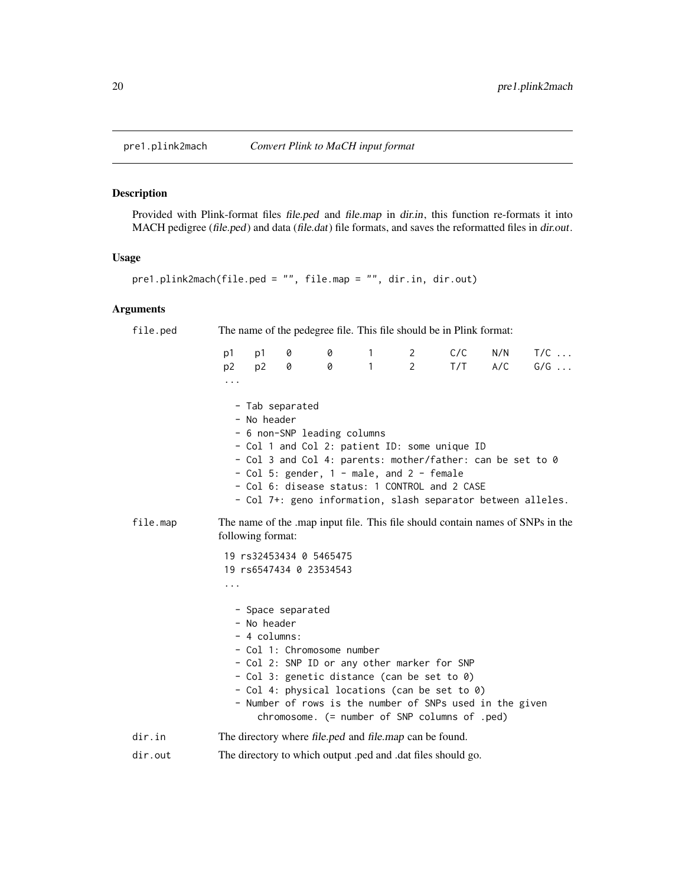<span id="page-19-1"></span><span id="page-19-0"></span>

## Description

Provided with Plink-format files file.ped and file.map in dir.in, this function re-formats it into MACH pedigree (file.ped) and data (file.dat) file formats, and saves the reformatted files in dir.out.

## Usage

```
pre1.plink2mach(file.ped = "", file.map = "", dir.in, dir.out)
```

| file.ped | The name of the pedegree file. This file should be in Plink format:                                |                                                  |        |                                                                          |        |                               |                                                                                                                                                                                                                                                            |            |                                                              |
|----------|----------------------------------------------------------------------------------------------------|--------------------------------------------------|--------|--------------------------------------------------------------------------|--------|-------------------------------|------------------------------------------------------------------------------------------------------------------------------------------------------------------------------------------------------------------------------------------------------------|------------|--------------------------------------------------------------|
|          | p1<br>p <sub>2</sub><br>$\cdots$                                                                   | p1<br>p <sub>2</sub>                             | 0<br>0 | 0<br>$\boldsymbol{\mathsf{\Omega}}$                                      | 1<br>1 | $\mathbf{2}$<br>$\mathcal{P}$ | C/C<br>T/T                                                                                                                                                                                                                                                 | N/N<br>A/C | $T/C$<br>$G/G \ldots$                                        |
|          |                                                                                                    | - Tab separated<br>- No header                   |        | - 6 non-SNP leading columns<br>- Col 5: gender, 1 - male, and 2 - female |        |                               | - Col 1 and Col 2: patient ID: some unique ID<br>- Col 3 and Col 4: parents: mother/father: can be set to 0<br>- Col 6: disease status: 1 CONTROL and 2 CASE                                                                                               |            | - Col 7+: geno information, slash separator between alleles. |
| file.map | The name of the map input file. This file should contain names of SNPs in the<br>following format: |                                                  |        |                                                                          |        |                               |                                                                                                                                                                                                                                                            |            |                                                              |
|          | .                                                                                                  |                                                  |        | 19 rs32453434 0 5465475<br>19 rs6547434 0 23534543                       |        |                               |                                                                                                                                                                                                                                                            |            |                                                              |
|          |                                                                                                    | - Space separated<br>- No header<br>- 4 columns: |        | - Col 1: Chromosome number                                               |        |                               | - Col 2: SNP ID or any other marker for SNP<br>- Col 3: genetic distance (can be set to 0)<br>- Col 4: physical locations (can be set to 0)<br>- Number of rows is the number of SNPs used in the given<br>$chromosome.$ (= number of SNP columns of .ped) |            |                                                              |
| dir.in   |                                                                                                    |                                                  |        | The directory where file.ped and file.map can be found.                  |        |                               |                                                                                                                                                                                                                                                            |            |                                                              |
| dir.out  |                                                                                                    |                                                  |        |                                                                          |        |                               | The directory to which output .ped and .dat files should go.                                                                                                                                                                                               |            |                                                              |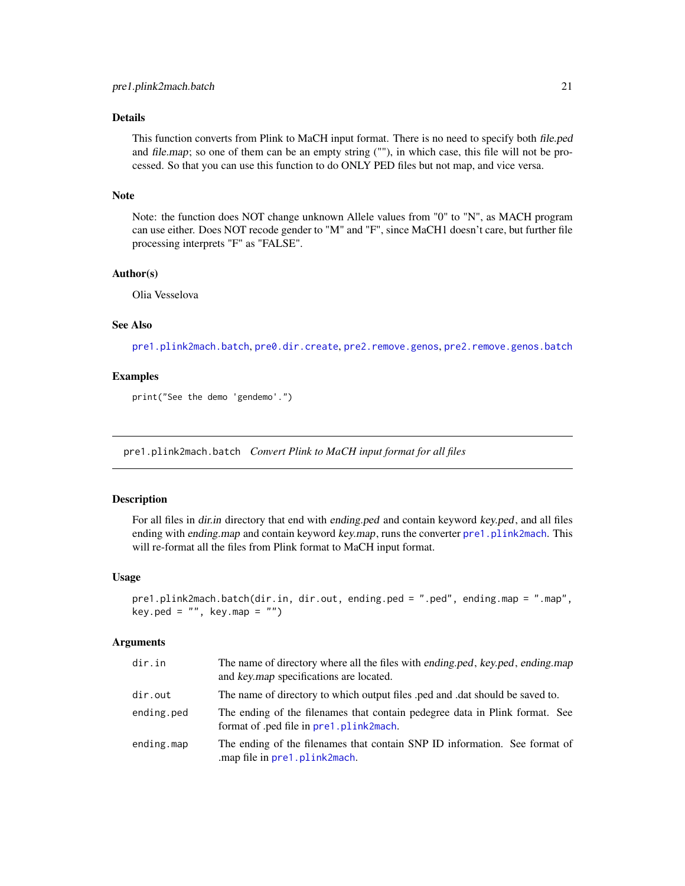<span id="page-20-0"></span>This function converts from Plink to MaCH input format. There is no need to specify both file.ped and file.map; so one of them can be an empty string (""), in which case, this file will not be processed. So that you can use this function to do ONLY PED files but not map, and vice versa.

## Note

Note: the function does NOT change unknown Allele values from "0" to "N", as MACH program can use either. Does NOT recode gender to "M" and "F", since MaCH1 doesn't care, but further file processing interprets "F" as "FALSE".

#### Author(s)

Olia Vesselova

## See Also

[pre1.plink2mach.batch](#page-20-1), [pre0.dir.create](#page-17-1), [pre2.remove.genos](#page-21-1), [pre2.remove.genos.batch](#page-23-1)

## Examples

print("See the demo 'gendemo'.")

<span id="page-20-1"></span>pre1.plink2mach.batch *Convert Plink to MaCH input format for all files*

## **Description**

For all files in dir.in directory that end with ending.ped and contain keyword key.ped, and all files ending with ending.map and contain keyword key.map, runs the converter [pre1.plink2mach](#page-19-1). This will re-format all the files from Plink format to MaCH input format.

#### Usage

```
pre1.plink2mach.batch(dir.in, dir.out, ending.ped = ".ped", ending.map = ".map",
key.ped = ", key.map = ")
```

| dir.in     | The name of directory where all the files with ending.ped, key.ped, ending.map<br>and key.map specifications are located. |
|------------|---------------------------------------------------------------------------------------------------------------------------|
| dir.out    | The name of directory to which output files ped and dat should be saved to.                                               |
| ending.ped | The ending of the filenames that contain pedegree data in Plink format. See<br>format of .ped file in pre1.plink2mach.    |
| ending.map | The ending of the filenames that contain SNP ID information. See format of<br>.map file in pre1.plink2mach.               |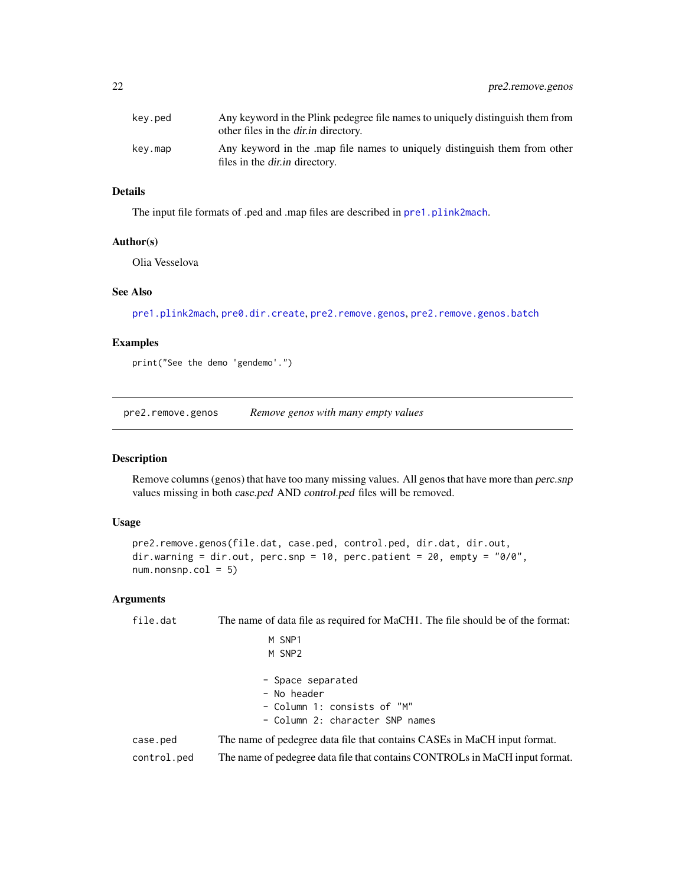<span id="page-21-0"></span>

| kev.ped | Any keyword in the Plink pedegree file names to uniquely distinguish them from<br>other files in the <i>dir.in</i> directory. |
|---------|-------------------------------------------------------------------------------------------------------------------------------|
| key.map | Any keyword in the map file names to uniquely distinguish them from other<br>files in the <i>dir.in</i> directory.            |

The input file formats of .ped and .map files are described in [pre1.plink2mach](#page-19-1).

#### Author(s)

Olia Vesselova

## See Also

[pre1.plink2mach](#page-19-1), [pre0.dir.create](#page-17-1), [pre2.remove.genos](#page-21-1), [pre2.remove.genos.batch](#page-23-1)

#### Examples

print("See the demo 'gendemo'.")

<span id="page-21-1"></span>pre2.remove.genos *Remove genos with many empty values*

## Description

Remove columns (genos) that have too many missing values. All genos that have more than perc.snp values missing in both case.ped AND control.ped files will be removed.

## Usage

```
pre2.remove.genos(file.dat, case.ped, control.ped, dir.dat, dir.out,
dir.warning = dir.out, perc.snp = 10, perc.patient = 20, empty = "0/0",
num.nonsnp.col = 5)
```

| file.dat    | The name of data file as required for MaCH1. The file should be of the format: |  |  |  |  |  |
|-------------|--------------------------------------------------------------------------------|--|--|--|--|--|
|             | M SNP1                                                                         |  |  |  |  |  |
|             | M SNP2                                                                         |  |  |  |  |  |
|             | - Space separated                                                              |  |  |  |  |  |
|             | - No header                                                                    |  |  |  |  |  |
|             | - Column 1: consists of "M"                                                    |  |  |  |  |  |
|             | - Column 2: character SNP names                                                |  |  |  |  |  |
| case.ped    | The name of pedegree data file that contains CASEs in MaCH input format.       |  |  |  |  |  |
| control.ped | The name of pedegree data file that contains CONTROLs in MaCH input format.    |  |  |  |  |  |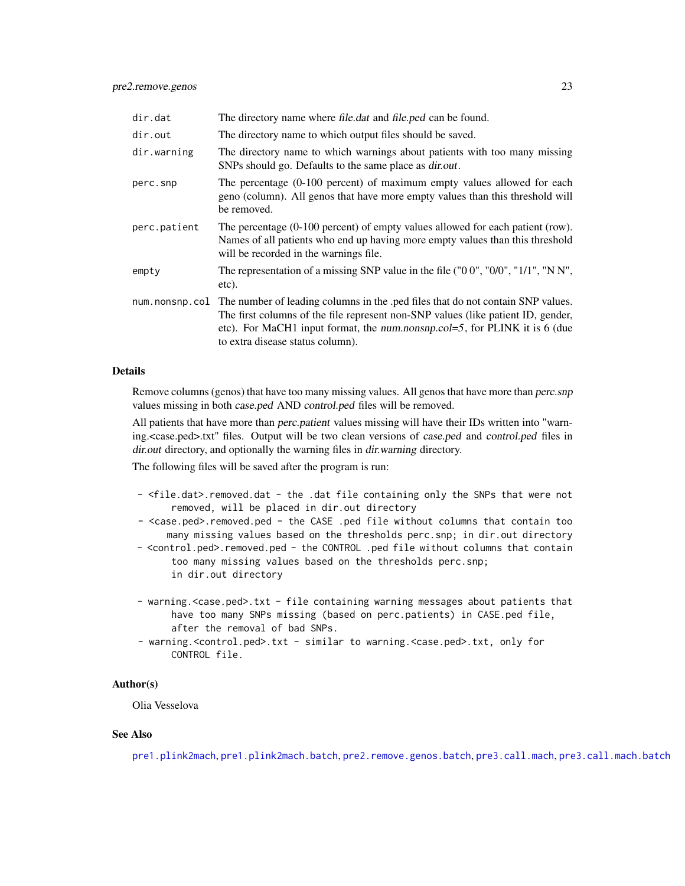<span id="page-22-0"></span>

| dir.dat      | The directory name where file.dat and file.ped can be found.                                                                                                                                                                                                                                           |
|--------------|--------------------------------------------------------------------------------------------------------------------------------------------------------------------------------------------------------------------------------------------------------------------------------------------------------|
| dir.out      | The directory name to which output files should be saved.                                                                                                                                                                                                                                              |
| dir.warning  | The directory name to which warnings about patients with too many missing<br>SNPs should go. Defaults to the same place as <i>dir.out</i> .                                                                                                                                                            |
| perc.snp     | The percentage (0-100 percent) of maximum empty values allowed for each<br>geno (column). All genos that have more empty values than this threshold will<br>be removed.                                                                                                                                |
| perc.patient | The percentage (0-100 percent) of empty values allowed for each patient (row).<br>Names of all patients who end up having more empty values than this threshold<br>will be recorded in the warnings file.                                                                                              |
| empty        | The representation of a missing SNP value in the file $("0 0", "0/0", "1/1", "N N",$<br>etc).                                                                                                                                                                                                          |
|              | num. nonsnp. col The number of leading columns in the .ped files that do not contain SNP values.<br>The first columns of the file represent non-SNP values (like patient ID, gender,<br>etc). For MaCH1 input format, the num.nonsnp.col=5, for PLINK it is 6 (due<br>to extra disease status column). |

Remove columns (genos) that have too many missing values. All genos that have more than *perc.snp* values missing in both case.ped AND control.ped files will be removed.

All patients that have more than *perc.patient* values missing will have their IDs written into "warning.<case.ped>.txt" files. Output will be two clean versions of case.ped and control.ped files in dir.out directory, and optionally the warning files in dir.warning directory.

The following files will be saved after the program is run:

- <file.dat>.removed.dat the .dat file containing only the SNPs that were not removed, will be placed in dir.out directory
- <case.ped>.removed.ped the CASE .ped file without columns that contain too many missing values based on the thresholds perc.snp; in dir.out directory
- <control.ped>.removed.ped the CONTROL .ped file without columns that contain too many missing values based on the thresholds perc.snp; in dir.out directory
- warning.<case.ped>.txt file containing warning messages about patients that have too many SNPs missing (based on perc.patients) in CASE.ped file, after the removal of bad SNPs.
- warning.<control.ped>.txt similar to warning.<case.ped>.txt, only for CONTROL file.

#### Author(s)

Olia Vesselova

#### See Also

[pre1.plink2mach](#page-19-1), [pre1.plink2mach.batch](#page-20-1), [pre2.remove.genos.batch](#page-23-1), [pre3.call.mach](#page-24-1), [pre3.call.mach.batch](#page-27-1)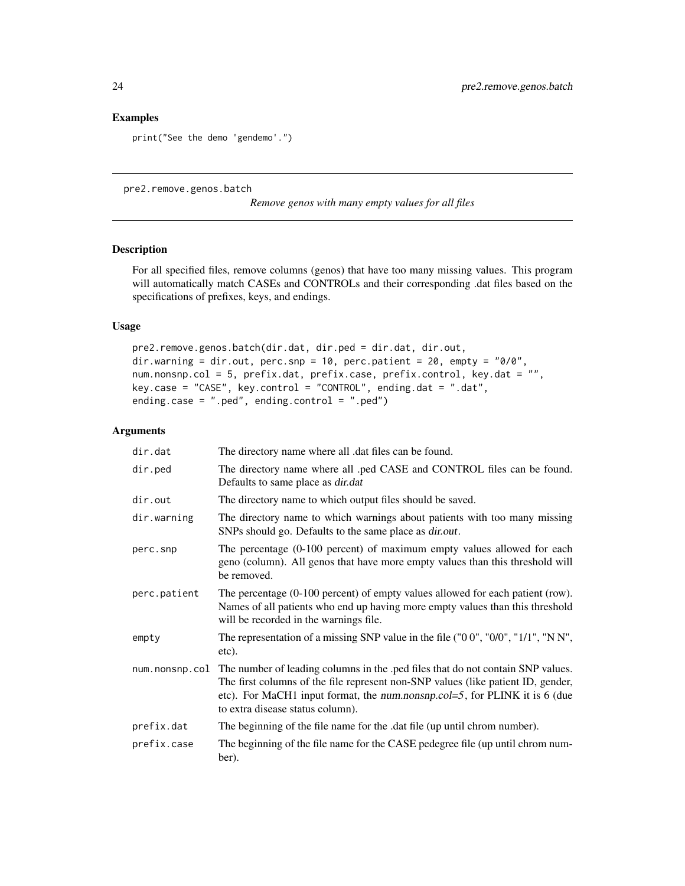#### <span id="page-23-0"></span>Examples

```
print("See the demo 'gendemo'.")
```
<span id="page-23-1"></span>pre2.remove.genos.batch

*Remove genos with many empty values for all files*

## Description

For all specified files, remove columns (genos) that have too many missing values. This program will automatically match CASEs and CONTROLs and their corresponding .dat files based on the specifications of prefixes, keys, and endings.

#### Usage

```
pre2.remove.genos.batch(dir.dat, dir.ped = dir.dat, dir.out,
dir.warning = dir.out, perc.snp = 10, perc.patient = 20, empty = "0/0",
num.nonsnp.col = 5, prefix.dat, prefix.case, prefix.control, key.dat = "",
key.case = "CASE", key.control = "CONTROL", ending.dat = ".dat",
ending.case = ".ped", ending.control = ".ped")
```

| dir.dat        | The directory name where all .dat files can be found.                                                                                                                                                                                                                                 |
|----------------|---------------------------------------------------------------------------------------------------------------------------------------------------------------------------------------------------------------------------------------------------------------------------------------|
| dir.ped        | The directory name where all .ped CASE and CONTROL files can be found.<br>Defaults to same place as <i>dir.dat</i>                                                                                                                                                                    |
| dir.out        | The directory name to which output files should be saved.                                                                                                                                                                                                                             |
| dir.warning    | The directory name to which warnings about patients with too many missing<br>SNPs should go. Defaults to the same place as <i>dir.out</i> .                                                                                                                                           |
| perc.snp       | The percentage (0-100 percent) of maximum empty values allowed for each<br>geno (column). All genos that have more empty values than this threshold will<br>be removed.                                                                                                               |
| perc.patient   | The percentage (0-100 percent) of empty values allowed for each patient (row).<br>Names of all patients who end up having more empty values than this threshold<br>will be recorded in the warnings file.                                                                             |
| empty          | The representation of a missing SNP value in the file ("00", "0/0", "1/1", "N N",<br>etc).                                                                                                                                                                                            |
| num.nonsnp.col | The number of leading columns in the .ped files that do not contain SNP values.<br>The first columns of the file represent non-SNP values (like patient ID, gender,<br>etc). For MaCH1 input format, the num.nonsnp.col=5, for PLINK it is 6 (due<br>to extra disease status column). |
| prefix.dat     | The beginning of the file name for the .dat file (up until chrom number).                                                                                                                                                                                                             |
| prefix.case    | The beginning of the file name for the CASE pedegree file (up until chrom num-<br>ber).                                                                                                                                                                                               |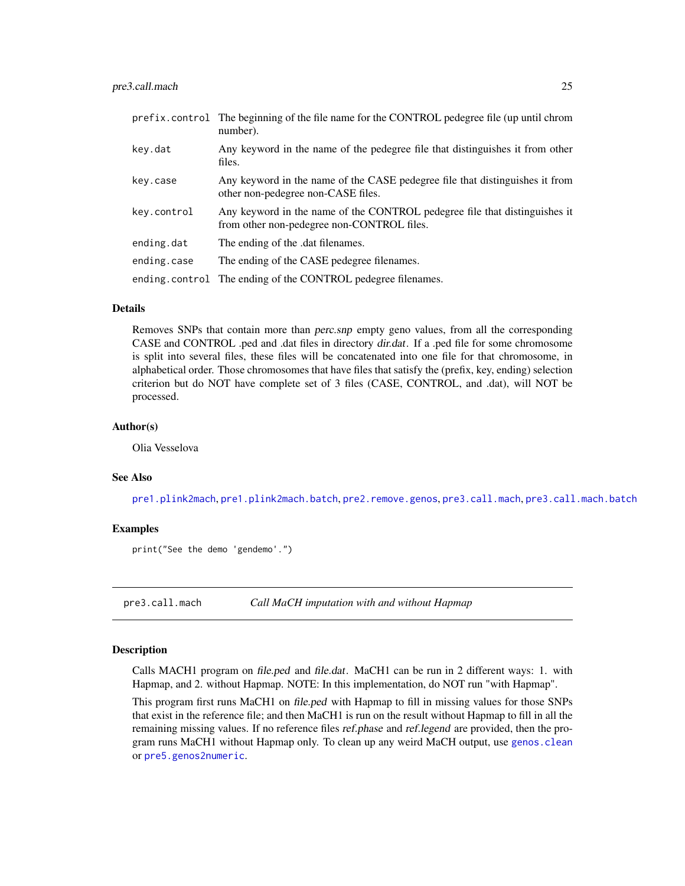<span id="page-24-0"></span>

|             | prefix.control The beginning of the file name for the CONTROL pedegree file (up until chrom<br>number).                  |
|-------------|--------------------------------------------------------------------------------------------------------------------------|
| key.dat     | Any keyword in the name of the pedegree file that distinguishes it from other<br>files.                                  |
| key.case    | Any keyword in the name of the CASE pedegree file that distinguishes it from<br>other non-pedegree non-CASE files.       |
| key.control | Any keyword in the name of the CONTROL pedegree file that distinguishes it<br>from other non-pedegree non-CONTROL files. |
| ending.dat  | The ending of the .dat filenames.                                                                                        |
| ending.case | The ending of the CASE pedegree filenames.                                                                               |
|             | ending.control The ending of the CONTROL pedegree filenames.                                                             |

Removes SNPs that contain more than perc.snp empty geno values, from all the corresponding CASE and CONTROL .ped and .dat files in directory dir.dat. If a .ped file for some chromosome is split into several files, these files will be concatenated into one file for that chromosome, in alphabetical order. Those chromosomes that have files that satisfy the (prefix, key, ending) selection criterion but do NOT have complete set of 3 files (CASE, CONTROL, and .dat), will NOT be processed.

#### Author(s)

Olia Vesselova

#### See Also

[pre1.plink2mach](#page-19-1), [pre1.plink2mach.batch](#page-20-1), [pre2.remove.genos](#page-21-1), [pre3.call.mach](#page-24-1), [pre3.call.mach.batch](#page-27-1)

## Examples

print("See the demo 'gendemo'.")

<span id="page-24-1"></span>pre3.call.mach *Call MaCH imputation with and without Hapmap*

#### Description

Calls MACH1 program on file.ped and file.dat. MaCH1 can be run in 2 different ways: 1. with Hapmap, and 2. without Hapmap. NOTE: In this implementation, do NOT run "with Hapmap".

This program first runs MaCH1 on file.ped with Hapmap to fill in missing values for those SNPs that exist in the reference file; and then MaCH1 is run on the result without Hapmap to fill in all the remaining missing values. If no reference files *ref.phase* and *ref.legend* are provided, then the program runs MaCH1 without Hapmap only. To clean up any weird MaCH output, use [genos.clean](#page-10-1) or [pre5.genos2numeric](#page-32-1).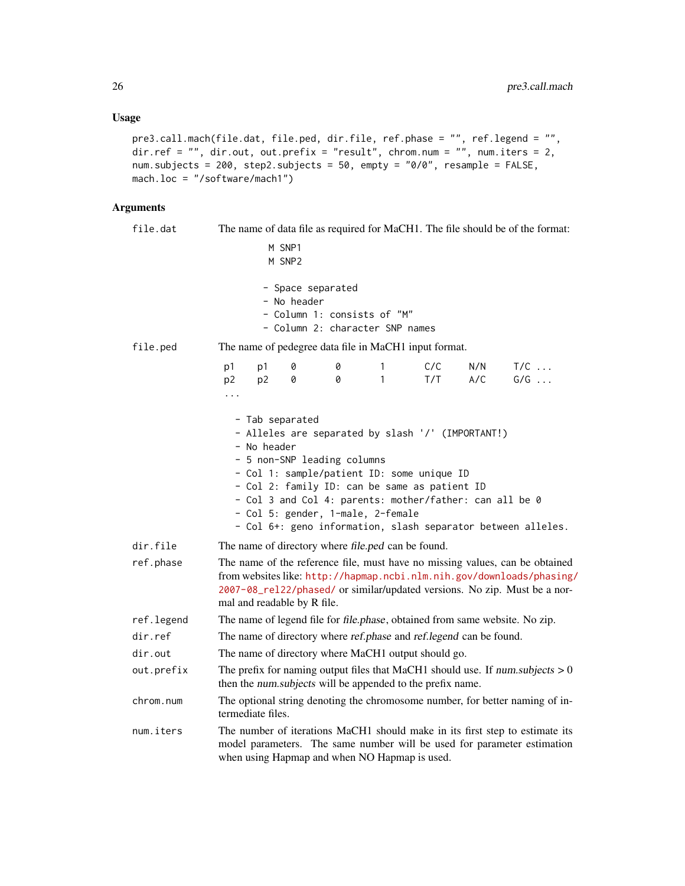## Usage

```
pre3.call.mach(file.dat, file.ped, dir.file, ref.phase = "", ref.legend = "",
dir.ref = "", dir.out, out.prefix = "result", chrom.num = "", num.iters = 2,
num.subjects = 200, step2.subjects = 50, empty = "0/0", resample = FALSE,
mach.loc = "/software/mach1")
```

| file.dat   |                                                                                                                                                                                                                                                                                                                                                                                   | The name of data file as required for MaCH1. The file should be of the format:                     |        |        |            |            |                                                                              |  |  |  |
|------------|-----------------------------------------------------------------------------------------------------------------------------------------------------------------------------------------------------------------------------------------------------------------------------------------------------------------------------------------------------------------------------------|----------------------------------------------------------------------------------------------------|--------|--------|------------|------------|------------------------------------------------------------------------------|--|--|--|
|            | M SNP1                                                                                                                                                                                                                                                                                                                                                                            |                                                                                                    |        |        |            |            |                                                                              |  |  |  |
|            |                                                                                                                                                                                                                                                                                                                                                                                   | M SNP <sub>2</sub>                                                                                 |        |        |            |            |                                                                              |  |  |  |
|            |                                                                                                                                                                                                                                                                                                                                                                                   | - Space separated<br>- No header<br>- Column 1: consists of "M"<br>- Column 2: character SNP names |        |        |            |            |                                                                              |  |  |  |
| file.ped   | The name of pedegree data file in MaCH1 input format.                                                                                                                                                                                                                                                                                                                             |                                                                                                    |        |        |            |            |                                                                              |  |  |  |
|            | p1<br>p1<br>p <sub>2</sub><br>p <sub>2</sub>                                                                                                                                                                                                                                                                                                                                      | 0<br>0                                                                                             | 0<br>0 | 1<br>1 | C/C<br>T/T | N/N<br>A/C | $T/C$<br>$G/G$                                                               |  |  |  |
|            | .                                                                                                                                                                                                                                                                                                                                                                                 |                                                                                                    |        |        |            |            |                                                                              |  |  |  |
|            | - Tab separated<br>- Alleles are separated by slash '/' (IMPORTANT!)<br>- No header<br>- 5 non-SNP leading columns<br>- Col 1: sample/patient ID: some unique ID<br>- Col 2: family ID: can be same as patient ID<br>- Col 3 and Col 4: parents: mother/father: can all be 0<br>- Col 5: gender, 1-male, 2-female<br>- Col 6+: geno information, slash separator between alleles. |                                                                                                    |        |        |            |            |                                                                              |  |  |  |
| dir.file   | The name of directory where file.ped can be found.                                                                                                                                                                                                                                                                                                                                |                                                                                                    |        |        |            |            |                                                                              |  |  |  |
| ref.phase  | The name of the reference file, must have no missing values, can be obtained<br>from websites like: http://hapmap.ncbi.nlm.nih.gov/downloads/phasing/<br>2007-08_rel22/phased/ or similar/updated versions. No zip. Must be a nor-<br>mal and readable by R file.                                                                                                                 |                                                                                                    |        |        |            |            |                                                                              |  |  |  |
| ref.legend | The name of legend file for file.phase, obtained from same website. No zip.                                                                                                                                                                                                                                                                                                       |                                                                                                    |        |        |            |            |                                                                              |  |  |  |
| dir.ref    | The name of directory where ref.phase and ref.legend can be found.                                                                                                                                                                                                                                                                                                                |                                                                                                    |        |        |            |            |                                                                              |  |  |  |
| dir.out    | The name of directory where MaCH1 output should go.                                                                                                                                                                                                                                                                                                                               |                                                                                                    |        |        |            |            |                                                                              |  |  |  |
| out.prefix | The prefix for naming output files that MaCH1 should use. If num.subjects $> 0$<br>then the num.subjects will be appended to the prefix name.                                                                                                                                                                                                                                     |                                                                                                    |        |        |            |            |                                                                              |  |  |  |
| chrom.num  | termediate files.                                                                                                                                                                                                                                                                                                                                                                 |                                                                                                    |        |        |            |            | The optional string denoting the chromosome number, for better naming of in- |  |  |  |
| num.iters  | The number of iterations MaCH1 should make in its first step to estimate its<br>model parameters. The same number will be used for parameter estimation<br>when using Hapmap and when NO Hapmap is used.                                                                                                                                                                          |                                                                                                    |        |        |            |            |                                                                              |  |  |  |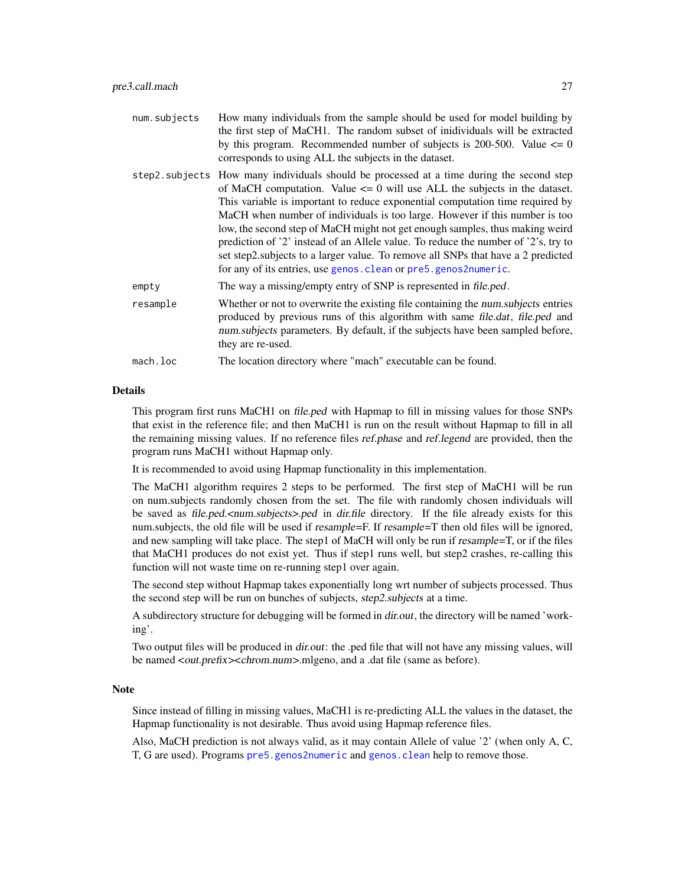<span id="page-26-0"></span>

| num.subjects | How many individuals from the sample should be used for model building by<br>the first step of MaCH1. The random subset of inidividuals will be extracted<br>by this program. Recommended number of subjects is 200-500. Value $\leq 0$<br>corresponds to using ALL the subjects in the dataset.                                                                                                                                                                                                                                                                                                                                                                        |
|--------------|-------------------------------------------------------------------------------------------------------------------------------------------------------------------------------------------------------------------------------------------------------------------------------------------------------------------------------------------------------------------------------------------------------------------------------------------------------------------------------------------------------------------------------------------------------------------------------------------------------------------------------------------------------------------------|
|              | step2.subjects How many individuals should be processed at a time during the second step<br>of MaCH computation. Value $\leq 0$ will use ALL the subjects in the dataset.<br>This variable is important to reduce exponential computation time required by<br>MaCH when number of individuals is too large. However if this number is too<br>low, the second step of MaCH might not get enough samples, thus making weird<br>prediction of '2' instead of an Allele value. To reduce the number of '2's, try to<br>set step2.subjects to a larger value. To remove all SNPs that have a 2 predicted<br>for any of its entries, use genos. clean or pre5. genos2numeric. |
| empty        | The way a missing/empty entry of SNP is represented in file.ped.                                                                                                                                                                                                                                                                                                                                                                                                                                                                                                                                                                                                        |
| resample     | Whether or not to overwrite the existing file containing the num subjects entries<br>produced by previous runs of this algorithm with same file.dat, file.ped and<br>num.subjects parameters. By default, if the subjects have been sampled before,<br>they are re-used.                                                                                                                                                                                                                                                                                                                                                                                                |
| mach.loc     | The location directory where "mach" executable can be found.                                                                                                                                                                                                                                                                                                                                                                                                                                                                                                                                                                                                            |

This program first runs MaCH1 on file.ped with Hapmap to fill in missing values for those SNPs that exist in the reference file; and then MaCH1 is run on the result without Hapmap to fill in all the remaining missing values. If no reference files ref.phase and ref.legend are provided, then the program runs MaCH1 without Hapmap only.

It is recommended to avoid using Hapmap functionality in this implementation.

The MaCH1 algorithm requires 2 steps to be performed. The first step of MaCH1 will be run on num.subjects randomly chosen from the set. The file with randomly chosen individuals will be saved as file.ped.<num.subjects>.ped in dir.file directory. If the file already exists for this num.subjects, the old file will be used if resample=F. If resample=T then old files will be ignored, and new sampling will take place. The step1 of MaCH will only be run if resample=T, or if the files that MaCH1 produces do not exist yet. Thus if step1 runs well, but step2 crashes, re-calling this function will not waste time on re-running step1 over again.

The second step without Hapmap takes exponentially long wrt number of subjects processed. Thus the second step will be run on bunches of subjects, step2.subjects at a time.

A subdirectory structure for debugging will be formed in dir.out, the directory will be named 'working'.

Two output files will be produced in *dir.out*: the .ped file that will not have any missing values, will be named <out.prefix><chrom.num>.mlgeno, and a .dat file (same as before).

### Note

Since instead of filling in missing values, MaCH1 is re-predicting ALL the values in the dataset, the Hapmap functionality is not desirable. Thus avoid using Hapmap reference files.

Also, MaCH prediction is not always valid, as it may contain Allele of value '2' (when only A, C, T, G are used). Programs [pre5.genos2numeric](#page-32-1) and [genos.clean](#page-10-1) help to remove those.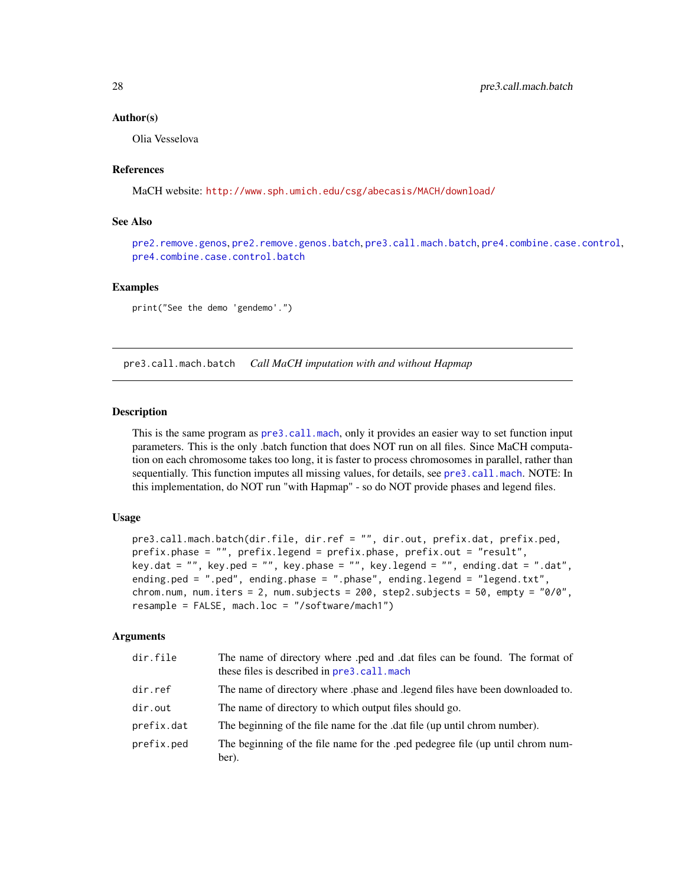#### Author(s)

Olia Vesselova

## References

MaCH website: <http://www.sph.umich.edu/csg/abecasis/MACH/download/>

## See Also

[pre2.remove.genos](#page-21-1), [pre2.remove.genos.batch](#page-23-1), [pre3.call.mach.batch](#page-27-1), [pre4.combine.case.control](#page-29-1), [pre4.combine.case.control.batch](#page-30-1)

## Examples

print("See the demo 'gendemo'.")

<span id="page-27-1"></span>pre3.call.mach.batch *Call MaCH imputation with and without Hapmap*

## Description

This is the same program as [pre3.call.mach](#page-24-1), only it provides an easier way to set function input parameters. This is the only .batch function that does NOT run on all files. Since MaCH computation on each chromosome takes too long, it is faster to process chromosomes in parallel, rather than sequentially. This function imputes all missing values, for details, see [pre3.call.mach](#page-24-1). NOTE: In this implementation, do NOT run "with Hapmap" - so do NOT provide phases and legend files.

#### Usage

```
pre3.call.mach.batch(dir.file, dir.ref = "", dir.out, prefix.dat, prefix.ped,
prefix.phase = "", prefix.legend = prefix.phase, prefix.out = "result",
key.dat = ", key.ped = ", key.phase = ", key.legend = ", ending.dat = ".dat",
ending.ped = ".ped", ending.phase = ".phase", ending.legend = "legend.txt",
chrom.num, num.iters = 2, num.subjects = 200, step2.subjects = 50, empty = "9/0",resample = FALSE, mach.loc = "/software/mach1")
```

| dir.file   | The name of directory where .ped and .dat files can be found. The format of<br>these files is described in pre3.call.mach |
|------------|---------------------------------------------------------------------------------------------------------------------------|
| dir.ref    | The name of directory where phase and legend files have been downloaded to.                                               |
| dir.out    | The name of directory to which output files should go.                                                                    |
| prefix.dat | The beginning of the file name for the .dat file (up until chrom number).                                                 |
| prefix.ped | The beginning of the file name for the .ped pedegree file (up until chrom num-<br>ber).                                   |

<span id="page-27-0"></span>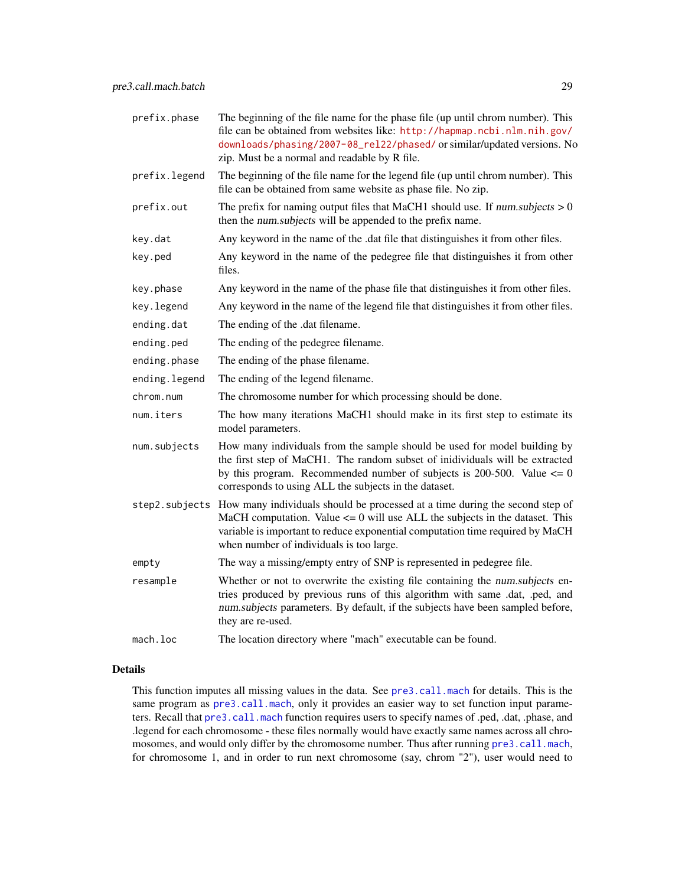| prefix.phase  | The beginning of the file name for the phase file (up until chrom number). This<br>file can be obtained from websites like: http://hapmap.ncbi.nlm.nih.gov/<br>downloads/phasing/2007-08_rel22/phased/ or similar/updated versions. No<br>zip. Must be a normal and readable by R file.                     |  |
|---------------|-------------------------------------------------------------------------------------------------------------------------------------------------------------------------------------------------------------------------------------------------------------------------------------------------------------|--|
| prefix.legend | The beginning of the file name for the legend file (up until chrom number). This<br>file can be obtained from same website as phase file. No zip.                                                                                                                                                           |  |
| prefix.out    | The prefix for naming output files that MaCH1 should use. If num.subjects $> 0$<br>then the num.subjects will be appended to the prefix name.                                                                                                                                                               |  |
| key.dat       | Any keyword in the name of the .dat file that distinguishes it from other files.                                                                                                                                                                                                                            |  |
| key.ped       | Any keyword in the name of the pedegree file that distinguishes it from other<br>files.                                                                                                                                                                                                                     |  |
| key.phase     | Any keyword in the name of the phase file that distinguishes it from other files.                                                                                                                                                                                                                           |  |
| key.legend    | Any keyword in the name of the legend file that distinguishes it from other files.                                                                                                                                                                                                                          |  |
| ending.dat    | The ending of the .dat filename.                                                                                                                                                                                                                                                                            |  |
| ending.ped    | The ending of the pedegree filename.                                                                                                                                                                                                                                                                        |  |
| ending.phase  | The ending of the phase filename.                                                                                                                                                                                                                                                                           |  |
| ending.legend | The ending of the legend filename.                                                                                                                                                                                                                                                                          |  |
| chrom.num     | The chromosome number for which processing should be done.                                                                                                                                                                                                                                                  |  |
| num.iters     | The how many iterations MaCH1 should make in its first step to estimate its<br>model parameters.                                                                                                                                                                                                            |  |
| num.subjects  | How many individuals from the sample should be used for model building by<br>the first step of MaCH1. The random subset of inidividuals will be extracted<br>by this program. Recommended number of subjects is 200-500. Value $\leq 0$<br>corresponds to using ALL the subjects in the dataset.            |  |
|               | step2.subjects How many individuals should be processed at a time during the second step of<br>MaCH computation. Value $\leq$ 0 will use ALL the subjects in the dataset. This<br>variable is important to reduce exponential computation time required by MaCH<br>when number of individuals is too large. |  |
| empty         | The way a missing/empty entry of SNP is represented in pedegree file.                                                                                                                                                                                                                                       |  |
| resample      | Whether or not to overwrite the existing file containing the num.subjects en-<br>tries produced by previous runs of this algorithm with same .dat, .ped, and<br>num.subjects parameters. By default, if the subjects have been sampled before,<br>they are re-used.                                         |  |
| mach.loc      | The location directory where "mach" executable can be found.                                                                                                                                                                                                                                                |  |

This function imputes all missing values in the data. See [pre3.call.mach](#page-24-1) for details. This is the same program as [pre3.call.mach](#page-24-1), only it provides an easier way to set function input parameters. Recall that [pre3.call.mach](#page-24-1) function requires users to specify names of .ped, .dat, .phase, and .legend for each chromosome - these files normally would have exactly same names across all chromosomes, and would only differ by the chromosome number. Thus after running [pre3.call.mach](#page-24-1), for chromosome 1, and in order to run next chromosome (say, chrom "2"), user would need to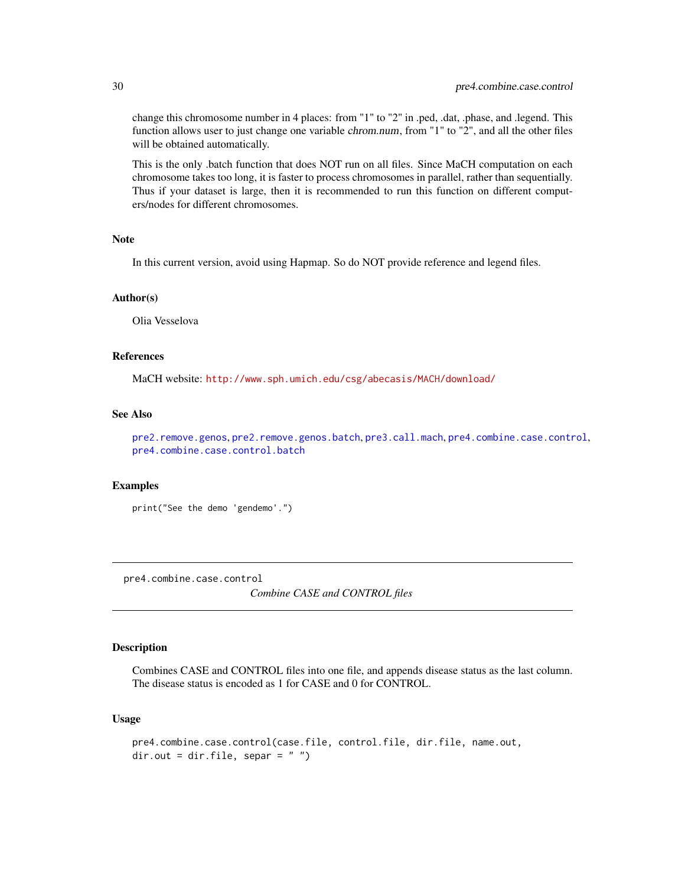change this chromosome number in 4 places: from "1" to "2" in .ped, .dat, .phase, and .legend. This function allows user to just change one variable *chrom.num*, from "1" to "2", and all the other files will be obtained automatically.

This is the only .batch function that does NOT run on all files. Since MaCH computation on each chromosome takes too long, it is faster to process chromosomes in parallel, rather than sequentially. Thus if your dataset is large, then it is recommended to run this function on different computers/nodes for different chromosomes.

## Note

In this current version, avoid using Hapmap. So do NOT provide reference and legend files.

#### Author(s)

Olia Vesselova

## References

MaCH website: <http://www.sph.umich.edu/csg/abecasis/MACH/download/>

## See Also

[pre2.remove.genos](#page-21-1), [pre2.remove.genos.batch](#page-23-1), [pre3.call.mach](#page-24-1), [pre4.combine.case.control](#page-29-1), [pre4.combine.case.control.batch](#page-30-1)

## Examples

```
print("See the demo 'gendemo'.")
```
<span id="page-29-1"></span>pre4.combine.case.control *Combine CASE and CONTROL files*

## Description

Combines CASE and CONTROL files into one file, and appends disease status as the last column. The disease status is encoded as 1 for CASE and 0 for CONTROL.

#### Usage

```
pre4.combine.case.control(case.file, control.file, dir.file, name.out,
dir.out = dir.file, separ = "")
```
<span id="page-29-0"></span>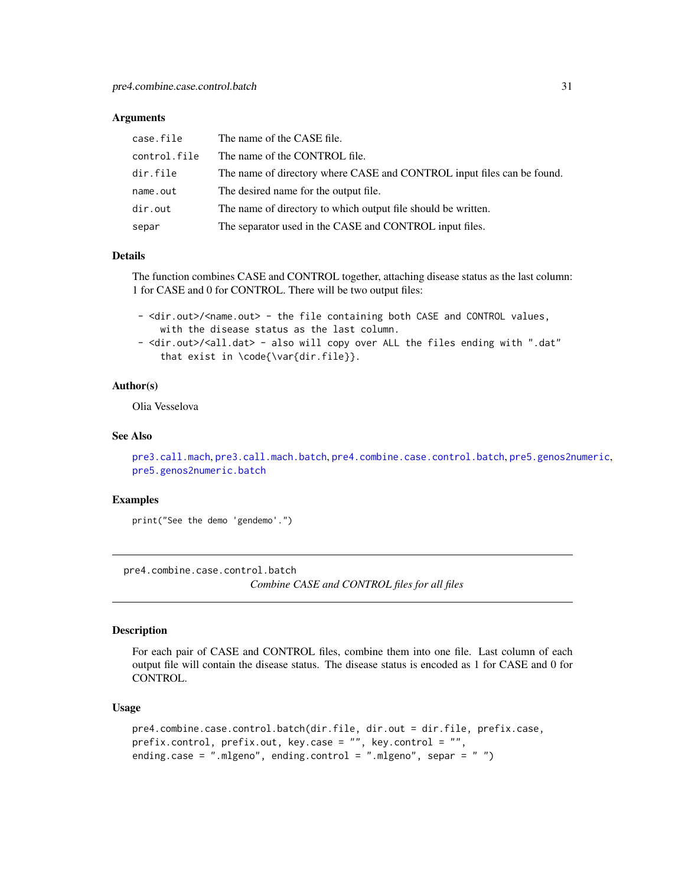#### <span id="page-30-0"></span>Arguments

| case.file    | The name of the CASE file.                                             |
|--------------|------------------------------------------------------------------------|
| control.file | The name of the CONTROL file.                                          |
| dir.file     | The name of directory where CASE and CONTROL input files can be found. |
| name.out     | The desired name for the output file.                                  |
| dir.out      | The name of directory to which output file should be written.          |
| separ        | The separator used in the CASE and CONTROL input files.                |

## Details

The function combines CASE and CONTROL together, attaching disease status as the last column: 1 for CASE and 0 for CONTROL. There will be two output files:

- <dir.out>/<name.out> - the file containing both CASE and CONTROL values, with the disease status as the last column.

- <dir.out>/<all.dat> - also will copy over ALL the files ending with ".dat" that exist in \code{\var{dir.file}}.

## Author(s)

Olia Vesselova

#### See Also

```
pre3.call.mach, pre3.call.mach.batch, pre4.combine.case.control.batch, pre5.genos2numeric,
pre5.genos2numeric.batch
```
#### Examples

print("See the demo 'gendemo'.")

<span id="page-30-1"></span>pre4.combine.case.control.batch *Combine CASE and CONTROL files for all files*

#### Description

For each pair of CASE and CONTROL files, combine them into one file. Last column of each output file will contain the disease status. The disease status is encoded as 1 for CASE and 0 for CONTROL.

#### Usage

```
pre4.combine.case.control.batch(dir.file, dir.out = dir.file, prefix.case,
prefix.control, prefix.out, key.case = "", key.control = "",
ending.case = ".mlgeno", ending.control = ".mlgeno", separ = " ")
```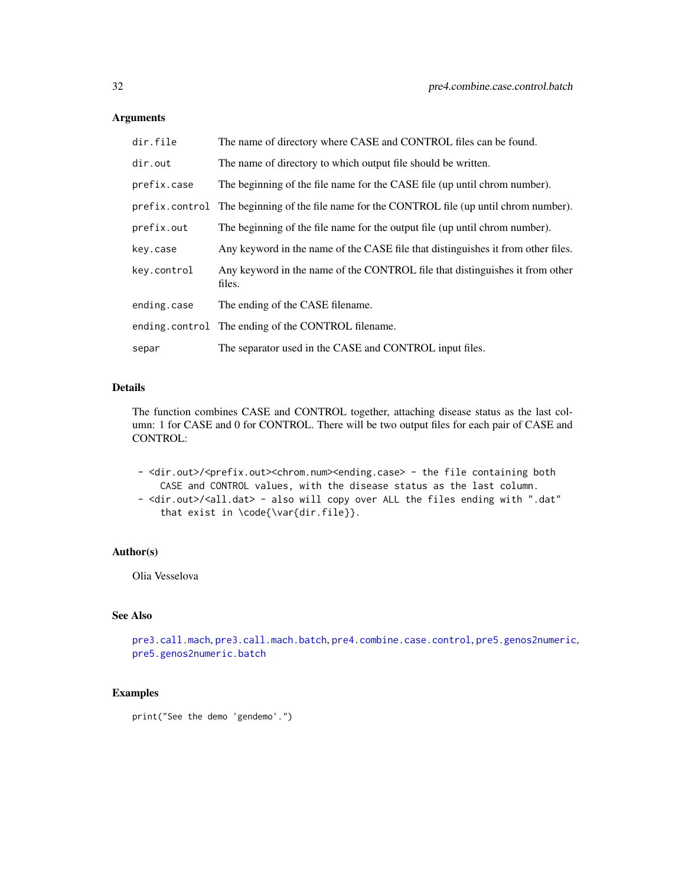## <span id="page-31-0"></span>Arguments

| dir.file    | The name of directory where CASE and CONTROL files can be found.                            |  |
|-------------|---------------------------------------------------------------------------------------------|--|
| dir.out     | The name of directory to which output file should be written.                               |  |
| prefix.case | The beginning of the file name for the CASE file (up until chrom number).                   |  |
|             | prefix.control The beginning of the file name for the CONTROL file (up until chrom number). |  |
| prefix.out  | The beginning of the file name for the output file (up until chrom number).                 |  |
| key.case    | Any keyword in the name of the CASE file that distinguishes it from other files.            |  |
| key.control | Any keyword in the name of the CONTROL file that distinguishes it from other<br>files.      |  |
| ending.case | The ending of the CASE filename.                                                            |  |
|             | ending.control The ending of the CONTROL filename.                                          |  |
| separ       | The separator used in the CASE and CONTROL input files.                                     |  |

## Details

The function combines CASE and CONTROL together, attaching disease status as the last column: 1 for CASE and 0 for CONTROL. There will be two output files for each pair of CASE and CONTROL:

- <dir.out>/<prefix.out><chrom.num><ending.case> - the file containing both CASE and CONTROL values, with the disease status as the last column. - <dir.out>/<all.dat> - also will copy over ALL the files ending with ".dat" that exist in \code{\var{dir.file}}.

#### Author(s)

Olia Vesselova

## See Also

```
pre3.call.mach, pre3.call.mach.batch, pre4.combine.case.control, pre5.genos2numeric,
pre5.genos2numeric.batch
```
## Examples

print("See the demo 'gendemo'.")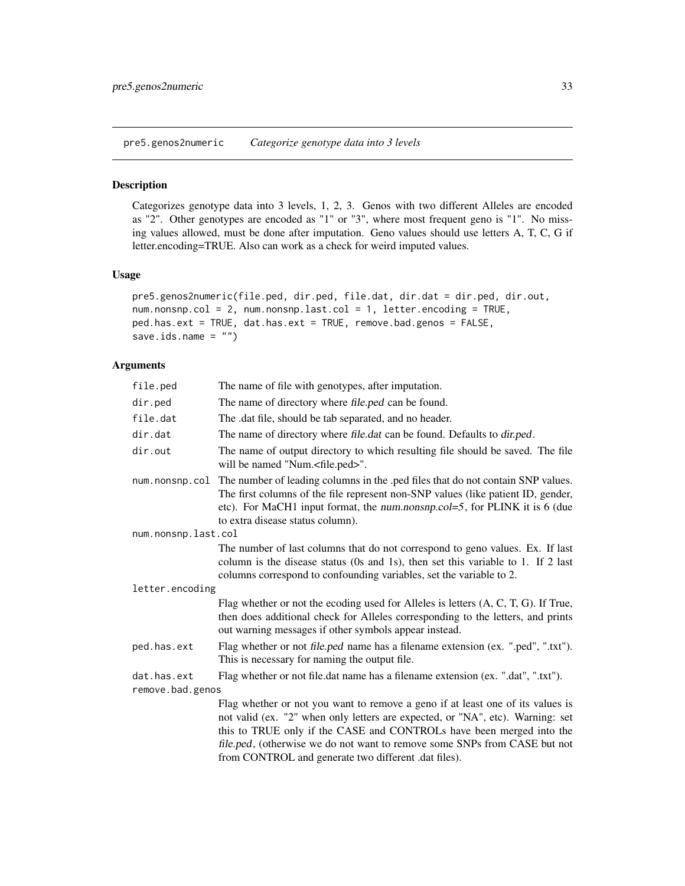<span id="page-32-1"></span><span id="page-32-0"></span>pre5.genos2numeric *Categorize genotype data into 3 levels*

## Description

Categorizes genotype data into 3 levels, 1, 2, 3. Genos with two different Alleles are encoded as "2". Other genotypes are encoded as "1" or "3", where most frequent geno is "1". No missing values allowed, must be done after imputation. Geno values should use letters A, T, C, G if letter.encoding=TRUE. Also can work as a check for weird imputed values.

#### Usage

```
pre5.genos2numeric(file.ped, dir.ped, file.dat, dir.dat = dir.ped, dir.out,
num.nonsnp.col = 2, num.nonsnp.last.col = 1, letter.encoding = TRUE,
ped.has.ext = TRUE, dat.has.ext = TRUE, remove.bad.genos = FALSE,
save.ids.name = ")
```
## Arguments

| file.ped            | The name of file with genotypes, after imputation.                                                                                                                                                                                                                                    |  |  |
|---------------------|---------------------------------------------------------------------------------------------------------------------------------------------------------------------------------------------------------------------------------------------------------------------------------------|--|--|
| dir.ped             | The name of directory where file.ped can be found.                                                                                                                                                                                                                                    |  |  |
| file.dat            | The .dat file, should be tab separated, and no header.                                                                                                                                                                                                                                |  |  |
| dir.dat             | The name of directory where file.dat can be found. Defaults to dir.ped.                                                                                                                                                                                                               |  |  |
| dir.out             | The name of output directory to which resulting file should be saved. The file<br>will be named "Num. <file.ped>".</file.ped>                                                                                                                                                         |  |  |
| num.nonsnp.col      | The number of leading columns in the .ped files that do not contain SNP values.<br>The first columns of the file represent non-SNP values (like patient ID, gender,<br>etc). For MaCH1 input format, the num.nonsnp.col=5, for PLINK it is 6 (due<br>to extra disease status column). |  |  |
| num.nonsnp.last.col |                                                                                                                                                                                                                                                                                       |  |  |
|                     | The number of last columns that do not correspond to geno values. Ex. If last<br>column is the disease status (0s and 1s), then set this variable to 1. If 2 last<br>columns correspond to confounding variables, set the variable to 2.                                              |  |  |
| letter.encoding     |                                                                                                                                                                                                                                                                                       |  |  |
|                     | Flag whether or not the ecoding used for Alleles is letters (A, C, T, G). If True,<br>then does additional check for Alleles corresponding to the letters, and prints<br>out warning messages if other symbols appear instead.                                                        |  |  |
| ped.has.ext         | Flag whether or not file.ped name has a filename extension (ex. ".ped", ".txt").<br>This is necessary for naming the output file.                                                                                                                                                     |  |  |
| dat.has.ext         | Flag whether or not file.dat name has a filename extension (ex. ".dat", ".txt").                                                                                                                                                                                                      |  |  |
| remove.bad.genos    |                                                                                                                                                                                                                                                                                       |  |  |
|                     | Flag whether or not you want to remove a geno if at least one of its values is                                                                                                                                                                                                        |  |  |
|                     | not valid (ex. "2" when only letters are expected, or "NA", etc). Warning: set<br>this to TRUE only if the CASE and CONTROLs have been merged into the                                                                                                                                |  |  |

file.ped, (otherwise we do not want to remove some SNPs from CASE but not from CONTROL and generate two different .dat files).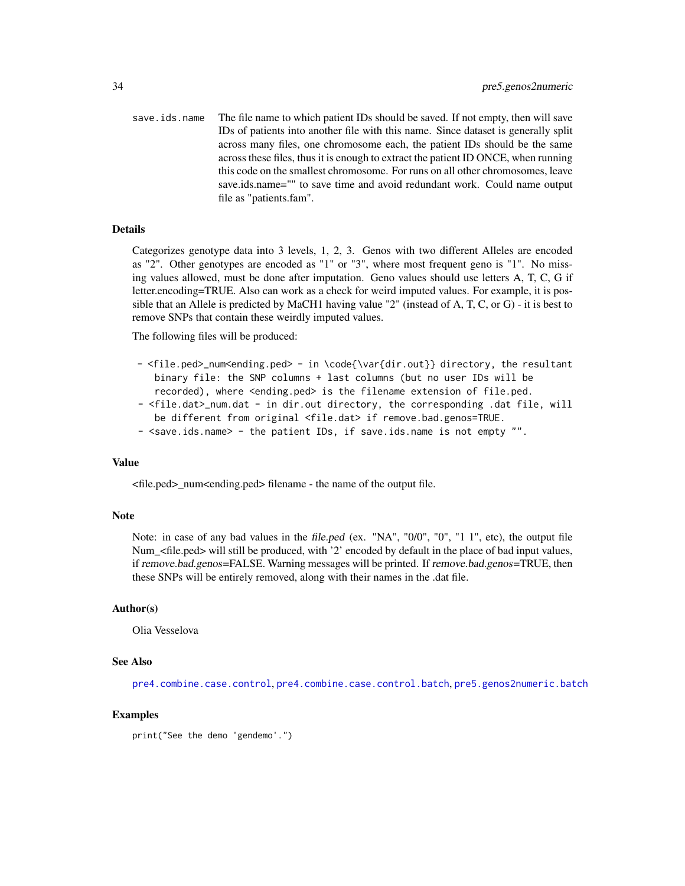<span id="page-33-0"></span>save. ids. name The file name to which patient IDs should be saved. If not empty, then will save IDs of patients into another file with this name. Since dataset is generally split across many files, one chromosome each, the patient IDs should be the same across these files, thus it is enough to extract the patient ID ONCE, when running this code on the smallest chromosome. For runs on all other chromosomes, leave save.ids.name="" to save time and avoid redundant work. Could name output file as "patients.fam".

#### Details

Categorizes genotype data into 3 levels, 1, 2, 3. Genos with two different Alleles are encoded as "2". Other genotypes are encoded as "1" or "3", where most frequent geno is "1". No missing values allowed, must be done after imputation. Geno values should use letters A, T, C, G if letter.encoding=TRUE. Also can work as a check for weird imputed values. For example, it is possible that an Allele is predicted by MaCH1 having value "2" (instead of A, T, C, or G) - it is best to remove SNPs that contain these weirdly imputed values.

The following files will be produced:

- <file.ped>\_num<ending.ped> in \code{\var{dir.out}} directory, the resultant binary file: the SNP columns + last columns (but no user IDs will be recorded), where <ending.ped> is the filename extension of file.ped.
- <file.dat>\_num.dat in dir.out directory, the corresponding .dat file, will be different from original <file.dat> if remove.bad.genos=TRUE.
- <save.ids.name> the patient IDs, if save.ids.name is not empty "".

#### Value

 $\langle$ file.ped> num $\langle$ ending.ped> filename - the name of the output file.

#### Note

Note: in case of any bad values in the file.ped (ex. "NA", "0/0", "0", "1 1", etc), the output file Num\_<file.ped> will still be produced, with '2' encoded by default in the place of bad input values, if remove.bad.genos=FALSE. Warning messages will be printed. If remove.bad.genos=TRUE, then these SNPs will be entirely removed, along with their names in the .dat file.

#### Author(s)

Olia Vesselova

#### See Also

[pre4.combine.case.control](#page-29-1), [pre4.combine.case.control.batch](#page-30-1), [pre5.genos2numeric.batch](#page-34-1)

## Examples

print("See the demo 'gendemo'.")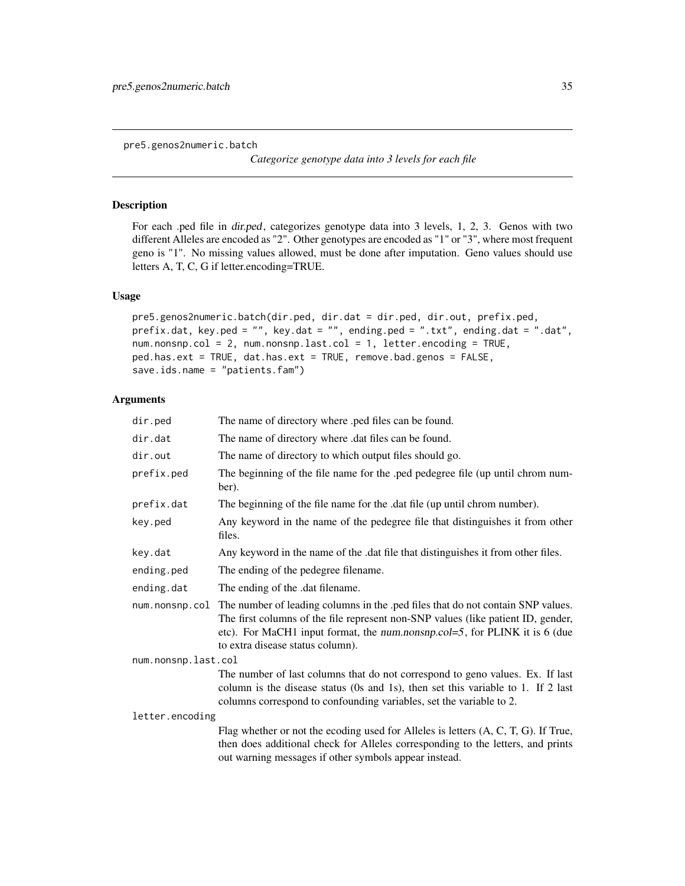<span id="page-34-1"></span><span id="page-34-0"></span>pre5.genos2numeric.batch

*Categorize genotype data into 3 levels for each file*

## Description

For each .ped file in dir.ped, categorizes genotype data into 3 levels, 1, 2, 3. Genos with two different Alleles are encoded as "2". Other genotypes are encoded as "1" or "3", where most frequent geno is "1". No missing values allowed, must be done after imputation. Geno values should use letters A, T, C, G if letter.encoding=TRUE.

## Usage

```
pre5.genos2numeric.batch(dir.ped, dir.dat = dir.ped, dir.out, prefix.ped,
prefix.dat, key.ped = "", key.dat = "", ending.ped = ".txt", ending.dat = ".dat",
num.nonsnp.col = 2, num.nonsnp.last.col = 1, letter.encoding = TRUE,
ped.has.ext = TRUE, dat.has.ext = TRUE, remove.bad.genos = FALSE,
save.ids.name = "patients.fam")
```

| dir.ped             | The name of directory where .ped files can be found.                                                                                                                                                                                                                                                 |  |
|---------------------|------------------------------------------------------------------------------------------------------------------------------------------------------------------------------------------------------------------------------------------------------------------------------------------------------|--|
| dir.dat             | The name of directory where .dat files can be found.                                                                                                                                                                                                                                                 |  |
| dir.out             | The name of directory to which output files should go.                                                                                                                                                                                                                                               |  |
| prefix.ped          | The beginning of the file name for the .ped pedegree file (up until chrom num-<br>ber).                                                                                                                                                                                                              |  |
| prefix.dat          | The beginning of the file name for the .dat file (up until chrom number).                                                                                                                                                                                                                            |  |
| key.ped             | Any keyword in the name of the pedegree file that distinguishes it from other<br>files.                                                                                                                                                                                                              |  |
| key.dat             | Any keyword in the name of the .dat file that distinguishes it from other files.                                                                                                                                                                                                                     |  |
| ending.ped          | The ending of the pedegree filename.                                                                                                                                                                                                                                                                 |  |
| ending.dat          | The ending of the .dat filename.                                                                                                                                                                                                                                                                     |  |
|                     | num.nonsnp.col The number of leading columns in the .ped files that do not contain SNP values.<br>The first columns of the file represent non-SNP values (like patient ID, gender,<br>etc). For MaCH1 input format, the num.nonsnp.col=5, for PLINK it is 6 (due<br>to extra disease status column). |  |
| num.nonsnp.last.col |                                                                                                                                                                                                                                                                                                      |  |
|                     | The number of last columns that do not correspond to geno values. Ex. If last<br>column is the disease status (0s and 1s), then set this variable to 1. If 2 last<br>columns correspond to confounding variables, set the variable to 2.                                                             |  |
| letter.encoding     |                                                                                                                                                                                                                                                                                                      |  |
|                     | Flag whether or not the ecoding used for Alleles is letters (A, C, T, G). If True,<br>then does additional check for Alleles corresponding to the letters, and prints<br>out warning messages if other symbols appear instead.                                                                       |  |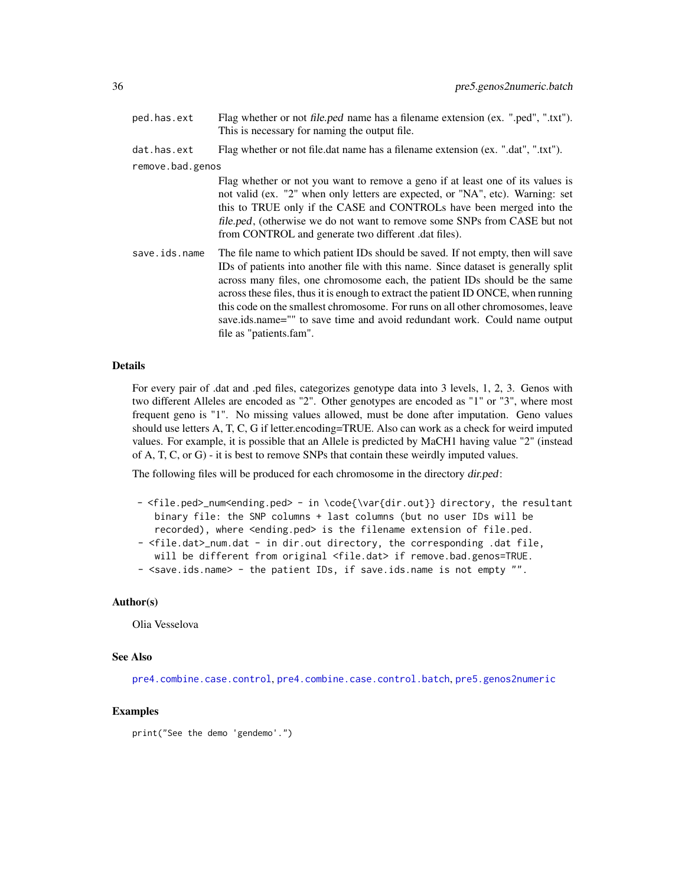<span id="page-35-0"></span>ped.has.ext Flag whether or not file.ped name has a filename extension (ex. ".ped", ".txt"). This is necessary for naming the output file.

dat.has.ext Flag whether or not file.dat name has a filename extension (ex. ".dat", ".txt").

remove.bad.genos

Flag whether or not you want to remove a geno if at least one of its values is not valid (ex. "2" when only letters are expected, or "NA", etc). Warning: set this to TRUE only if the CASE and CONTROLs have been merged into the file.ped, (otherwise we do not want to remove some SNPs from CASE but not from CONTROL and generate two different .dat files).

save.ids.name The file name to which patient IDs should be saved. If not empty, then will save IDs of patients into another file with this name. Since dataset is generally split across many files, one chromosome each, the patient IDs should be the same across these files, thus it is enough to extract the patient ID ONCE, when running this code on the smallest chromosome. For runs on all other chromosomes, leave save.ids.name="" to save time and avoid redundant work. Could name output file as "patients.fam".

#### Details

For every pair of .dat and .ped files, categorizes genotype data into 3 levels, 1, 2, 3. Genos with two different Alleles are encoded as "2". Other genotypes are encoded as "1" or "3", where most frequent geno is "1". No missing values allowed, must be done after imputation. Geno values should use letters A, T, C, G if letter.encoding=TRUE. Also can work as a check for weird imputed values. For example, it is possible that an Allele is predicted by MaCH1 having value "2" (instead of A, T, C, or G) - it is best to remove SNPs that contain these weirdly imputed values.

The following files will be produced for each chromosome in the directory dir.ped:

- <file.ped>\_num<ending.ped> in \code{\var{dir.out}} directory, the resultant binary file: the SNP columns + last columns (but no user IDs will be recorded), where <ending.ped> is the filename extension of file.ped. - <file.dat>\_num.dat - in dir.out directory, the corresponding .dat file,
- will be different from original <file.dat> if remove.bad.genos=TRUE. - <save.ids.name> - the patient IDs, if save.ids.name is not empty "".

#### Author(s)

Olia Vesselova

#### See Also

[pre4.combine.case.control](#page-29-1), [pre4.combine.case.control.batch](#page-30-1), [pre5.genos2numeric](#page-32-1)

#### Examples

print("See the demo 'gendemo'.")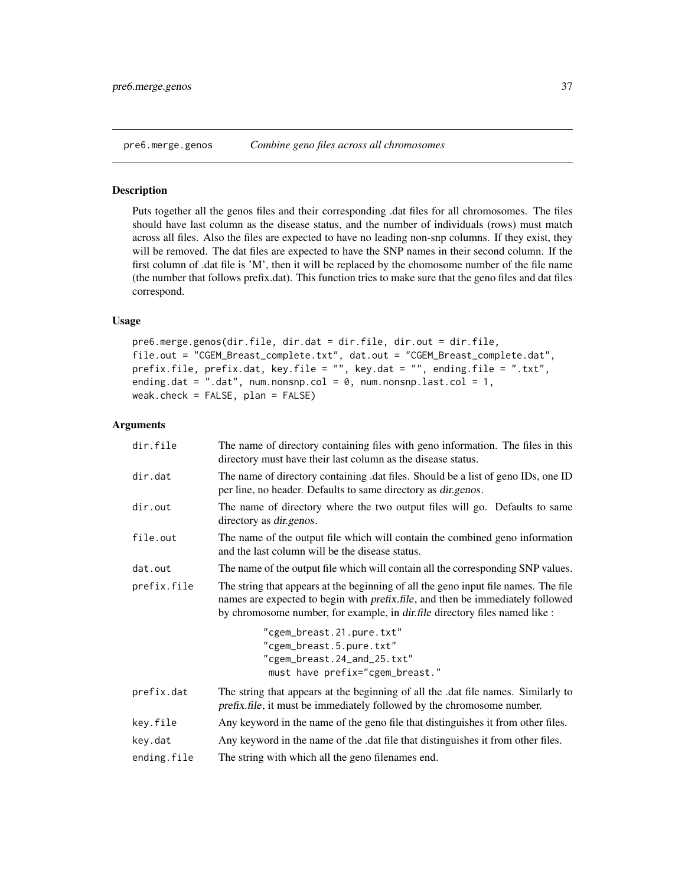## <span id="page-36-1"></span><span id="page-36-0"></span>**Description**

Puts together all the genos files and their corresponding .dat files for all chromosomes. The files should have last column as the disease status, and the number of individuals (rows) must match across all files. Also the files are expected to have no leading non-snp columns. If they exist, they will be removed. The dat files are expected to have the SNP names in their second column. If the first column of .dat file is 'M', then it will be replaced by the chomosome number of the file name (the number that follows prefix.dat). This function tries to make sure that the geno files and dat files correspond.

### Usage

```
pre6.merge.genos(dir.file, dir.dat = dir.file, dir.out = dir.file,
file.out = "CGEM_Breast_complete.txt", dat.out = "CGEM_Breast_complete.dat",
prefix.file, prefix.dat, key.file = "", key.dat = "", ending.file = ".txt",
ending.dat = ".dat", num.nonsnp.col = \theta, num.nonsnp.last.col = 1,
weak.check = FALSE, plan = FALSE)
```

| dir.file    | The name of directory containing files with geno information. The files in this<br>directory must have their last column as the disease status.                                                                                                                     |  |
|-------------|---------------------------------------------------------------------------------------------------------------------------------------------------------------------------------------------------------------------------------------------------------------------|--|
| dir.dat     | The name of directory containing dat files. Should be a list of geno IDs, one ID<br>per line, no header. Defaults to same directory as <i>dir.genos</i> .                                                                                                           |  |
| dir.out     | The name of directory where the two output files will go. Defaults to same<br>directory as <i>dir.genos.</i>                                                                                                                                                        |  |
| file.out    | The name of the output file which will contain the combined geno information<br>and the last column will be the disease status.                                                                                                                                     |  |
| dat.out     | The name of the output file which will contain all the corresponding SNP values.                                                                                                                                                                                    |  |
| prefix.file | The string that appears at the beginning of all the geno input file names. The file<br>names are expected to begin with <i>prefix.file</i> , and then be immediately followed<br>by chromosome number, for example, in <i>dir.file</i> directory files named like : |  |
|             | "cgem_breast.21.pure.txt"<br>"cgem_breast.5.pure.txt"<br>"cgem_breast.24_and_25.txt"<br>must have prefix="cgem_breast."                                                                                                                                             |  |
| prefix.dat  | The string that appears at the beginning of all the .dat file names. Similarly to<br>prefix.file, it must be immediately followed by the chromosome number.                                                                                                         |  |
| key.file    | Any keyword in the name of the geno file that distinguishes it from other files.                                                                                                                                                                                    |  |
| key.dat     | Any keyword in the name of the .dat file that distinguishes it from other files.                                                                                                                                                                                    |  |
| ending.file | The string with which all the geno filenames end.                                                                                                                                                                                                                   |  |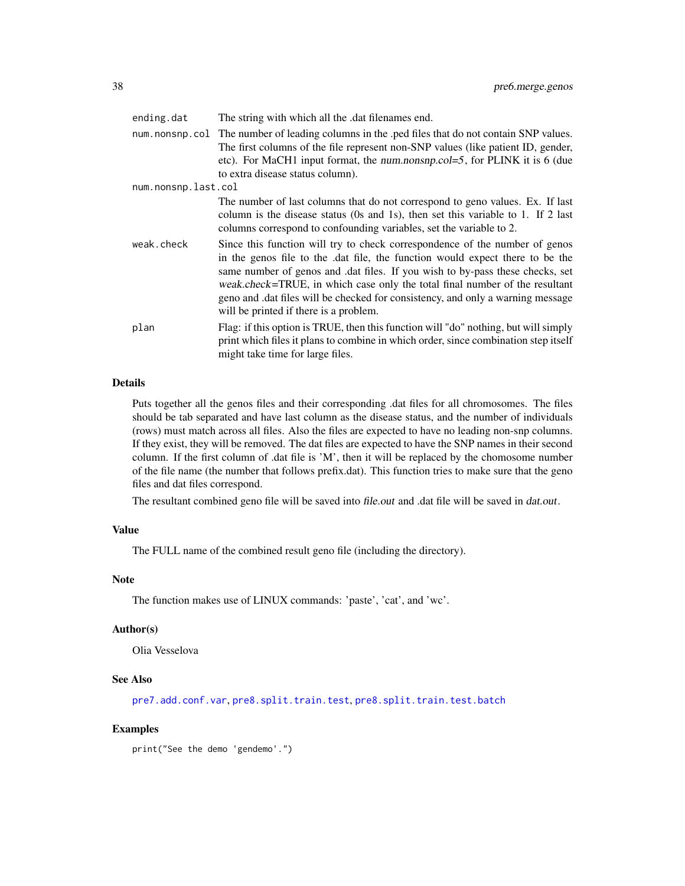<span id="page-37-0"></span>

| ending.dat          | The string with which all the .dat filenames end.                                                                                                                                                                                                                                                                                                                                                                                                        |
|---------------------|----------------------------------------------------------------------------------------------------------------------------------------------------------------------------------------------------------------------------------------------------------------------------------------------------------------------------------------------------------------------------------------------------------------------------------------------------------|
|                     | num nonsnp.col The number of leading columns in the .ped files that do not contain SNP values.<br>The first columns of the file represent non-SNP values (like patient ID, gender,<br>etc). For MaCH1 input format, the num.nonsnp.col=5, for PLINK it is 6 (due<br>to extra disease status column).                                                                                                                                                     |
| num.nonsnp.last.col |                                                                                                                                                                                                                                                                                                                                                                                                                                                          |
|                     | The number of last columns that do not correspond to geno values. Ex. If last<br>column is the disease status (0s and 1s), then set this variable to 1. If 2 last<br>columns correspond to confounding variables, set the variable to 2.                                                                                                                                                                                                                 |
| weak.check          | Since this function will try to check correspondence of the number of genos<br>in the genos file to the .dat file, the function would expect there to be the<br>same number of genos and .dat files. If you wish to by-pass these checks, set<br>weak.check=TRUE, in which case only the total final number of the resultant<br>geno and dat files will be checked for consistency, and only a warning message<br>will be printed if there is a problem. |
| plan                | Flag: if this option is TRUE, then this function will "do" nothing, but will simply<br>print which files it plans to combine in which order, since combination step itself<br>might take time for large files.                                                                                                                                                                                                                                           |

Puts together all the genos files and their corresponding .dat files for all chromosomes. The files should be tab separated and have last column as the disease status, and the number of individuals (rows) must match across all files. Also the files are expected to have no leading non-snp columns. If they exist, they will be removed. The dat files are expected to have the SNP names in their second column. If the first column of .dat file is 'M', then it will be replaced by the chomosome number of the file name (the number that follows prefix.dat). This function tries to make sure that the geno files and dat files correspond.

The resultant combined geno file will be saved into file.out and .dat file will be saved in dat.out.

## Value

The FULL name of the combined result geno file (including the directory).

## Note

The function makes use of LINUX commands: 'paste', 'cat', and 'wc'.

#### Author(s)

Olia Vesselova

#### See Also

[pre7.add.conf.var](#page-38-1), [pre8.split.train.test](#page-40-1), [pre8.split.train.test.batch](#page-42-1)

#### Examples

print("See the demo 'gendemo'.")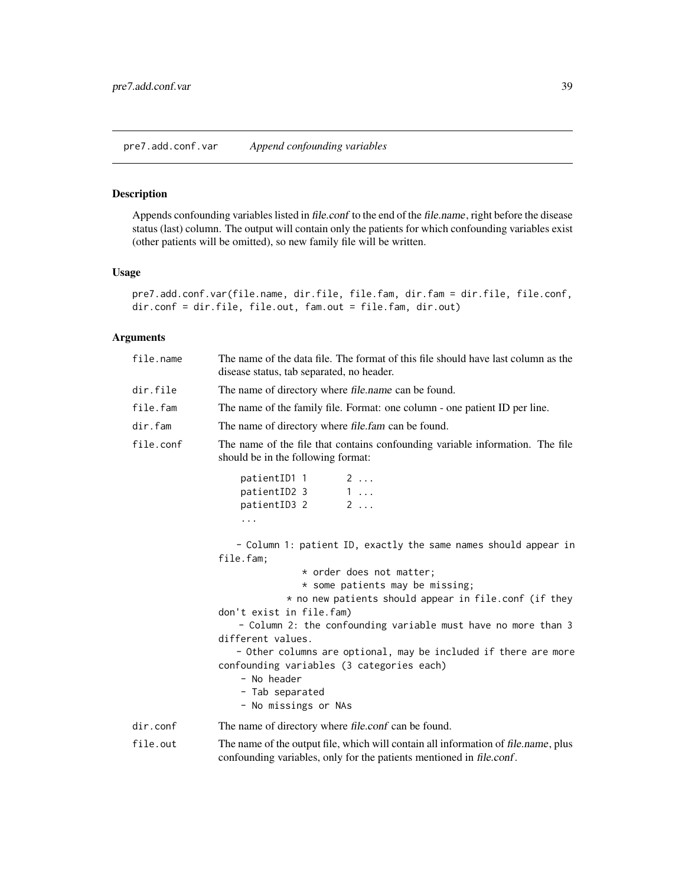#### <span id="page-38-1"></span><span id="page-38-0"></span>Description

Appends confounding variables listed in file.conf to the end of the file.name, right before the disease status (last) column. The output will contain only the patients for which confounding variables exist (other patients will be omitted), so new family file will be written.

## Usage

```
pre7.add.conf.var(file.name, dir.file, file.fam, dir.fam = dir.file, file.conf,
dir.conf = dir.file, file.out, fam.out = file.fam, dir.out)
```

| file.name | The name of the data file. The format of this file should have last column as the<br>disease status, tab separated, no header.                                                                                                                                                                                                                                                                                                                                                                   |  |  |  |
|-----------|--------------------------------------------------------------------------------------------------------------------------------------------------------------------------------------------------------------------------------------------------------------------------------------------------------------------------------------------------------------------------------------------------------------------------------------------------------------------------------------------------|--|--|--|
| dir.file  | The name of directory where <i>file.name</i> can be found.                                                                                                                                                                                                                                                                                                                                                                                                                                       |  |  |  |
| file.fam  | The name of the family file. Format: one column - one patient ID per line.                                                                                                                                                                                                                                                                                                                                                                                                                       |  |  |  |
| dir.fam   | The name of directory where file.fam can be found.                                                                                                                                                                                                                                                                                                                                                                                                                                               |  |  |  |
| file.conf | The name of the file that contains confounding variable information. The file<br>should be in the following format:                                                                                                                                                                                                                                                                                                                                                                              |  |  |  |
|           | patientID1 1<br>$2 \ldots$<br>$1 \ldots$<br>patientID2 3<br>$2 \ldots$<br>patientID3 2<br>.                                                                                                                                                                                                                                                                                                                                                                                                      |  |  |  |
|           | - Column 1: patient ID, exactly the same names should appear in<br>file.fam;<br>* order does not matter;<br>* some patients may be missing;<br>* no new patients should appear in file.conf (if they<br>don't exist in file.fam)<br>- Column 2: the confounding variable must have no more than 3<br>different values.<br>- Other columns are optional, may be included if there are more<br>confounding variables (3 categories each)<br>- No header<br>- Tab separated<br>- No missings or NAs |  |  |  |
| dir.comf  | The name of directory where file.conf can be found.                                                                                                                                                                                                                                                                                                                                                                                                                                              |  |  |  |
| file.out  | The name of the output file, which will contain all information of file.name, plus<br>confounding variables, only for the patients mentioned in file.conf.                                                                                                                                                                                                                                                                                                                                       |  |  |  |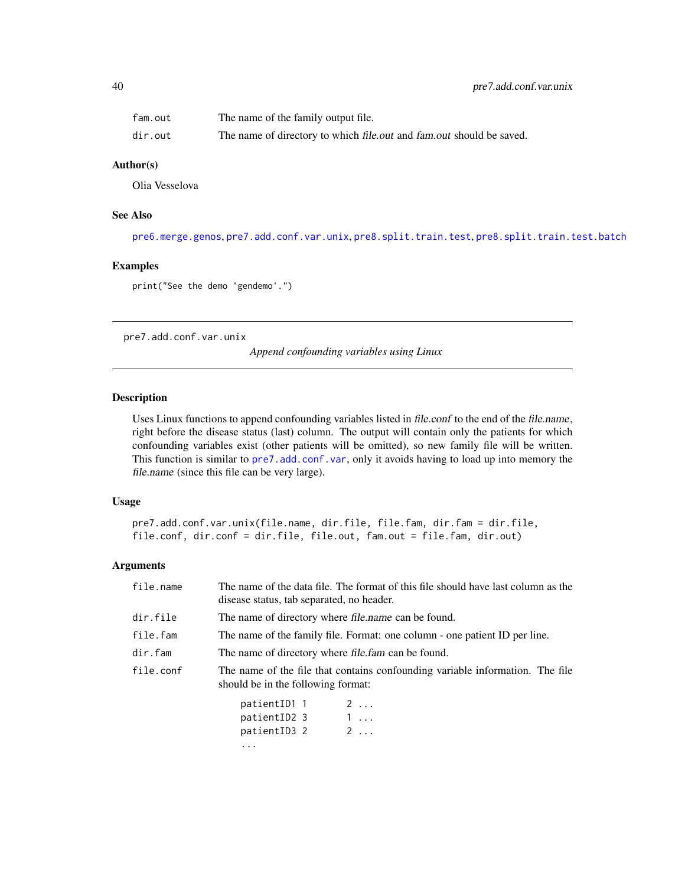<span id="page-39-0"></span>

| fam.out | The name of the family output file.                                  |
|---------|----------------------------------------------------------------------|
| dir.out | The name of directory to which file.out and fam.out should be saved. |

## Author(s)

Olia Vesselova

## See Also

```
pre6.merge.genos, pre7.add.conf.var.unix, pre8.split.train.test, pre8.split.train.test.batch
```
#### Examples

print("See the demo 'gendemo'.")

<span id="page-39-1"></span>pre7.add.conf.var.unix

*Append confounding variables using Linux*

#### Description

Uses Linux functions to append confounding variables listed in file.conf to the end of the file.name, right before the disease status (last) column. The output will contain only the patients for which confounding variables exist (other patients will be omitted), so new family file will be written. This function is similar to [pre7.add.conf.var](#page-38-1), only it avoids having to load up into memory the file.name (since this file can be very large).

## Usage

```
pre7.add.conf.var.unix(file.name, dir.file, file.fam, dir.fam = dir.file,
file.conf, dir.conf = dir.file, file.out, fam.out = file.fam, dir.out)
```

| file.name | The name of the data file. The format of this file should have last column as the<br>disease status, tab separated, no header. |  |  |  |
|-----------|--------------------------------------------------------------------------------------------------------------------------------|--|--|--|
| dir.file  | The name of directory where file.name can be found.                                                                            |  |  |  |
| file.fam  | The name of the family file. Format: one column - one patient ID per line.                                                     |  |  |  |
| dir.fam   | The name of directory where <i>file.fam</i> can be found.                                                                      |  |  |  |
| file.conf | The name of the file that contains confounding variable information. The file<br>should be in the following format:            |  |  |  |
|           | patientID1_1<br>2<br>patientID2 3<br>1                                                                                         |  |  |  |

| patientipi i |  | <u>.</u>   |
|--------------|--|------------|
| patientID2 3 |  | $1 \ldots$ |
| patientID3 2 |  | 2          |
|              |  |            |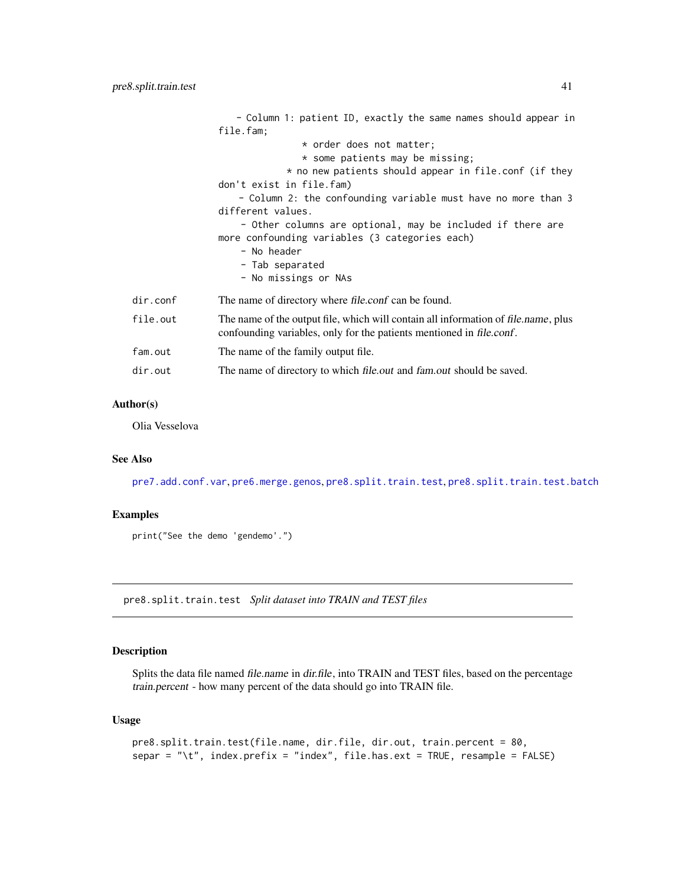<span id="page-40-0"></span>

|          | - Column 1: patient ID, exactly the same names should appear in                                                                                            |
|----------|------------------------------------------------------------------------------------------------------------------------------------------------------------|
|          | file.fam;                                                                                                                                                  |
|          | * order does not matter;                                                                                                                                   |
|          | * some patients may be missing;                                                                                                                            |
|          | * no new patients should appear in file.conf (if they                                                                                                      |
|          | don't exist in file.fam)                                                                                                                                   |
|          | - Column 2: the confounding variable must have no more than 3                                                                                              |
|          | different values.                                                                                                                                          |
|          | - Other columns are optional, may be included if there are                                                                                                 |
|          | more confounding variables (3 categories each)                                                                                                             |
|          | - No header                                                                                                                                                |
|          | - Tab separated                                                                                                                                            |
|          | - No missings or NAs                                                                                                                                       |
| dir.comf | The name of directory where file.conf can be found.                                                                                                        |
| file.out | The name of the output file, which will contain all information of file name, plus<br>confounding variables, only for the patients mentioned in file.conf. |
| fam.out  | The name of the family output file.                                                                                                                        |
| dir.out  | The name of directory to which <i>file.out</i> and <i>fam.out</i> should be saved.                                                                         |

#### Author(s)

Olia Vesselova

## See Also

[pre7.add.conf.var](#page-38-1), [pre6.merge.genos](#page-36-1), [pre8.split.train.test](#page-40-1), [pre8.split.train.test.batch](#page-42-1)

## Examples

print("See the demo 'gendemo'.")

<span id="page-40-1"></span>pre8.split.train.test *Split dataset into TRAIN and TEST files*

## Description

Splits the data file named file.name in dir.file, into TRAIN and TEST files, based on the percentage train.percent - how many percent of the data should go into TRAIN file.

## Usage

```
pre8.split.train.test(file.name, dir.file, dir.out, train.percent = 80,
separ = "\t", index.prefix = "index", file.has.ext = TRUE, resample = FALSE)
```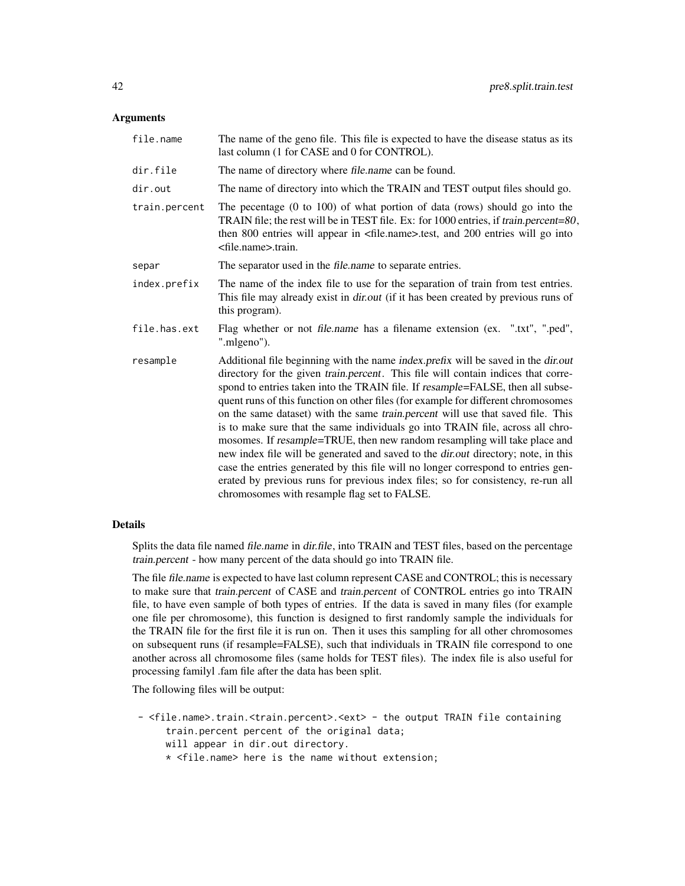#### Arguments

| file.name     | The name of the geno file. This file is expected to have the disease status as its<br>last column (1 for CASE and 0 for CONTROL).                                                                                                                                                                                                                                                                                                                                                                                                                                                                                                                                                                                                                                                                                                                                                                                      |
|---------------|------------------------------------------------------------------------------------------------------------------------------------------------------------------------------------------------------------------------------------------------------------------------------------------------------------------------------------------------------------------------------------------------------------------------------------------------------------------------------------------------------------------------------------------------------------------------------------------------------------------------------------------------------------------------------------------------------------------------------------------------------------------------------------------------------------------------------------------------------------------------------------------------------------------------|
| dir.file      | The name of directory where file.name can be found.                                                                                                                                                                                                                                                                                                                                                                                                                                                                                                                                                                                                                                                                                                                                                                                                                                                                    |
| dir.out       | The name of directory into which the TRAIN and TEST output files should go.                                                                                                                                                                                                                                                                                                                                                                                                                                                                                                                                                                                                                                                                                                                                                                                                                                            |
| train.percent | The pecentage $(0 \text{ to } 100)$ of what portion of data (rows) should go into the<br>TRAIN file; the rest will be in TEST file. Ex: for 1000 entries, if train.percent=80,<br>then 800 entries will appear in <file.name>.test, and 200 entries will go into<br/><file.name>.train.</file.name></file.name>                                                                                                                                                                                                                                                                                                                                                                                                                                                                                                                                                                                                        |
| separ         | The separator used in the <i>file.name</i> to separate entries.                                                                                                                                                                                                                                                                                                                                                                                                                                                                                                                                                                                                                                                                                                                                                                                                                                                        |
| index.prefix  | The name of the index file to use for the separation of train from test entries.<br>This file may already exist in <i>dir.out</i> (if it has been created by previous runs of<br>this program).                                                                                                                                                                                                                                                                                                                                                                                                                                                                                                                                                                                                                                                                                                                        |
| file.has.ext  | Flag whether or not file.name has a filename extension (ex. ".txt", ".ped",<br>".mlgeno").                                                                                                                                                                                                                                                                                                                                                                                                                                                                                                                                                                                                                                                                                                                                                                                                                             |
| resample      | Additional file beginning with the name index.prefix will be saved in the dir.out<br>directory for the given <i>train.percent</i> . This file will contain indices that corre-<br>spond to entries taken into the TRAIN file. If resample=FALSE, then all subse-<br>quent runs of this function on other files (for example for different chromosomes<br>on the same dataset) with the same train.percent will use that saved file. This<br>is to make sure that the same individuals go into TRAIN file, across all chro-<br>mosomes. If resample=TRUE, then new random resampling will take place and<br>new index file will be generated and saved to the dir.out directory; note, in this<br>case the entries generated by this file will no longer correspond to entries gen-<br>erated by previous runs for previous index files; so for consistency, re-run all<br>chromosomes with resample flag set to FALSE. |

## Details

Splits the data file named file.name in dir.file, into TRAIN and TEST files, based on the percentage train.percent - how many percent of the data should go into TRAIN file.

The file file.name is expected to have last column represent CASE and CONTROL; this is necessary to make sure that train.percent of CASE and train.percent of CONTROL entries go into TRAIN file, to have even sample of both types of entries. If the data is saved in many files (for example one file per chromosome), this function is designed to first randomly sample the individuals for the TRAIN file for the first file it is run on. Then it uses this sampling for all other chromosomes on subsequent runs (if resample=FALSE), such that individuals in TRAIN file correspond to one another across all chromosome files (same holds for TEST files). The index file is also useful for processing familyl .fam file after the data has been split.

The following files will be output:

- <file.name>.train.<train.percent>.<ext> the output TRAIN file containing train.percent percent of the original data; will appear in dir.out directory.
	- \* <file.name> here is the name without extension;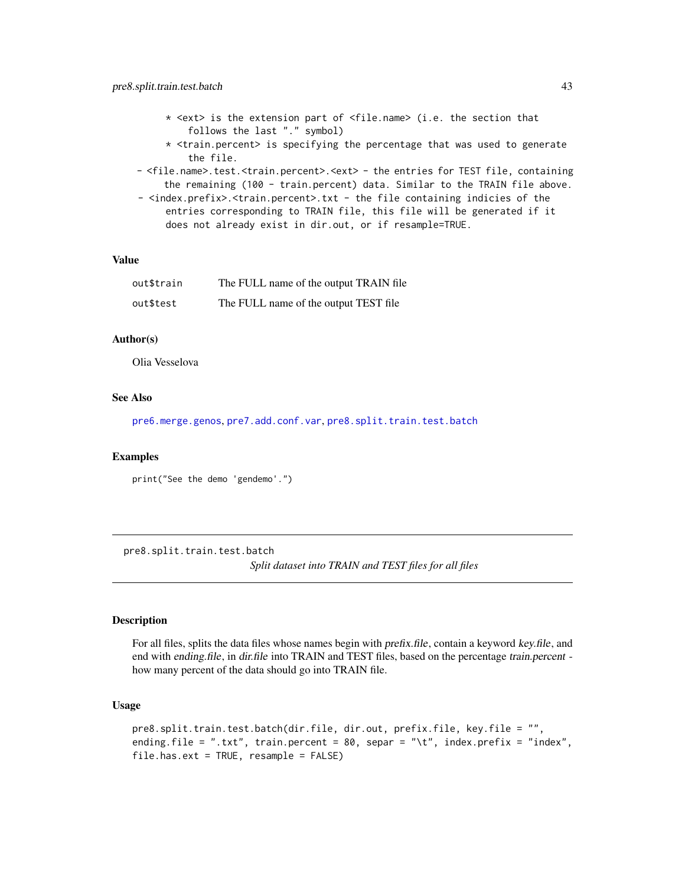- <span id="page-42-0"></span>\* <ext> is the extension part of <file.name> (i.e. the section that follows the last "." symbol)
- $*$  <train.percent> is specifying the percentage that was used to generate the file.
- <file.name>.test.<train.percent>.<ext> the entries for TEST file, containing the remaining (100 - train.percent) data. Similar to the TRAIN file above.
- <index.prefix>.<train.percent>.txt the file containing indicies of the entries corresponding to TRAIN file, this file will be generated if it does not already exist in dir.out, or if resample=TRUE.

## Value

| out\$train | The FULL name of the output TRAIN file |
|------------|----------------------------------------|
| out\$test  | The FULL name of the output TEST file  |

## Author(s)

Olia Vesselova

#### See Also

[pre6.merge.genos](#page-36-1), [pre7.add.conf.var](#page-38-1), [pre8.split.train.test.batch](#page-42-1)

#### Examples

print("See the demo 'gendemo'.")

<span id="page-42-1"></span>pre8.split.train.test.batch

*Split dataset into TRAIN and TEST files for all files*

## Description

For all files, splits the data files whose names begin with *prefix.file*, contain a keyword key.file, and end with ending.file, in dir.file into TRAIN and TEST files, based on the percentage train.percent how many percent of the data should go into TRAIN file.

#### Usage

```
pre8.split.train.test.batch(dir.file, dir.out, prefix.file, key.file = "",
ending.file = ".txt", train.percent = 80, separ = "\t", index.prefix = "index",
file.has.ext = TRUE, resample = FALSE)
```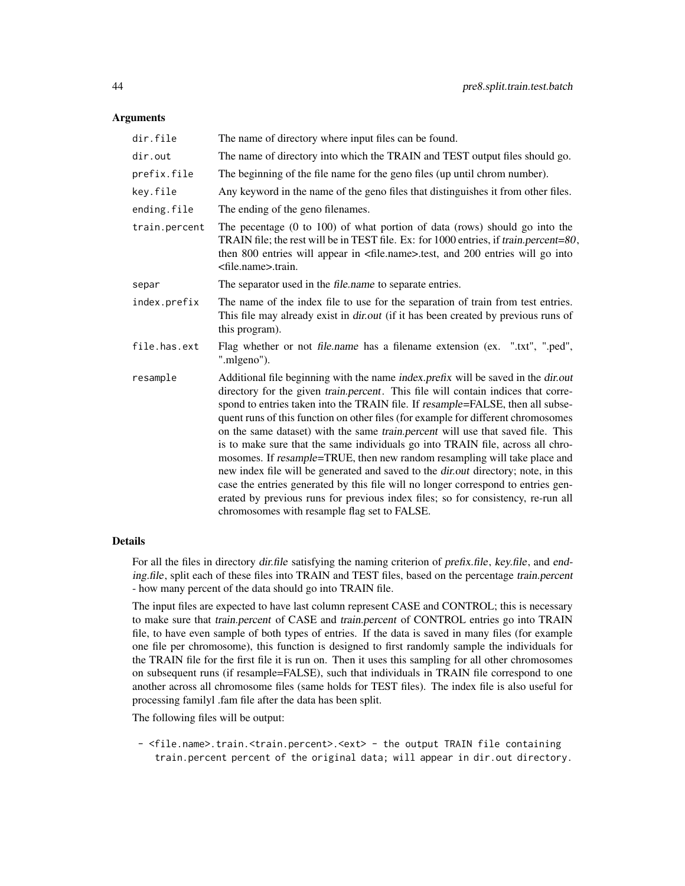#### Arguments

| dir.file      | The name of directory where input files can be found.                                                                                                                                                                                                                                                                                                                                                                                                                                                                                                                                                                                                                                                                                                                                                                                                                                                                         |
|---------------|-------------------------------------------------------------------------------------------------------------------------------------------------------------------------------------------------------------------------------------------------------------------------------------------------------------------------------------------------------------------------------------------------------------------------------------------------------------------------------------------------------------------------------------------------------------------------------------------------------------------------------------------------------------------------------------------------------------------------------------------------------------------------------------------------------------------------------------------------------------------------------------------------------------------------------|
| dir.out       | The name of directory into which the TRAIN and TEST output files should go.                                                                                                                                                                                                                                                                                                                                                                                                                                                                                                                                                                                                                                                                                                                                                                                                                                                   |
| prefix.file   | The beginning of the file name for the geno files (up until chrom number).                                                                                                                                                                                                                                                                                                                                                                                                                                                                                                                                                                                                                                                                                                                                                                                                                                                    |
| key.file      | Any keyword in the name of the geno files that distinguishes it from other files.                                                                                                                                                                                                                                                                                                                                                                                                                                                                                                                                                                                                                                                                                                                                                                                                                                             |
| ending.file   | The ending of the geno filenames.                                                                                                                                                                                                                                                                                                                                                                                                                                                                                                                                                                                                                                                                                                                                                                                                                                                                                             |
| train.percent | The pecentage $(0 \text{ to } 100)$ of what portion of data (rows) should go into the<br>TRAIN file; the rest will be in TEST file. Ex: for 1000 entries, if train.percent=80,<br>then 800 entries will appear in <file.name>.test, and 200 entries will go into<br/><file.name>.train.</file.name></file.name>                                                                                                                                                                                                                                                                                                                                                                                                                                                                                                                                                                                                               |
| separ         | The separator used in the <i>file.name</i> to separate entries.                                                                                                                                                                                                                                                                                                                                                                                                                                                                                                                                                                                                                                                                                                                                                                                                                                                               |
| index.prefix  | The name of the index file to use for the separation of train from test entries.<br>This file may already exist in <i>dir.out</i> (if it has been created by previous runs of<br>this program).                                                                                                                                                                                                                                                                                                                                                                                                                                                                                                                                                                                                                                                                                                                               |
| file.has.ext  | Flag whether or not file.name has a filename extension (ex. ".txt", ".ped",<br>".mlgeno").                                                                                                                                                                                                                                                                                                                                                                                                                                                                                                                                                                                                                                                                                                                                                                                                                                    |
| resample      | Additional file beginning with the name index.prefix will be saved in the dir.out<br>directory for the given <i>train.percent</i> . This file will contain indices that corre-<br>spond to entries taken into the TRAIN file. If resample=FALSE, then all subse-<br>quent runs of this function on other files (for example for different chromosomes<br>on the same dataset) with the same train.percent will use that saved file. This<br>is to make sure that the same individuals go into TRAIN file, across all chro-<br>mosomes. If resample=TRUE, then new random resampling will take place and<br>new index file will be generated and saved to the <i>dir.out</i> directory; note, in this<br>case the entries generated by this file will no longer correspond to entries gen-<br>erated by previous runs for previous index files; so for consistency, re-run all<br>chromosomes with resample flag set to FALSE. |

## Details

For all the files in directory dir.file satisfying the naming criterion of prefix.file, key.file, and ending.file, split each of these files into TRAIN and TEST files, based on the percentage train.percent - how many percent of the data should go into TRAIN file.

The input files are expected to have last column represent CASE and CONTROL; this is necessary to make sure that train.percent of CASE and train.percent of CONTROL entries go into TRAIN file, to have even sample of both types of entries. If the data is saved in many files (for example one file per chromosome), this function is designed to first randomly sample the individuals for the TRAIN file for the first file it is run on. Then it uses this sampling for all other chromosomes on subsequent runs (if resample=FALSE), such that individuals in TRAIN file correspond to one another across all chromosome files (same holds for TEST files). The index file is also useful for processing familyl .fam file after the data has been split.

The following files will be output:

- <file.name>.train.<train.percent>.<ext> - the output TRAIN file containing train.percent percent of the original data; will appear in dir.out directory.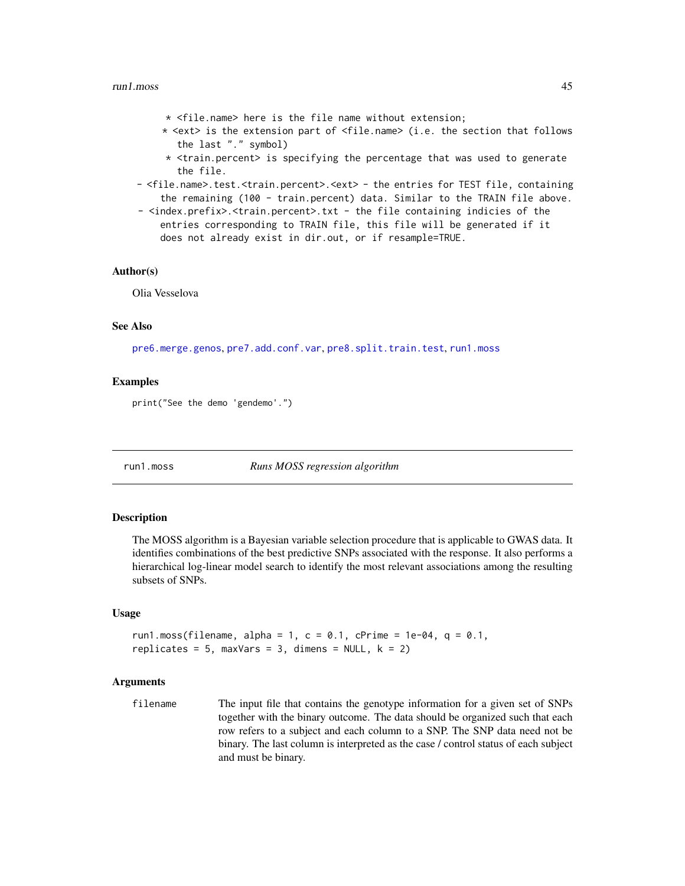#### <span id="page-44-0"></span> $run1.moss$   $45$

- \* <file.name> here is the file name without extension;
- \* <ext> is the extension part of <file.name> (i.e. the section that follows the last "." symbol)
- \* <train.percent> is specifying the percentage that was used to generate the file.
- <file.name>.test.<train.percent>.<ext> the entries for TEST file, containing the remaining (100 - train.percent) data. Similar to the TRAIN file above.
- <index.prefix>.<train.percent>.txt the file containing indicies of the entries corresponding to TRAIN file, this file will be generated if it does not already exist in dir.out, or if resample=TRUE.

#### Author(s)

Olia Vesselova

## See Also

[pre6.merge.genos](#page-36-1), [pre7.add.conf.var](#page-38-1), [pre8.split.train.test](#page-40-1), [run1.moss](#page-44-1)

#### Examples

print("See the demo 'gendemo'.")

<span id="page-44-1"></span>run1.moss *Runs MOSS regression algorithm*

#### Description

The MOSS algorithm is a Bayesian variable selection procedure that is applicable to GWAS data. It identifies combinations of the best predictive SNPs associated with the response. It also performs a hierarchical log-linear model search to identify the most relevant associations among the resulting subsets of SNPs.

## Usage

```
run1.moss(filename, alpha = 1, c = 0.1, cPrime = 1e-04, q = 0.1,
replicates = 5, maxVars = 3, dimens = NULL, k = 2)
```
#### Arguments

filename The input file that contains the genotype information for a given set of SNPs together with the binary outcome. The data should be organized such that each row refers to a subject and each column to a SNP. The SNP data need not be binary. The last column is interpreted as the case / control status of each subject and must be binary.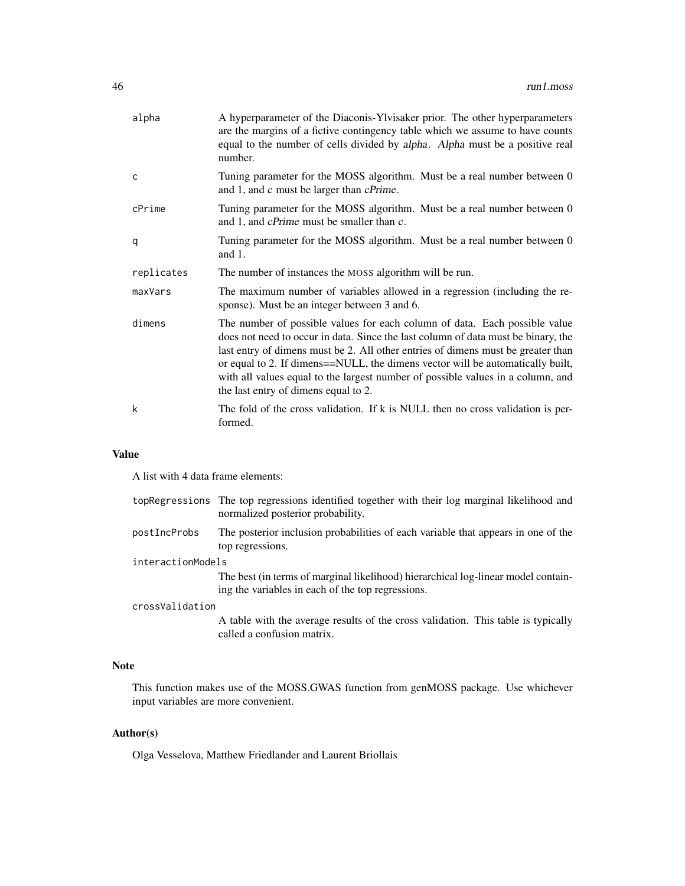| alpha        | A hyperparameter of the Diaconis-Ylvisaker prior. The other hyperparameters<br>are the margins of a fictive contingency table which we assume to have counts<br>equal to the number of cells divided by alpha. Alpha must be a positive real<br>number.                                                                                                                                                                                                          |
|--------------|------------------------------------------------------------------------------------------------------------------------------------------------------------------------------------------------------------------------------------------------------------------------------------------------------------------------------------------------------------------------------------------------------------------------------------------------------------------|
| $\mathsf{C}$ | Tuning parameter for the MOSS algorithm. Must be a real number between 0<br>and 1, and c must be larger than cPrime.                                                                                                                                                                                                                                                                                                                                             |
| cPrime       | Tuning parameter for the MOSS algorithm. Must be a real number between 0<br>and 1, and <i>cPrime</i> must be smaller than <i>c</i> .                                                                                                                                                                                                                                                                                                                             |
| q            | Tuning parameter for the MOSS algorithm. Must be a real number between 0<br>and $1$ .                                                                                                                                                                                                                                                                                                                                                                            |
| replicates   | The number of instances the MOSS algorithm will be run.                                                                                                                                                                                                                                                                                                                                                                                                          |
| maxVars      | The maximum number of variables allowed in a regression (including the re-<br>sponse). Must be an integer between 3 and 6.                                                                                                                                                                                                                                                                                                                                       |
| dimens       | The number of possible values for each column of data. Each possible value<br>does not need to occur in data. Since the last column of data must be binary, the<br>last entry of dimens must be 2. All other entries of dimens must be greater than<br>or equal to 2. If dimens==NULL, the dimens vector will be automatically built,<br>with all values equal to the largest number of possible values in a column, and<br>the last entry of dimens equal to 2. |
| k            | The fold of the cross validation. If k is NULL then no cross validation is per-<br>formed.                                                                                                                                                                                                                                                                                                                                                                       |

## Value

A list with 4 data frame elements:

|                   | topRegressions The top regressions identified together with their log marginal likelihood and<br>normalized posterior probability.     |
|-------------------|----------------------------------------------------------------------------------------------------------------------------------------|
| postIncProbs      | The posterior inclusion probabilities of each variable that appears in one of the<br>top regressions.                                  |
| interactionModels |                                                                                                                                        |
|                   | The best (in terms of marginal likelihood) hierarchical log-linear model contain-<br>ing the variables in each of the top regressions. |
| crossValidation   |                                                                                                                                        |

#### crossValidation

A table with the average results of the cross validation. This table is typically called a confusion matrix.

## Note

This function makes use of the MOSS.GWAS function from genMOSS package. Use whichever input variables are more convenient.

## Author(s)

Olga Vesselova, Matthew Friedlander and Laurent Briollais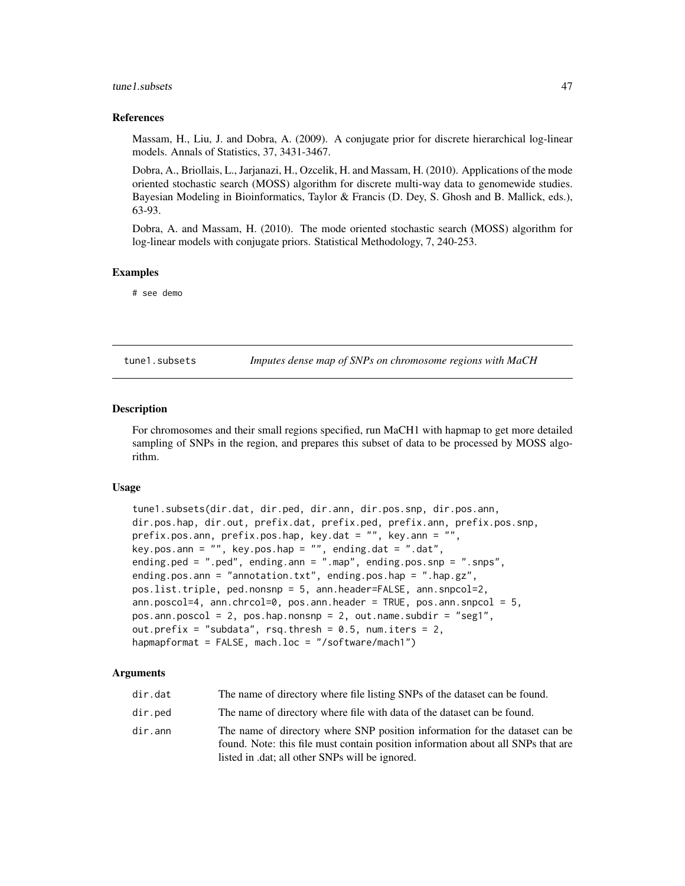#### <span id="page-46-0"></span>tune1.subsets 47

#### References

Massam, H., Liu, J. and Dobra, A. (2009). A conjugate prior for discrete hierarchical log-linear models. Annals of Statistics, 37, 3431-3467.

Dobra, A., Briollais, L., Jarjanazi, H., Ozcelik, H. and Massam, H. (2010). Applications of the mode oriented stochastic search (MOSS) algorithm for discrete multi-way data to genomewide studies. Bayesian Modeling in Bioinformatics, Taylor & Francis (D. Dey, S. Ghosh and B. Mallick, eds.), 63-93.

Dobra, A. and Massam, H. (2010). The mode oriented stochastic search (MOSS) algorithm for log-linear models with conjugate priors. Statistical Methodology, 7, 240-253.

#### Examples

# see demo

<span id="page-46-1"></span>tune1.subsets *Imputes dense map of SNPs on chromosome regions with MaCH*

#### Description

For chromosomes and their small regions specified, run MaCH1 with hapmap to get more detailed sampling of SNPs in the region, and prepares this subset of data to be processed by MOSS algorithm.

#### Usage

```
tune1.subsets(dir.dat, dir.ped, dir.ann, dir.pos.snp, dir.pos.ann,
dir.pos.hap, dir.out, prefix.dat, prefix.ped, prefix.ann, prefix.pos.snp,
prefix.pos.ann, prefix.pos.hap, key.dat = "", key.ann = "",
key.pos.ann = "", key.pos.hap = "", ending.dat = ".dat",
ending.ped = ".ped", ending.ann = ".map", ending.pos.snp = ".snps",
ending.pos.ann = "annotation.txt", ending.pos.hap = ".hap.gz",
pos.list.triple, ped.nonsnp = 5, ann.header=FALSE, ann.snpcol=2,
ann.poscol=4, ann.chrcol=0, pos.ann.header = TRUE, pos.ann.snpcol = 5,
pos.ann.poscol = 2, pos.hap.nonsnp = 2, out.name.subdir = "seg1",
out.prefix = "subdata", rsq. thresh = 0.5, num.iters = 2,
hapmapformat = FALSE, mach.loc = "/software/mach1")
```

| dir.dat | The name of directory where file listing SNPs of the dataset can be found.                                                                                                                                         |
|---------|--------------------------------------------------------------------------------------------------------------------------------------------------------------------------------------------------------------------|
| dir.ped | The name of directory where file with data of the dataset can be found.                                                                                                                                            |
| dir.ann | The name of directory where SNP position information for the dataset can be<br>found. Note: this file must contain position information about all SNPs that are<br>listed in .dat; all other SNPs will be ignored. |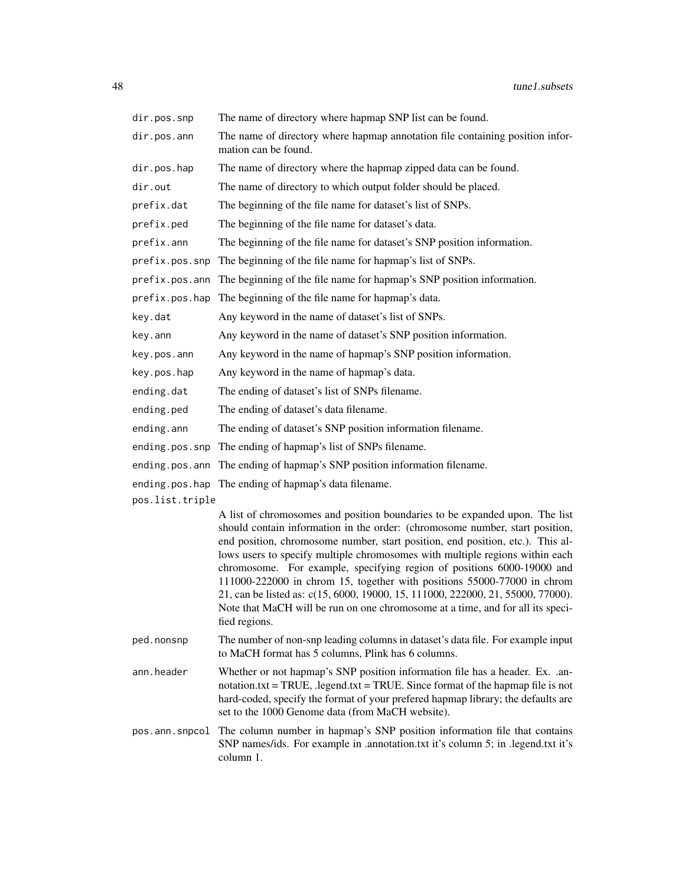| dir.pos.snp     | The name of directory where hapmap SNP list can be found.                                                                                                                                                                                                                                                                                                                                                                                                                                                                                                                                                                                                                |
|-----------------|--------------------------------------------------------------------------------------------------------------------------------------------------------------------------------------------------------------------------------------------------------------------------------------------------------------------------------------------------------------------------------------------------------------------------------------------------------------------------------------------------------------------------------------------------------------------------------------------------------------------------------------------------------------------------|
| dir.pos.ann     | The name of directory where hapmap annotation file containing position infor-<br>mation can be found.                                                                                                                                                                                                                                                                                                                                                                                                                                                                                                                                                                    |
| dir.pos.hap     | The name of directory where the hapmap zipped data can be found.                                                                                                                                                                                                                                                                                                                                                                                                                                                                                                                                                                                                         |
| dir.out         | The name of directory to which output folder should be placed.                                                                                                                                                                                                                                                                                                                                                                                                                                                                                                                                                                                                           |
| prefix.dat      | The beginning of the file name for dataset's list of SNPs.                                                                                                                                                                                                                                                                                                                                                                                                                                                                                                                                                                                                               |
| prefix.ped      | The beginning of the file name for dataset's data.                                                                                                                                                                                                                                                                                                                                                                                                                                                                                                                                                                                                                       |
| prefix.ann      | The beginning of the file name for dataset's SNP position information.                                                                                                                                                                                                                                                                                                                                                                                                                                                                                                                                                                                                   |
| prefix.pos.snp  | The beginning of the file name for hapmap's list of SNPs.                                                                                                                                                                                                                                                                                                                                                                                                                                                                                                                                                                                                                |
| prefix.pos.ann  | The beginning of the file name for hapmap's SNP position information.                                                                                                                                                                                                                                                                                                                                                                                                                                                                                                                                                                                                    |
| prefix.pos.hap  | The beginning of the file name for hapmap's data.                                                                                                                                                                                                                                                                                                                                                                                                                                                                                                                                                                                                                        |
| key.dat         | Any keyword in the name of dataset's list of SNPs.                                                                                                                                                                                                                                                                                                                                                                                                                                                                                                                                                                                                                       |
| key.ann         | Any keyword in the name of dataset's SNP position information.                                                                                                                                                                                                                                                                                                                                                                                                                                                                                                                                                                                                           |
| key.pos.ann     | Any keyword in the name of hapmap's SNP position information.                                                                                                                                                                                                                                                                                                                                                                                                                                                                                                                                                                                                            |
| key.pos.hap     | Any keyword in the name of hapmap's data.                                                                                                                                                                                                                                                                                                                                                                                                                                                                                                                                                                                                                                |
| ending.dat      | The ending of dataset's list of SNPs filename.                                                                                                                                                                                                                                                                                                                                                                                                                                                                                                                                                                                                                           |
| ending.ped      | The ending of dataset's data filename.                                                                                                                                                                                                                                                                                                                                                                                                                                                                                                                                                                                                                                   |
| ending.ann      | The ending of dataset's SNP position information filename.                                                                                                                                                                                                                                                                                                                                                                                                                                                                                                                                                                                                               |
| ending.pos.snp  | The ending of hapmap's list of SNPs filename.                                                                                                                                                                                                                                                                                                                                                                                                                                                                                                                                                                                                                            |
| ending.pos.ann  | The ending of hapmap's SNP position information filename.                                                                                                                                                                                                                                                                                                                                                                                                                                                                                                                                                                                                                |
|                 | ending.pos.hap The ending of hapmap's data filename.                                                                                                                                                                                                                                                                                                                                                                                                                                                                                                                                                                                                                     |
| pos.list.triple |                                                                                                                                                                                                                                                                                                                                                                                                                                                                                                                                                                                                                                                                          |
|                 | A list of chromosomes and position boundaries to be expanded upon. The list<br>should contain information in the order: (chromosome number, start position,<br>end position, chromosome number, start position, end position, etc.). This al-<br>lows users to specify multiple chromosomes with multiple regions within each<br>chromosome. For example, specifying region of positions 6000-19000 and<br>111000-222000 in chrom 15, together with positions 55000-77000 in chrom<br>21, can be listed as: c(15, 6000, 19000, 15, 111000, 222000, 21, 55000, 77000).<br>Note that MaCH will be run on one chromosome at a time, and for all its speci-<br>fied regions. |
| ped.nonsnp      | The number of non-snp leading columns in dataset's data file. For example input<br>to MaCH format has 5 columns, Plink has 6 columns.                                                                                                                                                                                                                                                                                                                                                                                                                                                                                                                                    |
| ann.header      | Whether or not hapmap's SNP position information file has a header. Ex. .an-<br>$notation.txt = TRUE$ , $legend.txt = TRUE$ . Since format of the hapmap file is not<br>hard-coded, specify the format of your prefered hapmap library; the defaults are<br>set to the 1000 Genome data (from MaCH website).                                                                                                                                                                                                                                                                                                                                                             |
| pos.ann.snpcol  | The column number in hapmap's SNP position information file that contains<br>SNP names/ids. For example in .annotation.txt it's column 5; in .legend.txt it's<br>column 1.                                                                                                                                                                                                                                                                                                                                                                                                                                                                                               |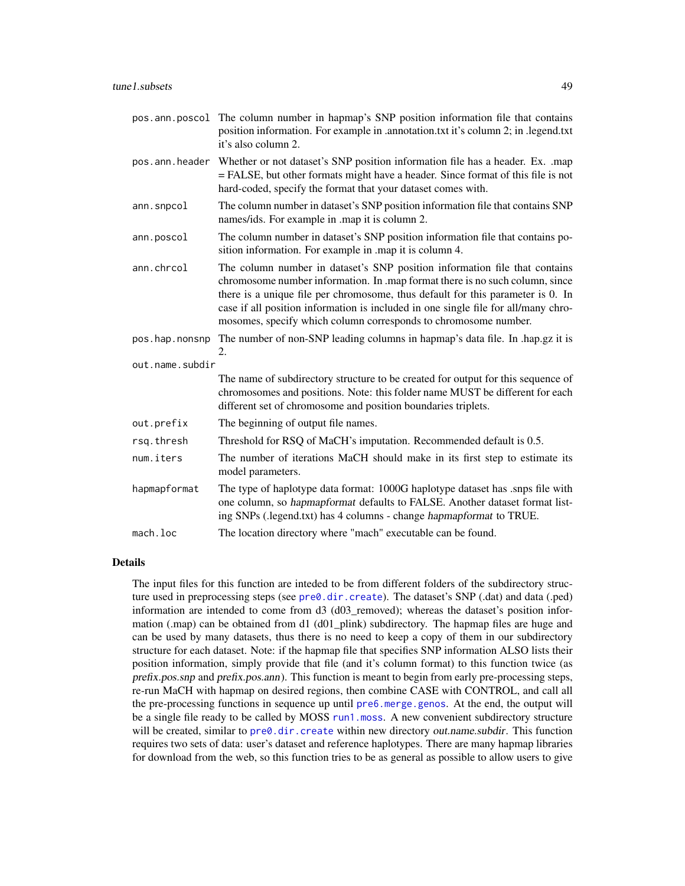<span id="page-48-0"></span>

| pos.ann.poscol  | The column number in hapmap's SNP position information file that contains<br>position information. For example in .annotation.txt it's column 2; in .legend.txt<br>it's also column 2.                                                                                                                                                                                                                 |
|-----------------|--------------------------------------------------------------------------------------------------------------------------------------------------------------------------------------------------------------------------------------------------------------------------------------------------------------------------------------------------------------------------------------------------------|
| pos.ann.header  | Whether or not dataset's SNP position information file has a header. Ex. .map<br>= FALSE, but other formats might have a header. Since format of this file is not<br>hard-coded, specify the format that your dataset comes with.                                                                                                                                                                      |
| ann.snpcol      | The column number in dataset's SNP position information file that contains SNP<br>names/ids. For example in .map it is column 2.                                                                                                                                                                                                                                                                       |
| ann.poscol      | The column number in dataset's SNP position information file that contains po-<br>sition information. For example in .map it is column 4.                                                                                                                                                                                                                                                              |
| ann.chrcol      | The column number in dataset's SNP position information file that contains<br>chromosome number information. In .map format there is no such column, since<br>there is a unique file per chromosome, thus default for this parameter is 0. In<br>case if all position information is included in one single file for all/many chro-<br>mosomes, specify which column corresponds to chromosome number. |
| pos.hap.nonsnp  | The number of non-SNP leading columns in hapmap's data file. In .hap.gz it is<br>2.                                                                                                                                                                                                                                                                                                                    |
| out.name.subdir |                                                                                                                                                                                                                                                                                                                                                                                                        |
|                 | The name of subdirectory structure to be created for output for this sequence of<br>chromosomes and positions. Note: this folder name MUST be different for each<br>different set of chromosome and position boundaries triplets.                                                                                                                                                                      |
| out.prefix      | The beginning of output file names.                                                                                                                                                                                                                                                                                                                                                                    |
| rsq.thresh      | Threshold for RSQ of MaCH's imputation. Recommended default is 0.5.                                                                                                                                                                                                                                                                                                                                    |
| num.iters       | The number of iterations MaCH should make in its first step to estimate its<br>model parameters.                                                                                                                                                                                                                                                                                                       |
| hapmapformat    | The type of haplotype data format: 1000G haplotype dataset has .snps file with<br>one column, so hapmapformat defaults to FALSE. Another dataset format list-<br>ing SNPs (.legend.txt) has 4 columns - change hapmapformat to TRUE.                                                                                                                                                                   |
| mach.loc        | The location directory where "mach" executable can be found.                                                                                                                                                                                                                                                                                                                                           |
|                 |                                                                                                                                                                                                                                                                                                                                                                                                        |

The input files for this function are inteded to be from different folders of the subdirectory structure used in preprocessing steps (see [pre0.dir.create](#page-17-1)). The dataset's SNP (.dat) and data (.ped) information are intended to come from  $d3$  ( $d03$  removed); whereas the dataset's position information (.map) can be obtained from d1 (d01\_plink) subdirectory. The hapmap files are huge and can be used by many datasets, thus there is no need to keep a copy of them in our subdirectory structure for each dataset. Note: if the hapmap file that specifies SNP information ALSO lists their position information, simply provide that file (and it's column format) to this function twice (as prefix.pos.snp and prefix.pos.ann). This function is meant to begin from early pre-processing steps, re-run MaCH with hapmap on desired regions, then combine CASE with CONTROL, and call all the pre-processing functions in sequence up until [pre6.merge.genos](#page-36-1). At the end, the output will be a single file ready to be called by MOSS [run1.moss](#page-44-1). A new convenient subdirectory structure will be created, similar to [pre0.dir.create](#page-17-1) within new directory out.name.subdir. This function requires two sets of data: user's dataset and reference haplotypes. There are many hapmap libraries for download from the web, so this function tries to be as general as possible to allow users to give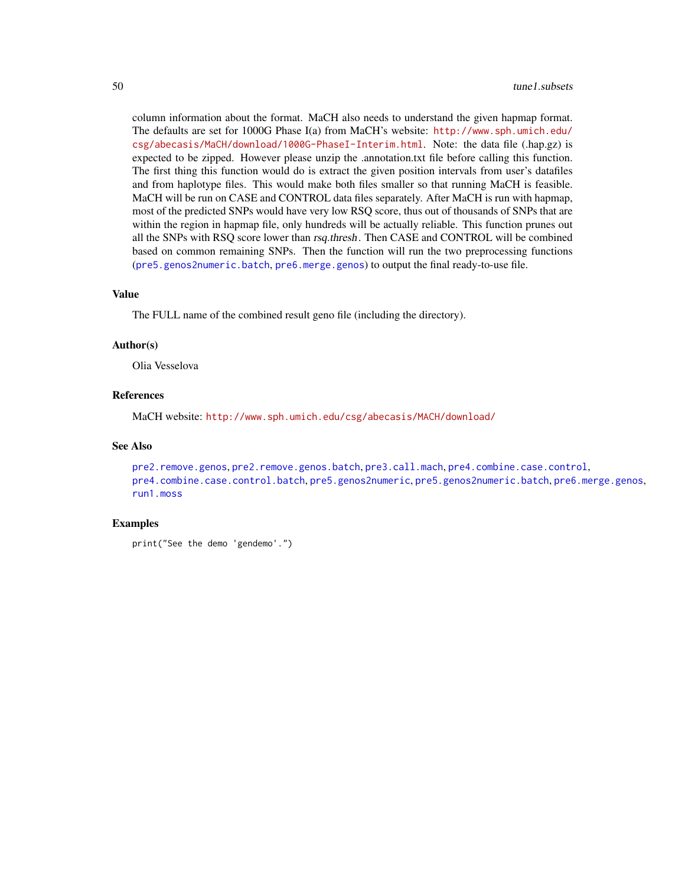<span id="page-49-0"></span>column information about the format. MaCH also needs to understand the given hapmap format. The defaults are set for 1000G Phase I(a) from MaCH's website: [http://www.sph.umich.edu/](http://www.sph.umich.edu/csg/abecasis/MaCH/download/1000G-PhaseI-Interim.html) [csg/abecasis/MaCH/download/1000G-PhaseI-Interim.html](http://www.sph.umich.edu/csg/abecasis/MaCH/download/1000G-PhaseI-Interim.html). Note: the data file (.hap.gz) is expected to be zipped. However please unzip the .annotation.txt file before calling this function. The first thing this function would do is extract the given position intervals from user's datafiles and from haplotype files. This would make both files smaller so that running MaCH is feasible. MaCH will be run on CASE and CONTROL data files separately. After MaCH is run with hapmap, most of the predicted SNPs would have very low RSQ score, thus out of thousands of SNPs that are within the region in hapmap file, only hundreds will be actually reliable. This function prunes out all the SNPs with RSQ score lower than rsq.thresh. Then CASE and CONTROL will be combined based on common remaining SNPs. Then the function will run the two preprocessing functions ([pre5.genos2numeric.batch](#page-34-1), [pre6.merge.genos](#page-36-1)) to output the final ready-to-use file.

## Value

The FULL name of the combined result geno file (including the directory).

#### Author(s)

Olia Vesselova

#### References

MaCH website: <http://www.sph.umich.edu/csg/abecasis/MACH/download/>

#### See Also

```
pre2.remove.genos, pre2.remove.genos.batch, pre3.call.mach, pre4.combine.case.control,
pre4.combine.case.control.batch, pre5.genos2numeric, pre5.genos2numeric.batch, pre6.merge.genos,
run1.moss
```
#### Examples

```
print("See the demo 'gendemo'.")
```